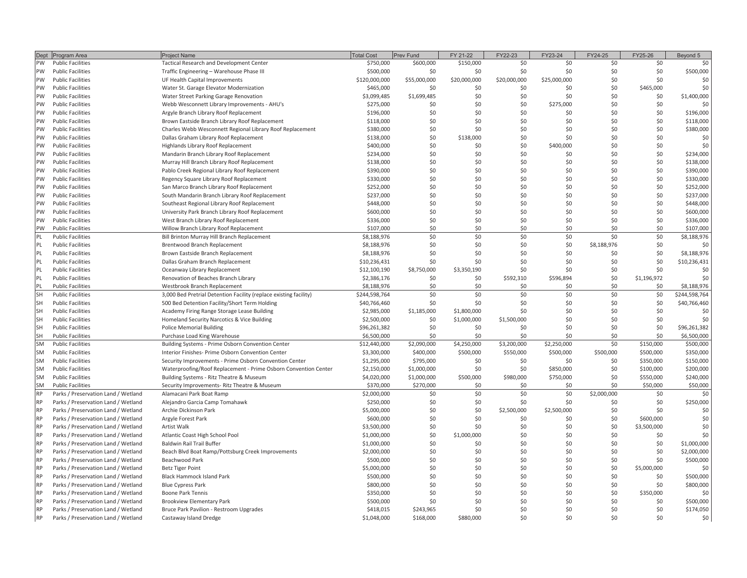|           | Dept Program Area                                                          | Project Name                                                      | <b>Total Cost</b>      | Prev Fund    | FY 21-22     | FY22-23                 | FY23-24      | FY24-25     | FY25-26         | Beyond 5                  |
|-----------|----------------------------------------------------------------------------|-------------------------------------------------------------------|------------------------|--------------|--------------|-------------------------|--------------|-------------|-----------------|---------------------------|
| $\geq$    | Public Facilities                                                          | Tactical Research and Development Center                          | \$750,000              | \$600,000    | \$150,000    |                         | SO           |             |                 |                           |
| ΜĀ        | Public Facilities                                                          | Traffic Engineering - Warehouse Phase III                         | \$500,000              |              |              |                         |              |             |                 | \$500,000                 |
| $\geq$    | Public Facilities                                                          | UF Health Capital Improvements                                    | \$120,000,000          | \$55,000,000 | \$20,000,000 | \$20,000,000            | \$25,000,000 | ္သ          | အ               | SO,                       |
| ≶         | Public Facilities                                                          | Water St. Garage Elevator Modernization                           | \$465,000              |              |              |                         |              | S.          | \$465,000       | Ş0                        |
| ≶         | Public Facilities                                                          | Water Street Parking Garage Renovation                            | \$3,099,485            | \$1,699,485  |              |                         |              |             |                 | \$1,400,000               |
| ≶         | Public Facilities                                                          | Webb Wesconnett Library Improvements - AHU's                      | \$275,000              |              |              |                         | \$275,000    |             |                 |                           |
| ≶         | Public Facilities                                                          | Argyle Branch Library Roof Replacement                            | \$196,000              |              |              |                         |              |             |                 | \$196,000                 |
| ≶         | Public Facilities                                                          | Brown Eastside Branch Library Roof Replacement                    | \$118,000              |              |              |                         |              |             |                 | \$118,000                 |
| ≶         | Public Facilities                                                          | Charles Webb Wesconnett Regional Library Roof Replacement         | \$380,000              |              |              |                         |              |             |                 | \$380,000                 |
| ≶         | Public Facilities                                                          | Dallas Graham Library Roof Replacement                            | \$138,000              |              | \$138,000    |                         |              |             |                 |                           |
| ≶         | Public Facilities                                                          | Highlands Library Roof Replacement                                | \$400,000              |              |              |                         | \$400,000    |             |                 | SO                        |
| M         | Public Facilities                                                          | Mandarin Branch Library Roof Replacement                          | \$234,000              |              |              |                         |              |             |                 | \$234,000                 |
| ≶         | Public Facilities                                                          | Murray Hill Branch Library Roof Replacement                       | \$138,000              |              |              |                         |              |             |                 | \$138,000                 |
| ≶         | Public Facilities                                                          | Pablo Creek Regional Library Roof Replacement                     | \$390,000              |              |              |                         |              | S.          |                 | \$390,000                 |
| ≶         | <b>Public Facilities</b>                                                   | Regency Square Library Roof Replacement                           | \$330,000              |              |              |                         |              | S.          |                 | \$330,000                 |
| ≶         | Public Facilities                                                          | San Marco Branch Library Roof Replacement                         | \$252,000              |              |              |                         |              | ္တ          |                 | \$252,000                 |
| M         | Public Facilities                                                          | South Mandarin Branch Library Roof Replacement                    | \$237,000              |              |              |                         |              | SO          | အ               | \$237,000                 |
| $\geq$    | Public Facilities                                                          | Southeast Regional Library Roof Replacement                       | \$448,000              |              |              |                         |              | SO.         | S.              | \$448,000                 |
| M         | Public Facilities                                                          | University Park Branch Library Roof Replacement                   | \$600,000              | S,           | ္တ           | SO,                     |              | Ş0          | င္တ             | \$600,000                 |
| ξ         | Public Facilities                                                          | West Branch Library Roof Replacement                              | \$336,000              | SQ.          | SO           | SO,                     |              | Ş0          | SO,             | \$336,000                 |
| ≶         | Public Facilities                                                          | Willow Branch Library Roof Replacement                            | \$107,000              |              |              |                         |              | ္ဘ          |                 | \$107,000                 |
|           | Public Facilities                                                          | Bill Brinton Murray Hill Branch Replacement                       | \$8,188,976            | ೫            | ၥ            | Ş0                      | ႙            | ŞO          | SO              | \$8,188,976               |
|           | Public Facilities                                                          | Brentwood Branch Replacement                                      | \$8,188,976            | သ            | ္တ           |                         | င္တ          | \$8,188,976 | ္တ              |                           |
|           | Public Facilities                                                          | Brown Eastside Branch Replacement                                 | \$8,188,976            | x            | ŞO           | SO                      | S,           | ္ဘ          | SO,             | \$8,188,976               |
|           | Public Facilities                                                          | Dallas Graham Branch Replacement                                  | \$10,236,431           | SO           | SO           | SO                      |              | Ş0          | SO,             | \$10,236,431              |
|           | Public Facilities                                                          | Oceanway Library Replacement                                      | \$12,100,190           | \$8,750,000  | \$3,350,190  | SO                      | S)           | SO          | SO,             | SO,                       |
|           | Public Facilities                                                          | Renovation of Beaches Branch Library                              | \$2,386,176            | S            | Ş0           | \$592,310               | \$596,894    | Ş0          | \$1,196,972     | $\overline{\mathsf{S}}$   |
|           | Public Facilities                                                          | Westbrook Branch Replacement                                      | \$8,188,976            | S,           | SO           |                         |              |             |                 | \$8,188,976               |
| 풊         | Public Facilities                                                          | 3,000 Bed Pretrial Detention Facility (replace existing facility) | \$244,598,764          | S            | Ş            | SO                      | x            | ္တ          | Ş0              | \$244,598,764             |
| 풊         | Public Facilities                                                          | 500 Bed Detention Facility/Short Term Holding                     | \$40,766,460           | SO           | SO           | ŞO                      | S.           | ္တ          | Ş0              | \$40,766,460              |
| 풊         | Public Facilities                                                          | Academy Firing Range Storage Lease Building                       | \$2,985,000            | \$1,185,000  | \$1,800,000  | $\overline{\mathsf{S}}$ | SO,          | SO          | Ş0              | SO                        |
| 풊         | <b>Public Facilities</b>                                                   | Homeland Security Narcotics & Vice Building                       | \$2,500,000            | Ş0           | \$1,000,000  | \$1,500,000             | Ş            | Ş0          | ŞO              | $\mathsf{S}^{\mathsf{O}}$ |
| 풊         | Public Facilities                                                          | Police Memorial Building                                          | \$96,261,382           | ℅            |              | SO,                     | Ş0           | S.          | Ş0              | \$96,261,382              |
| 풊         | Public Facilities                                                          | Purchase Load King Warehouse                                      | \$6,500,000            | S            | S            | SO                      | SO           | S.          | S               | \$6,500,000               |
| ŠÑ        | Public Facilities                                                          | Building Systems - Prime Osborn Convention Center                 | \$12,440,000           | \$2,090,000  | \$4,250,000  | \$3,200,000             | \$2,250,000  | 읐           | \$150,000       | \$500,000                 |
| š         | Public Facilities                                                          | Interior Finishes-Prime Osborn Convention Center                  | \$3,300,000            | \$400,000    | \$500,000    | \$550,000               | \$500,000    | \$500,000   | \$500,000       | \$350,000                 |
| š         | Public Facilities                                                          | Center<br>Security Improvements - Prime Osborn Convention         | \$1,295,000            | \$795,000    | Ş,           | Ş0                      |              | ႙           | \$350,000       | \$150,000                 |
| š         | Public Facilities                                                          | Waterproofing/Roof Replacement - Prime Osborn Convention Center   | \$2,150,000            | \$1,000,000  | SO           | SO                      | \$850,000    | SO,         | \$100,000       | \$200,000                 |
| š         | <b>Public Facilities</b>                                                   | Building Systems - Ritz Theatre & Museum                          | \$4,020,000            | \$1,000,000  | \$500,000    | \$980,000               | \$750,000    | SO,         | \$550,000       | \$240,000                 |
| š         | Public Facilities                                                          | Security Improvements-Ritz Theatre & Museum                       | \$370,000              | \$270,000    | ႙            | ္တ                      | ္တ           |             | \$50,000        | \$50,000                  |
| 욶         | Parks / Preservation Land / Wetland                                        | Alamacani Park Boat Ramp                                          | \$2,000,000            | 50           | ္ဘ           | S                       | Ş,           | \$2,000,000 | ္တ              | Ş                         |
| <b>RP</b> | Parks / Preservation Land / Wetland                                        | Alejandro Garcia Camp Tomahawk                                    | \$250,000              | င္တ          |              | S                       | S)           |             | SO,             | \$250,000                 |
| ę         | Parks / Preservation Land / Wetland                                        | Archie Dickinson Park                                             | \$5,000,000            |              | S            | \$2,500,000             | \$2,500,000  |             |                 | SO                        |
| ₽,        | Parks / Preservation Land / Wetland                                        | Argyle Forest Park                                                | \$600,000              |              |              |                         |              |             | \$600,000       | SO,                       |
| ę         | Parks / Preservation Land / Wetland                                        | Artist Walk                                                       | \$3,500,000            |              |              |                         |              |             | \$3,500,000     | ŞO                        |
| ę         | Parks / Preservation Land / Wetland                                        | Atlantic Coast High School Pool                                   | \$1,000,000            |              | \$1,000,000  |                         |              | SO.         |                 | SO                        |
| ę         | Parks / Preservation Land / Wetland                                        | Baldwin Rail Trail Buffer                                         | \$1,000,000            |              |              |                         |              | S,          | SO,             | \$1,000,000               |
| ę         | Parks / Preservation Land / Wetland                                        | Beach Blvd Boat Ramp/Pottsburg Creek Improvements                 | \$2,000,000            |              |              |                         |              | SO.         |                 | \$2,000,000               |
| ٩         | Parks / Preservation Land / Wetland                                        | Beachwood Park                                                    | \$500,000              |              |              |                         |              | 옸           | Ş,              | \$500,000                 |
| ę         | Parks / Preservation Land / Wetland                                        | Betz Tiger Point                                                  | \$5,000,000            |              |              |                         |              |             | \$5,000,000     |                           |
| ę         | Parks / Preservation Land / Wetland                                        | Black Hammock Island Park                                         | \$500,000              |              |              |                         |              |             | S,              | \$500,000                 |
|           | Parks / Preservation Land / Wetland<br>Parks / Preservation Land / Wetland | Boone Park Tennis<br><b>Blue Cypress Park</b>                     | \$800,000<br>\$350,000 | င္တ          |              |                         |              | S.<br>S.    | S,<br>\$350,000 | \$800,000                 |
|           | Parks / Preservation Land / Wetland                                        | Brookview Elementary Park                                         | \$500,000              | SO           |              |                         |              |             |                 | \$500,000                 |
|           | Parks / Preservation Land / Wetland                                        | Bruce Park Pavilion - Restroom Upgrades                           | \$418,015              | \$243,965    |              |                         |              |             |                 | \$174,050                 |
|           | Parks / Preservation Land / Wetland                                        | Castaway Island Dredge                                            | \$1,048,000            | \$168,000    | \$880,000    |                         |              |             |                 | $\overline{\mathcal{S}}$  |
|           |                                                                            |                                                                   |                        |              |              |                         |              |             |                 |                           |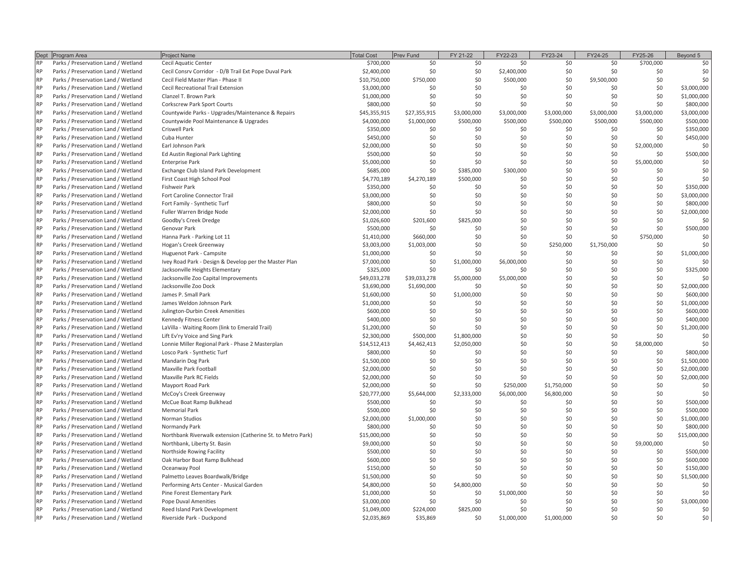| Dept      | Program Area                                                               | Project Name                                                                       | <b>Total Cost</b>           | Prev Fund                | FY 21-22                   | FY22-23                 | FY23-24     | FY24-25         | FY25-26          | Beyond 5          |
|-----------|----------------------------------------------------------------------------|------------------------------------------------------------------------------------|-----------------------------|--------------------------|----------------------------|-------------------------|-------------|-----------------|------------------|-------------------|
| 욶         | Parks / Preservation Land / Wetland                                        | Cecil Aquatic Center                                                               | \$700,000                   | ℅                        | ္တ                         |                         |             | SO              | \$700,000        | SO                |
| 욶         | Parks / Preservation Land / Wetland                                        | Cecil Consrv Corridor - D/B Trail Ext Pope Duval Parl                              | \$2,400,000                 |                          |                            | \$2,400,000             |             |                 |                  | SO,               |
| 6P        | Parks / Preservation Land / Wetland                                        | Cecil Field Master Plan - Phase II                                                 | \$10,750,000                | \$750,000                | Ş0                         | \$500,000               | S.          | \$9,500,000     | SO               | SO                |
| 욶         | Parks / Preservation Land / Wetland                                        | Cecil Recreational Trail Extension                                                 | \$3,000,000                 | S                        | Ş0                         |                         | SQ          | Ş0              | SO,              | \$3,000,000       |
| $\approx$ | Parks / Preservation Land / Wetland                                        | Clanzel T. Brown Park                                                              | \$1,000,000                 |                          |                            |                         |             | SO,             | SO               | \$1,000,000       |
| 운         | Parks / Preservation Land / Wetland                                        | Corkscrew Park Sport Courts                                                        | \$800,000                   | S                        |                            |                         |             | SO              | SO               | \$800,000         |
| 운         | Parks / Preservation Land / Wetland                                        | Countywide Parks - Upgrades/Maintenance & Repai                                    | \$45,355,915                | \$27,355,915             | \$3,000,000                | \$3,000,000             | \$3,000,000 | \$3,000,000     | \$3,000,000      | \$3,000,000       |
| RP.       | Parks / Preservation Land / Wetland                                        | Countywide Pool Maintenance & Upgrades                                             | \$4,000,000                 | \$1,000,000              | \$500,000                  | \$500,000               | \$500,000   | \$500,000       | \$500,000        | \$500,000         |
| 운<br>욶    | Parks / Preservation Land / Wetland                                        | Criswell Park                                                                      | \$350,000                   |                          |                            |                         |             |                 |                  | \$350,000         |
| RP.       | Parks / Preservation Land / Wetland<br>Parks / Preservation Land / Wetland | Earl Johnson Park<br>Cuba Hunter                                                   | \$2,000,000<br>\$450,000    |                          |                            |                         |             | SO              | \$2,000,000<br>S | SO<br>\$450,000   |
| 욶         | Parks / Preservation Land / Wetland                                        | Ed Austin Regional Park Lighting                                                   | \$500,000                   | SO                       |                            |                         |             |                 | 8                | \$500,000         |
| RP        | Parks / Preservation Land / Wetland                                        | Enterprise Park                                                                    | \$5,000,000                 | Ş0                       |                            |                         |             |                 | \$5,000,000      | SO                |
| RP.       | Parks / Preservation Land / Wetland                                        | Exchange Club Island Park Development                                              | \$685,000                   | SO                       | \$385,000                  | \$300,000               |             |                 |                  | Ş0                |
| 욶         | Parks / Preservation Land / Wetland                                        | First Coast High School Pool                                                       | \$4,770,189                 | \$4,270,189              | \$500,000                  |                         |             |                 |                  | SO,               |
| 6P        | Parks / Preservation Land / Wetland                                        | Fishweir Park                                                                      | \$350,000                   |                          |                            |                         |             |                 |                  | \$350,000         |
| 욶         | Parks / Preservation Land / Wetland                                        | Fort Caroline Connector Trail                                                      | \$3,000,000                 |                          |                            |                         |             |                 |                  | \$3,000,000       |
| 윤         | Parks / Preservation Land / Wetland                                        | Fort Family - Synthetic Turf                                                       | \$800,000                   | S                        |                            |                         |             |                 |                  | \$800,000         |
| 6P        | Parks / Preservation Land / Wetland                                        | Fuller Warren Bridge Node                                                          | \$2,000,000                 | Ş0                       | SO                         |                         |             |                 |                  | \$2,000,000       |
| 욶         | Parks / Preservation Land / Wetland                                        | Goodby's Creek Dredge                                                              | \$1,026,600                 | \$201,600                | \$825,000                  |                         |             |                 |                  | S                 |
| 운         | Parks / Preservation Land / Wetland                                        | Genovar Park                                                                       | \$500,000                   |                          |                            |                         |             |                 | SO,              | \$500,000         |
| RP.       | Parks / Preservation Land / Wetland                                        | Hanna Park - Parking Lot 11                                                        | \$1,410,000                 | \$660,000                | SO                         |                         |             |                 | \$750,000        | ŞO                |
| 욶         | Parks / Preservation Land / Wetland                                        | Hogan's Creek Greenway                                                             | \$3,003,000                 | \$1,003,000              |                            |                         | \$250,000   | \$1,750,000     | Ş0               | SO                |
| 욶         | Parks / Preservation Land / Wetland                                        | Huguenot Park - Campsite                                                           | \$1,000,000                 |                          | SO,                        |                         |             |                 | SO               | \$1,000,000       |
| 6P        | Parks / Preservation Land / Wetland                                        | Ivey Road Park - Design & Develop per the Master Plan                              | \$7,000,000                 |                          | \$1,000,000                | \$6,000,000             |             |                 |                  |                   |
| 욶         | Parks / Preservation Land / Wetland                                        | Jacksonville Heights Elementary                                                    | \$325,000                   | S                        |                            |                         |             |                 | ຂ                | \$325,000         |
| <b>RP</b> | Parks / Preservation Land / Wetland                                        | Jacksonville Zoo Capital Improvements                                              | \$49,033,278                | \$39,033,278             | \$5,000,000                | \$5,000,000             |             |                 |                  | S                 |
| RP.       | Parks / Preservation Land / Wetland                                        | lacksonville Zoo Dock                                                              | \$3,690,000                 | \$1,690,000              |                            |                         |             |                 |                  | \$2,000,000       |
| 운         | Parks / Preservation Land / Wetland                                        | James P. Small Park                                                                | \$1,600,000                 |                          | \$1,000,000                |                         |             |                 |                  | \$600,000         |
| 욶         | Parks / Preservation Land / Wetland                                        | James Weldon Johnson Park                                                          | \$1,000,000                 | SO                       |                            |                         |             |                 |                  | \$1,000,000       |
| 운         | Parks / Preservation Land / Wetland                                        | Julington-Durbin Creek Amenities                                                   | \$600,000                   |                          |                            |                         |             |                 |                  | \$600,000         |
| 운         | Parks / Preservation Land / Wetland                                        | Kennedy Fitness Center                                                             | \$400,000                   | S                        | SO                         |                         |             |                 |                  | \$400,000         |
| 욶         | Parks / Preservation Land / Wetland                                        | LaVilla - Waiting Room (link to Emerald Trail)                                     | \$1,200,000                 |                          |                            |                         |             |                 | SO               | SO<br>\$1,200,000 |
| 운<br>욶    | Parks / Preservation Land / Wetland<br>Parks / Preservation Land / Wetland | Lonnie Miller Regional Park - Phase 2 Masterplan<br>Lift Ev'ry Voice and Sing Park | \$2,300,000<br>\$14,512,413 | \$500,000<br>\$4,462,413 | \$1,800,000<br>\$2,050,000 |                         |             |                 | \$8,000,000      | S                 |
| 운         | Parks / Preservation Land / Wetland                                        | Losco Park - Synthetic Turf                                                        | \$800,000                   |                          |                            |                         |             |                 |                  | \$800,000         |
| 욶         | Parks / Preservation Land / Wetland                                        | Mandarin Dog Park                                                                  | \$1,500,000                 |                          |                            |                         |             |                 | SO               | \$1,500,000       |
| 욶         | Parks / Preservation Land / Wetland                                        | Maxville Park Football                                                             | \$2,000,000                 |                          |                            |                         |             |                 |                  | \$2,000,000       |
| 욶         | Parks / Preservation Land / Wetland                                        | Maxville Park RC Fields                                                            | \$2,000,000                 |                          |                            |                         |             |                 |                  | \$2,000,000       |
| 욶         | Parks / Preservation Land / Wetland                                        | Mayport Road Park                                                                  | \$2,000,000                 |                          |                            | \$250,000               | \$1,750,000 | SO.             | S                | SO                |
| 6P        | Parks / Preservation Land / Wetland                                        | McCoy's Creek Greenway                                                             | \$20,777,000                | \$5,644,000              | \$2,333,000                | \$6,000,000             | \$6,800,000 | SO              |                  | S                 |
| 욶         | Parks / Preservation Land / Wetland                                        | McCue Boat Ramp Bulkhead                                                           | \$500,000                   |                          |                            |                         |             | S.              |                  | \$500,000         |
| 운         | Parks / Preservation Land / Wetland                                        | Memorial Park                                                                      | \$500,000                   |                          |                            |                         |             | S.              |                  | \$500,000         |
| 운         | Parks / Preservation Land / Wetland                                        | Norman Studios                                                                     | \$2,000,000                 | \$1,000,000              |                            |                         |             | $\tilde{S}$     |                  | \$1,000,000       |
| 6P<br>욶   | Parks / Preservation Land / Wetland                                        | Normandy Park                                                                      | \$800,000                   |                          |                            |                         |             | $\overline{50}$ |                  | \$800,000         |
|           | Parks / Preservation Land / Wetland                                        | tro Park)<br>Northbank Riverwalk extension (Catherine St. to Me                    | \$15,000,000                |                          |                            |                         |             |                 |                  | \$15,000,000      |
| 욶<br>욶    | Parks / Preservation Land / Wetland<br>Parks / Preservation Land / Wetland | Northbank, Liberty St. Basin<br>Northside Rowing Facility                          | \$9,000,000<br>\$500,000    |                          |                            |                         |             | S.              | \$9,000,000      | \$500,000         |
| 욶         | Parks / Preservation Land / Wetland                                        | Oak Harbor Boat Ramp Bulkhead                                                      | \$600,000                   |                          |                            |                         |             | S.              | SO               | \$600,000         |
| 욶         | Parks / Preservation Land / Wetland                                        | Oceanway Pool                                                                      | \$150,000                   |                          |                            |                         |             | S,              | S                | \$150,000         |
| 운         | Parks / Preservation Land / Wetland                                        | Palmetto Leaves Boardwalk/Bridge                                                   | \$1,500,000                 |                          |                            |                         |             |                 |                  | \$1,500,000       |
| 욶         | Parks / Preservation Land / Wetland                                        | Performing Arts Center - Musical Garden                                            | \$4,800,000                 |                          | \$4,800,000                |                         |             |                 | SO               | S                 |
| 6P        | Parks / Preservation Land / Wetland                                        | Pine Forest Elementary Park                                                        | \$1,000,000                 |                          |                            | \$1,000,000             |             |                 | SO               | SO,               |
|           | Parks / Preservation Land / Wetland                                        | Pope Duval Amenities                                                               | \$3,000,000                 |                          |                            |                         |             |                 | $\overline{50}$  | \$3,000,000       |
| 욶         | Parks / Preservation Land / Wetland                                        | Reed Island Park Development<br>Riverside Park - Duckpond                          | \$1,049,000<br>\$2,035,869  | \$224,000<br>\$35,869    | \$825,000                  | $\overline{\mathsf{S}}$ | SO          | S S             |                  | <b>988</b>        |
|           | Parks / Preservation Land / Wetland                                        |                                                                                    |                             |                          |                            | \$1,000,000             | \$1,000,000 |                 |                  |                   |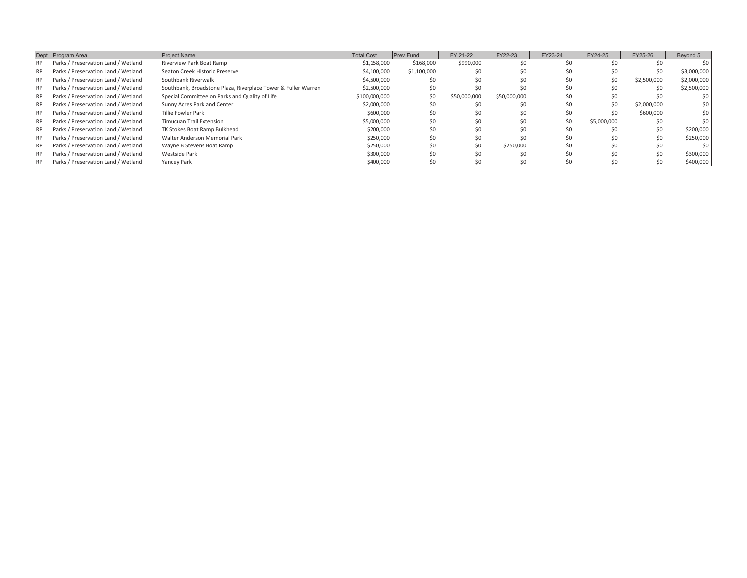| FY 21-22<br>1,100,00<br>\$168,00<br><b>Prev Fund</b><br>$\begin{array}{l} 31.138,000\\ 34.140,000\\ 35.100,000\\ 000,000\\ 000,000\\ 000,000\\ 000,000\\ 000,000\\ 000,000\\ 000,000\\ 000,000\\ 000\\ 000\\ 000\\ 000\\ 000\\ 000\\ 000\\ 000\\ 000\\ 000\\ 000\\ 000\\ 000\\ 000\\ 000\\ 000\\ 000\\ 000\\ 000\\ 000\\ 000\\$<br>otal Cost<br>Southbank, Broadstone Plaza, Riverplace Tower &<br>Special Committee on Parks and Quality of Life<br>Walter Anderson Memorial Park<br>Seaton Creek Historic Preserve<br><b>TK Stokes Boat Ramp Bulkhead</b><br>Sunny Acres Park and Center<br>Riverview Park Boat Ramp<br>Timucuan Trail Extension<br>Southbank Riverwalk<br><b>illie Fowler Park</b><br>Project Name<br>Parks / Preservation Land / Wetland<br>Parks / Preservation Land / Wetland<br>Parks / Preservation Land / Wetland<br>Parks / Preservation Land / Wetland<br>Parks / Preservation Land / Wetland<br>Parks / Preservation Land / Wetland<br>Parks / Preservation Land / Wetland<br>Parks / Preservation Land / Wetland<br>Parks / Preservation Land / Wetland<br>Parks / Preservation Land / Wetland<br>Dept Program Area<br>$\approx$<br>$\approx$<br>RP.<br>RP.<br>RP.<br>RP.<br>RP.<br>RP.<br>RP.<br>RP. |  |  | $-Y24-25$ |           | Bevond 5  |
|------------------------------------------------------------------------------------------------------------------------------------------------------------------------------------------------------------------------------------------------------------------------------------------------------------------------------------------------------------------------------------------------------------------------------------------------------------------------------------------------------------------------------------------------------------------------------------------------------------------------------------------------------------------------------------------------------------------------------------------------------------------------------------------------------------------------------------------------------------------------------------------------------------------------------------------------------------------------------------------------------------------------------------------------------------------------------------------------------------------------------------------------------------------------------------------------------------------------------------|--|--|-----------|-----------|-----------|
|                                                                                                                                                                                                                                                                                                                                                                                                                                                                                                                                                                                                                                                                                                                                                                                                                                                                                                                                                                                                                                                                                                                                                                                                                                    |  |  |           |           |           |
|                                                                                                                                                                                                                                                                                                                                                                                                                                                                                                                                                                                                                                                                                                                                                                                                                                                                                                                                                                                                                                                                                                                                                                                                                                    |  |  |           |           |           |
|                                                                                                                                                                                                                                                                                                                                                                                                                                                                                                                                                                                                                                                                                                                                                                                                                                                                                                                                                                                                                                                                                                                                                                                                                                    |  |  |           |           | 3,000,00  |
|                                                                                                                                                                                                                                                                                                                                                                                                                                                                                                                                                                                                                                                                                                                                                                                                                                                                                                                                                                                                                                                                                                                                                                                                                                    |  |  |           | 2,500,00  | 2,000,000 |
|                                                                                                                                                                                                                                                                                                                                                                                                                                                                                                                                                                                                                                                                                                                                                                                                                                                                                                                                                                                                                                                                                                                                                                                                                                    |  |  |           |           | 2,500,000 |
|                                                                                                                                                                                                                                                                                                                                                                                                                                                                                                                                                                                                                                                                                                                                                                                                                                                                                                                                                                                                                                                                                                                                                                                                                                    |  |  |           |           |           |
|                                                                                                                                                                                                                                                                                                                                                                                                                                                                                                                                                                                                                                                                                                                                                                                                                                                                                                                                                                                                                                                                                                                                                                                                                                    |  |  |           | 2,000,000 |           |
|                                                                                                                                                                                                                                                                                                                                                                                                                                                                                                                                                                                                                                                                                                                                                                                                                                                                                                                                                                                                                                                                                                                                                                                                                                    |  |  |           | \$600,000 |           |
|                                                                                                                                                                                                                                                                                                                                                                                                                                                                                                                                                                                                                                                                                                                                                                                                                                                                                                                                                                                                                                                                                                                                                                                                                                    |  |  |           |           |           |
|                                                                                                                                                                                                                                                                                                                                                                                                                                                                                                                                                                                                                                                                                                                                                                                                                                                                                                                                                                                                                                                                                                                                                                                                                                    |  |  |           |           |           |
|                                                                                                                                                                                                                                                                                                                                                                                                                                                                                                                                                                                                                                                                                                                                                                                                                                                                                                                                                                                                                                                                                                                                                                                                                                    |  |  |           |           |           |
| Wayne B Stevens Boat Ramp<br>Parks / Preservation Land / Wetland<br>RP.                                                                                                                                                                                                                                                                                                                                                                                                                                                                                                                                                                                                                                                                                                                                                                                                                                                                                                                                                                                                                                                                                                                                                            |  |  |           |           |           |
| Westside Park<br>Parks / Preservation Land / Wetland<br>RP                                                                                                                                                                                                                                                                                                                                                                                                                                                                                                                                                                                                                                                                                                                                                                                                                                                                                                                                                                                                                                                                                                                                                                         |  |  |           |           | 300,000   |
| Yancey Park<br>Parks / Preservation Land / Wetland<br>RP.                                                                                                                                                                                                                                                                                                                                                                                                                                                                                                                                                                                                                                                                                                                                                                                                                                                                                                                                                                                                                                                                                                                                                                          |  |  |           |           |           |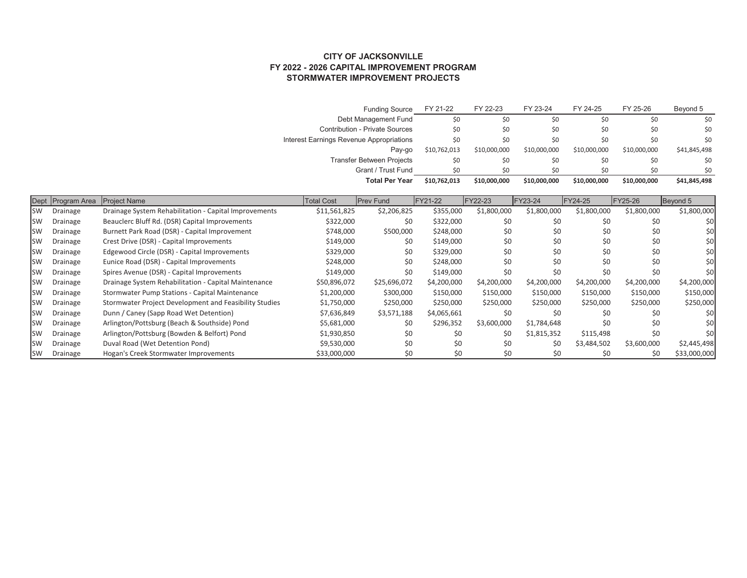CITY OF JACKSONVILLE<br>FY 2022 - 2026 CAPITAL IMPROVEMENT PROGRAM<br>STORMWATER IMPROVEMENT PROJECTS **FY 2022 - 2026 CAPITAL IMPROVEMENT PROGRAM STORMWATER IMPROVEMENT PROJECTS CITY OF JACKSONVILLE**

Funding Source FY 21-22 FY 22-23 FY 23-24 FY 24-25 FY 25-26 Beyond 5

FY 23-24

FY 22-23

Funding Source FY 21-22

Beyond 5

FY 25-26

FY 24-25

|               |          |                                                        |                                          | Debt Management Fund           |              | SO,          |              |              |              | ℅                        |
|---------------|----------|--------------------------------------------------------|------------------------------------------|--------------------------------|--------------|--------------|--------------|--------------|--------------|--------------------------|
|               |          |                                                        |                                          | Contribution - Private Sources |              |              |              |              |              |                          |
|               |          |                                                        | Interest Earnings Revenue Appropriations |                                |              | SO,          |              |              |              |                          |
|               |          |                                                        |                                          | Pay-go                         | \$10,762,013 | \$10,000,000 | \$10,000,000 | \$10,000,000 | \$10,000,000 | \$41,845,498             |
|               |          |                                                        |                                          | Transfer Between Projects      | SO,          | SO,          | Ş0           | SO,          | ℅            | SO,                      |
|               |          |                                                        |                                          | Grant / Trust Fund             | 50           | 50           | SO           | SO           | SO           | 50                       |
|               |          |                                                        |                                          | <b>Total Per Year</b>          | \$10,762,013 | \$10,000,000 | \$10,000,000 | \$10,000,000 | \$10,000,000 | \$41,845,498             |
|               |          | Dept Program Area Project Name                         | <b>Total Cost</b>                        | Prev Fund                      | FY21-22      | FY22-23      | FY23-24      | FY24-25      | FY25-26      | Beyond 5                 |
| $\leqslant$   | Drainage | Drainage System Rehabilitation - Capital Improvements  | \$11,561,825                             | \$2,206,825                    | \$355,000    | \$1,800,000  | \$1,800,000  | \$1,800,000  | \$1,800,000  | \$1,800,000              |
| 5M            | Drainage | Beauclerc Bluff Rd. (DSR) Capital Improvements         | \$322,000                                |                                | \$322,000    |              |              |              |              | ŞO                       |
| 5M            | Drainage | Burnett Park Road (DSR) - Capital Improvement          | \$748,000                                | \$500,000                      | \$248,000    |              |              |              |              | ŞO                       |
| SW            | Drainage | Crest Drive (DSR) - Capital Improvements               | \$149,000                                |                                | \$149,000    |              |              |              |              | ŞŌ                       |
| 5M            | Drainage | Edgewood Circle (DSR) - Capital Improvements           | \$329,000                                |                                | \$329,000    |              |              |              |              | $\overline{\mathcal{S}}$ |
| SW            | Drainage | Eunice Road (DSR) - Capital Improvements               | \$248,000                                |                                | \$248,000    |              | SO,          |              | SO,          | ŞQ                       |
| $\aleph$      | Drainage | Spires Avenue (DSR) - Capital Improvements             | \$149,000                                |                                | \$149,000    |              | SO           |              |              | $\overline{\mathsf{S}}$  |
| SW            | Drainage | Drainage System Rehabilitation - Capital Maintenance   | \$50,896,072                             | \$25,696,072                   | \$4,200,000  | \$4,200,000  | \$4,200,000  | \$4,200,000  | \$4,200,000  | \$4,200,000              |
| 5M            | Drainage | Stormwater Pump Stations - Capital Maintenance         | \$1,200,000                              | \$300,000                      | \$150,000    | \$150,000    | \$150,000    | \$150,000    | \$150,000    | \$150,000                |
| 5M            | Drainage | Stormwater Project Development and Feasibility Studies | \$1,750,000                              | \$250,000                      | \$250,000    | \$250,000    | \$250,000    | \$250,000    | \$250,000    | \$250,000                |
| 5M            | Drainage | Dunn / Caney (Sapp Road Wet Detention)                 | \$7,636,849                              | \$3,571,188                    | 34,065,661   |              | Ş0           |              |              | ŞO                       |
| $\leq$        | Drainage | Arlington/Pottsburg (Beach & Southside) Pond           | \$5,681,000                              |                                | \$296,352    | \$3,600,000  | 1,784,648    | SO,          |              | ŞO                       |
| $\leq$        | Drainage | Arlington/Pottsburg (Bowden & Belfort) Pond            | \$1,930,850                              | SO,                            |              |              | 51,815,352   | \$115,498    | SO,          | SO                       |
| $rac{SN}{SN}$ | Drainage | Duval Road (Wet Detention Pond)                        | \$9,530,000                              | SO,                            |              | SO,          | SO,          | \$3,484,502  | \$3,600,000  | \$2,445,498              |
| $\leq$        | Drainage | Hogan's Creek Stormwater Improvements                  | \$33,000,000                             | SO,                            |              | Ş,           | SO,          | SO           | SO           | \$33,000,000             |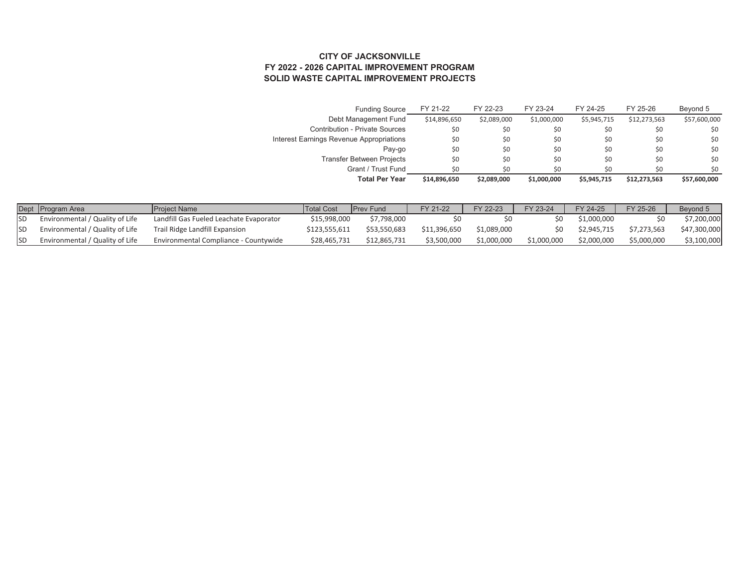## CITY OF JACKSONVILLE<br>FY 2022 - 2026 CAPITAL IMPROVEMENT PROGRAM<br>SOLID WASTE CAPITAL IMPROVEMENT PROJECTS **SOLID WASTE CAPITAL IMPROVEMENT PROJECTS FY 2022 - 2026 CAPITAL IMPROVEMENT PROGRAM CITY OF JACKSONVILLE**

| Funding Source                         | FY 21-22     | FY 22-23    | FY 23-24    | FY 24-25    | FY 25-26     | Beyond 5    |
|----------------------------------------|--------------|-------------|-------------|-------------|--------------|-------------|
| Vlanagemer                             | \$14,896,650 | \$2,089,000 |             | \$5,945,71  | \$12,273,563 | \$57,600,00 |
| Contribution - Private Sources         |              |             |             |             |              |             |
| nterest Earnings Revenue Appro         |              |             |             |             |              |             |
| Pay-g                                  |              |             |             |             |              |             |
| ween Project <sup>e</sup><br>ē<br>rans |              |             |             |             |              |             |
| Grant / Trust Fund                     | S            |             | S           |             | S            | SO          |
| <b>Total Per Year</b>                  | \$14,896,650 | \$2,089,000 | \$1,000,000 | \$5,945,715 | \$12,273,563 | \$57,600,   |

|                | Dept Program Area               | Project Name                            | <b>Total Cost</b> |              | FY 21-22    | FY 22-23    | FY 23-24  | FY 24-25    | FY 25-26    |              |
|----------------|---------------------------------|-----------------------------------------|-------------------|--------------|-------------|-------------|-----------|-------------|-------------|--------------|
| $\overline{5}$ | invironmental / Quality of Life | Landfill Gas Fueled Leachate Evaporator | \$15,998,000      | 7,798,000    |             |             |           | 1,000,00    |             | ית המח הרי   |
| $\overline{5}$ | invironmental / Quality of Life | Trail Ridge Landfill Expansion          | \$123,555,61.     | \$53,550,683 | 11,396,650  | 1,089,00    |           | \$2,945,715 | \$7,273,563 | \$47,300,000 |
| SD             | nvironmental / Quality of Life  | Environmental Compliance - Countywide   | \$28,465,73       | \$12,865,731 | \$3,500,000 | \$1,000,000 | 1,000,000 | \$2,000,000 | \$5,000,000 | בא טטט טט    |
|                |                                 |                                         |                   |              |             |             |           |             |             |              |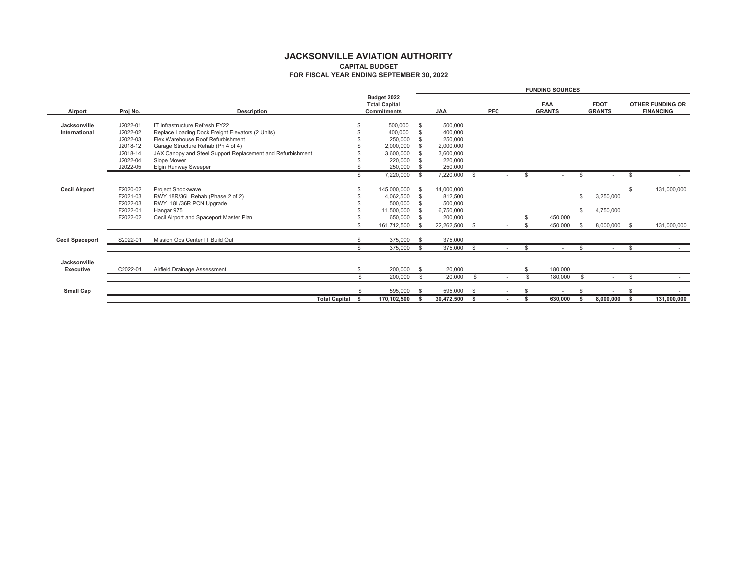|                      |          |                                                            |          |                                     |          |                                   |     |    | FUNDING SOURCES |           |        |                  |
|----------------------|----------|------------------------------------------------------------|----------|-------------------------------------|----------|-----------------------------------|-----|----|-----------------|-----------|--------|------------------|
|                      |          |                                                            |          | <b>Total Capital</b><br>Budget 2022 |          |                                   |     |    | FAA             | FDOT      |        | OTHER FUNDING OR |
| Airport              | Proj No. | Description                                                |          | Commitments                         | λÁ       |                                   | PFC |    | GRANTS          | GRANTS    |        | FINANCING        |
| Jacksonville         | J2022-01 | IT Infrastructure Refresh FY22                             |          | 500,000                             |          | 500,000                           |     |    |                 |           |        |                  |
| International        | J2022-02 | Replace Loading Dock Freight Elevators (2 Units)           |          | 400,000                             |          | 400,000                           |     |    |                 |           |        |                  |
|                      | J2022-03 | Flex Warehouse Roof Refurbishment                          | ↮        | 250,000                             |          | 250,000                           |     |    |                 |           |        |                  |
|                      | J2018-12 | Garage Structure Rehab (Ph 4 of 4)                         | ↮        | 2,000,000                           |          | 2,000,000                         |     |    |                 |           |        |                  |
|                      | J2018-14 | JAX Canopy and Steel Support Replacement and Refurbishment | $\Theta$ | 3,600,000                           |          | 3,600,000                         |     |    |                 |           |        |                  |
|                      | J2022-04 | Slope Mower                                                | $\Theta$ | 220,000                             |          | 220,000                           |     |    |                 |           |        |                  |
|                      | J2022-05 | Elgin Runway Sweeper                                       | $\Theta$ | 250,000                             | ₩        | 250,000                           |     |    |                 |           |        |                  |
|                      |          |                                                            | ↮        | 7,220,000                           | ↮        | ↮<br>7,220,000                    |     | ↮  | ↮               |           | ↮      |                  |
|                      |          |                                                            |          |                                     |          |                                   |     |    |                 |           |        |                  |
| <b>Cecil Airport</b> | F2020-02 | Project Shockwave                                          |          | 145,000,000                         |          | 14,000,000                        |     |    |                 |           | ↔      | 131,000,000      |
|                      | F2021-03 | RWY 18R/36L Rehab (Phase 2 of 2)                           | ↮        | 4,062,500                           |          | 812,500                           |     |    | ↮               | 3,250,000 |        |                  |
|                      | F2022-03 | RWY 18L/36R PCN Upgrade                                    | $\Theta$ | 500,000                             |          | 500,000                           |     |    |                 |           |        |                  |
|                      | F2022-01 | Hangar 975                                                 | $\Theta$ | 11,500,000                          | $\Theta$ | 6,750,000                         |     |    | ↮               | 4,750,000 |        |                  |
|                      | F2022-02 | Cecil Airport and Spaceport Master Plan                    | $\theta$ | 650,000                             | $\theta$ | 200,000                           |     | ↮  | 450,000         |           |        |                  |
|                      |          |                                                            | ↮        | 161,712,500                         | ↮        | 69<br>22,262,500                  |     | ↮  | ↮<br>450,000    | 8,000,000 | θĐ     | 131,000,000      |
| Cecil Spaceport      | S2022-01 | Mission Ops Center IT Build Out                            | ↮        | 375,000                             | ↮        | 375,000                           |     |    |                 |           |        |                  |
|                      |          |                                                            | ↮        | 375,000                             | ↮        | မာ<br>375,000                     |     | ↮  | ↮               |           | ↮      |                  |
| Jacksonville         |          |                                                            |          |                                     |          |                                   |     |    |                 |           |        |                  |
| Executive            | C2022-01 | Airfield Drainage Assessment                               | ↔        | 200,000                             | ↮        | 20,000                            |     | ↔  | 180,000         |           |        |                  |
|                      |          |                                                            | ↔        | 200,000                             | ↔        | ↮<br>20,000                       |     | မာ | ↮<br>180,000    |           | ↮      |                  |
| Small Cap            |          |                                                            | ↮        | 595,000                             | ↮        | $\boldsymbol{\varphi}$<br>595,000 |     | ↮  | ↮<br>ï          |           | ↮<br>ï |                  |
|                      |          | <b>Total Capital</b>                                       | ↮        | 170, 102, 500                       | မာ       | မာ<br>30,472,500                  |     | မာ | ↮<br>630,000    | 8,000,000 |        | 131,000,000      |
|                      |          |                                                            |          |                                     |          |                                   |     |    |                 |           |        |                  |

**JACKSONVILLE AVIATION AUTHORITY<br>CAPITAL BUDGET<br>FOR FISCAL YEAR ENDING SEPTEMBER 30, 2022 JACKSONVILLE AVIATION AUTHORITY FOR FISCAL YEAR ENDING SEPTEMBER 30, 2022 CAPITAL BUDGET**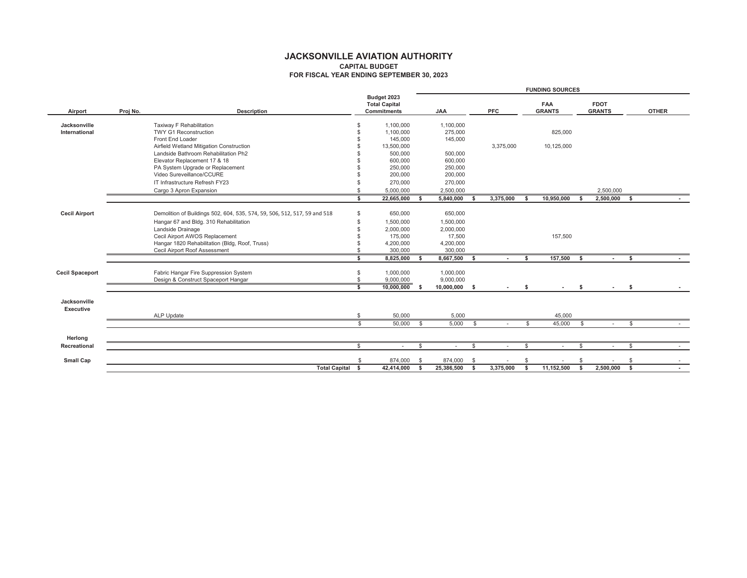|                 |                                     | <b>OTHER</b>            |                          |                              |                  |                                                                                         |                                      |                              |                                  |                           |                                |                         |                  |                                                                              |                                        |                   |                                |                                                |                               |                 |                                       |                                     |                                      |              |            |             |         |              |              |                      |  |
|-----------------|-------------------------------------|-------------------------|--------------------------|------------------------------|------------------|-----------------------------------------------------------------------------------------|--------------------------------------|------------------------------|----------------------------------|---------------------------|--------------------------------|-------------------------|------------------|------------------------------------------------------------------------------|----------------------------------------|-------------------|--------------------------------|------------------------------------------------|-------------------------------|-----------------|---------------------------------------|-------------------------------------|--------------------------------------|--------------|------------|-------------|---------|--------------|--------------|----------------------|--|
|                 | FDOT                                | <b>GRANTS</b>           |                          |                              |                  |                                                                                         |                                      |                              |                                  |                           |                                | 2,500,000               | 49<br>2,500,000  |                                                                              |                                        |                   |                                |                                                |                               | မာ              |                                       |                                     | $\Theta$                             |              |            | $\Theta$    |         | ↮            | ↮            | ↮<br>2,500,000       |  |
| FUNDING SOURCES | FAA                                 | <b>GRANTS</b>           |                          | 825,000                      |                  | 10,125,000                                                                              |                                      |                              |                                  |                           |                                |                         | O,<br>10,950,000 |                                                                              |                                        |                   | 157,500                        |                                                |                               | ŧ٩<br>157,500   |                                       |                                     | ↮                                    |              |            | ↮<br>45,000 |         | $\Theta$     | ↮            | ↮<br>11,152,500      |  |
|                 |                                     | PFC                     |                          |                              |                  | 3,375,000                                                                               |                                      |                              |                                  |                           |                                |                         | 3,375,000        |                                                                              |                                        |                   |                                |                                                |                               | 6Ą              |                                       |                                     | ↮                                    |              |            | $\Theta$    |         | ↮            | ↮            | ↮<br>3,375,000       |  |
|                 |                                     | ζÁ                      | ,100,000                 | 275,000                      | 145,000          |                                                                                         |                                      | 500,000                      | 250,000                          | 200,000                   | 270,000                        | ,500,000                | O,<br>5,840,000  | 650,000                                                                      | 1,500,000                              | 2,000,000         | 17,500                         | 4,200,000                                      | 300,000                       | G,<br>8,667,500 | 1,000,000                             | 9,000,000                           | ↮<br>10,000,000                      |              | 5,000      | ↔<br>5,000  |         | $\Theta$     | ↮<br>874,000 | ↮<br>25,386,500      |  |
|                 | <b>Total Capital</b><br>Budget 2023 | Commitments             | 1,100,000                | ,100,000                     | 145,000          | 13,500,000                                                                              | 500,000                              | 600,000                      | 250,000                          | 200,000                   | 270,000                        | 5,000,000               | 22,665,000       | 650,000                                                                      | ,500,000                               | 2,000,000         | 175,000                        | 4,200,000                                      | 300,000                       | 8,825,000       | 1,000,000                             |                                     | Ψ9<br>$\frac{9,000,000}{10,000,000}$ |              | 50,000     | ↔<br>50,000 |         | e            | ↮<br>874,000 | ↮<br>42,414,000      |  |
|                 |                                     |                         |                          | ↮                            |                  | $\boldsymbol{\omega}$ $\boldsymbol{\omega}$ $\boldsymbol{\omega}$ $\boldsymbol{\omega}$ |                                      |                              |                                  |                           | $\Theta$                       | $\Theta$                | မာ               | ↮                                                                            | $\Theta$                               | $\theta$          |                                | $\Theta$                                       | $\Theta$                      | $\theta$        |                                       | မာ မာ                               | ↮                                    |              | €          | ↔           |         | ₩            | ↮            | ↮                    |  |
|                 |                                     | Description<br>Proj No. | Taxiway F Rehabilitation | <b>TWY G1 Reconstruction</b> | Front End Loader | Airfield Wetland Mitigation Construction                                                | Landside Bathroom Rehabilitation Ph2 | Elevator Replacement 17 & 18 | PA System Upgrade or Replacement | Video Sureveillance/CCURE | IT Infrastructure Refresh FY23 | Cargo 3 Apron Expansion |                  | 506, 512, 517, 59 and 518<br>Demolition of Buildings 502, 604, 535, 574, 59, | Hangar 67 and Bldg. 310 Rehabilitation | Landside Drainage | Cecil Airport AWOS Replacement | Hangar 1820 Rehabilitation (Bldg, Roof, Truss) | Cecil Airport Roof Assessment |                 | Fabric Hangar Fire Suppression System | Design & Construct Spaceport Hangar |                                      |              | ALP Update |             |         |              |              | <b>Total Capital</b> |  |
|                 |                                     | Airport                 | Jacksonville             | International                |                  |                                                                                         |                                      |                              |                                  |                           |                                |                         |                  | <b>Cecil Airport</b>                                                         |                                        |                   |                                |                                                |                               |                 | Cecil Spaceport                       |                                     |                                      | Jacksonville | Executive  |             | Herlong | Recreational | Small Cap    |                      |  |

**JACKSONVILLE AVIATION AUTHORITY<br>CAPITAL BUDGET<br>FOR FISCAL YEAR ENDING SEPTEMBER 30, 2023 JACKSONVILLE AVIATION AUTHORITY FOR FISCAL YEAR ENDING SEPTEMBER 30, 2023 CAPITAL BUDGET**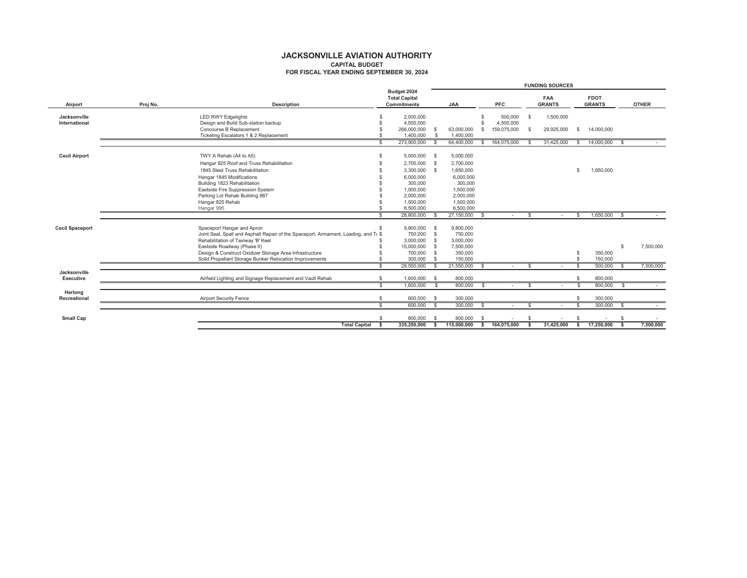| Commitments<br>Joint Seal, Spall and Asphalt Repair of the Spaceport, Armament, Loading, and T \$<br>Design & Construct Oxidizer Storage Area Infrastructure<br>Description<br>Hangar 825 Roof and Truss Rehabilitation<br>Ticketing Escalators 1 & 2 Replacement<br>Design and Build Sub-station backup<br>Eastside Fire Suppression System<br>Rehabilitation of Taxiway B' Keel<br>1845 Steel Truss Rehabilitation<br>Building 887<br>Spaceport Hangar and Apron<br>Eastside Roadway (Phase II)<br>Building 1823 Rehabilitation<br>Concourse B Replacement<br>Hangar 1845 Modifications<br>to A5)<br>LED RWY Edgelights<br>Parking Lot Rehab<br>TWY A Rehab (A4<br>Hangar 825 Rehab<br>Hangar 995<br>Proj No.<br>Cecil Spaceport<br>Cecil Airport<br>Jacksonville<br>International<br>Airport | Budget 2024                              |                      |                      |                          |                       |
|-------------------------------------------------------------------------------------------------------------------------------------------------------------------------------------------------------------------------------------------------------------------------------------------------------------------------------------------------------------------------------------------------------------------------------------------------------------------------------------------------------------------------------------------------------------------------------------------------------------------------------------------------------------------------------------------------------------------------------------------------------------------------------------------------|------------------------------------------|----------------------|----------------------|--------------------------|-----------------------|
|                                                                                                                                                                                                                                                                                                                                                                                                                                                                                                                                                                                                                                                                                                                                                                                                 | SA<br><b>Total Capital</b>               | PFC                  | <b>GRANTS</b><br>FAA |                          | <b>GRANTS</b><br>FDOT |
|                                                                                                                                                                                                                                                                                                                                                                                                                                                                                                                                                                                                                                                                                                                                                                                                 | 4,500,000<br>2,000,000                   | 500,000<br>4,500,000 | 1,500,000<br>↮       |                          |                       |
|                                                                                                                                                                                                                                                                                                                                                                                                                                                                                                                                                                                                                                                                                                                                                                                                 | 63,000,000<br>266,000,000                | 159,075,000          | 29,925,000<br>69     | ↔                        | 14,000,000            |
|                                                                                                                                                                                                                                                                                                                                                                                                                                                                                                                                                                                                                                                                                                                                                                                                 | 1,400.000<br>€.<br>1,400,000             |                      |                      |                          |                       |
|                                                                                                                                                                                                                                                                                                                                                                                                                                                                                                                                                                                                                                                                                                                                                                                                 | 64,400,000<br>G<br>273,900,000           | 164,075,000<br>GF.   | 31,425,000<br>G      | မာ                       | G.<br>14,000,000      |
|                                                                                                                                                                                                                                                                                                                                                                                                                                                                                                                                                                                                                                                                                                                                                                                                 | 5,000,000<br>မာ<br>5,000,000             |                      |                      |                          |                       |
|                                                                                                                                                                                                                                                                                                                                                                                                                                                                                                                                                                                                                                                                                                                                                                                                 | 2,700,000<br>2,700,000                   |                      |                      |                          |                       |
|                                                                                                                                                                                                                                                                                                                                                                                                                                                                                                                                                                                                                                                                                                                                                                                                 | ,650,000<br>3,300,000                    |                      |                      | မာ                       | 1,650,000             |
|                                                                                                                                                                                                                                                                                                                                                                                                                                                                                                                                                                                                                                                                                                                                                                                                 | 6,000,000<br>6,000,000                   |                      |                      |                          |                       |
|                                                                                                                                                                                                                                                                                                                                                                                                                                                                                                                                                                                                                                                                                                                                                                                                 | 300,000<br>300,000                       |                      |                      |                          |                       |
|                                                                                                                                                                                                                                                                                                                                                                                                                                                                                                                                                                                                                                                                                                                                                                                                 | 1,500,000<br>1,500,000                   |                      |                      |                          |                       |
|                                                                                                                                                                                                                                                                                                                                                                                                                                                                                                                                                                                                                                                                                                                                                                                                 | 2,000,000<br>2,000,000                   |                      |                      |                          |                       |
|                                                                                                                                                                                                                                                                                                                                                                                                                                                                                                                                                                                                                                                                                                                                                                                                 | 1,500,000<br>1,500,000                   |                      |                      |                          |                       |
|                                                                                                                                                                                                                                                                                                                                                                                                                                                                                                                                                                                                                                                                                                                                                                                                 | 6,500,000<br>6,500,000                   |                      |                      |                          |                       |
|                                                                                                                                                                                                                                                                                                                                                                                                                                                                                                                                                                                                                                                                                                                                                                                                 | 27,150,000<br>28,800,000                 |                      | 66                   | 1,650,000                | G.                    |
|                                                                                                                                                                                                                                                                                                                                                                                                                                                                                                                                                                                                                                                                                                                                                                                                 | 9,800,000<br>9,800,000                   |                      |                      |                          |                       |
|                                                                                                                                                                                                                                                                                                                                                                                                                                                                                                                                                                                                                                                                                                                                                                                                 | 750,000<br>750,000                       |                      |                      |                          |                       |
|                                                                                                                                                                                                                                                                                                                                                                                                                                                                                                                                                                                                                                                                                                                                                                                                 | 3,000,000<br>3,000,000                   |                      |                      |                          |                       |
|                                                                                                                                                                                                                                                                                                                                                                                                                                                                                                                                                                                                                                                                                                                                                                                                 | 7,500,000<br>15,000,000                  |                      |                      |                          | ↮                     |
| Solid Propellant Storage Bunker Relocation Improvements                                                                                                                                                                                                                                                                                                                                                                                                                                                                                                                                                                                                                                                                                                                                         | 350,000<br>150,000<br>700,000<br>300,000 |                      |                      | 350,000<br>150,000<br>66 |                       |
|                                                                                                                                                                                                                                                                                                                                                                                                                                                                                                                                                                                                                                                                                                                                                                                                 | 21,550,000<br>29,550,000                 |                      |                      | 500,000                  |                       |
| 69<br>Airfield Lighting and Signage Replacement and Vault Rehab<br>Jacksonville<br>Executive                                                                                                                                                                                                                                                                                                                                                                                                                                                                                                                                                                                                                                                                                                    | 800,000<br>↮<br>1,600,000                |                      |                      | 800,000<br>6             |                       |
| မာ                                                                                                                                                                                                                                                                                                                                                                                                                                                                                                                                                                                                                                                                                                                                                                                              | 800,000<br>မာ<br>1,600,000               | 69                   |                      | 800,000<br>မာ            |                       |
| 49<br>Airport Security Fence<br>Recreational<br>Herlong                                                                                                                                                                                                                                                                                                                                                                                                                                                                                                                                                                                                                                                                                                                                         | 300,000<br>69<br>600,000                 |                      |                      | 300,000<br>မာ            |                       |
| 69                                                                                                                                                                                                                                                                                                                                                                                                                                                                                                                                                                                                                                                                                                                                                                                              |                                          | 69                   | G                    | ↮                        | မာ                    |
| ↔<br>Small Cap                                                                                                                                                                                                                                                                                                                                                                                                                                                                                                                                                                                                                                                                                                                                                                                  | 800,000<br>↔<br>800,000                  | Ø                    | ↔                    |                          |                       |
| S)<br><b>Total Capital</b>                                                                                                                                                                                                                                                                                                                                                                                                                                                                                                                                                                                                                                                                                                                                                                      | 115,000,000<br>335,250,000               | 164,075,000<br>G)    | 31,425,000           | 17,250,000<br>Ø          |                       |

JACKSONVILLE AVIATION AUTHORITY<br>CAPITAL BUDGET<br>FOR FISCAL YEAR ENDING SEPTEMBER 30, 2024 **JACKSONVILLE AVIATION AUTHORITY FOR FISCAL YEAR ENDING SEPTEMBER 30, 2024 CAPITAL BUDGET**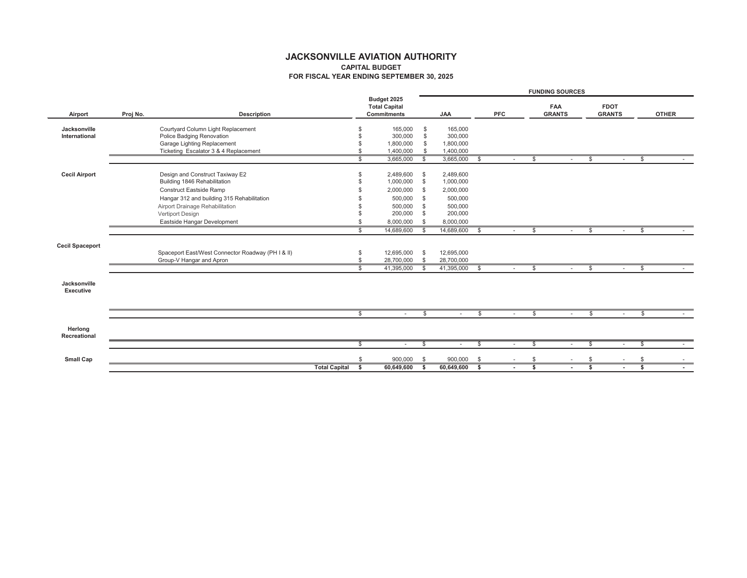|                           |          |                                                   |                                     |                               |                    |          | FUNDING SOURCES        |          |               |              |
|---------------------------|----------|---------------------------------------------------|-------------------------------------|-------------------------------|--------------------|----------|------------------------|----------|---------------|--------------|
|                           |          |                                                   | <b>Total Capital</b><br>Budget 2025 |                               |                    |          | FAA                    |          | FDOT          |              |
| Airport                   | Proj No. | Description                                       | Commitments                         |                               | λY                 | PFC      | <b>GRANTS</b>          |          | <b>GRANTS</b> | <b>OTHER</b> |
| Jacksonville              |          | Courtyard Column Light Replacement                |                                     | ↮                             |                    |          |                        |          |               |              |
| International             |          | Police Badging Renovation                         | <b>09 09 09 09</b>                  | 165,000<br>300,000            | 165,000<br>300,000 |          |                        |          |               |              |
|                           |          | Garage Lighting Replacement                       |                                     | $\theta$ $\theta$<br>,800,000 | 1,800,000          |          |                        |          |               |              |
|                           |          | Ticketing Escalator 3 & 4 Replacement             |                                     | 1,400,000                     | 1,400,000          |          |                        |          |               |              |
|                           |          |                                                   | $\Theta$                            | $\Theta$<br>3,665,000         | 3,665,000          | ↔        | ↔                      | ↔        | $\Theta$      |              |
| Cecil Airport             |          | Design and Construct Taxiway E2                   | ↔                                   | ↔<br>2,489,600                | 2,489,600          |          |                        |          |               |              |
|                           |          | Building 1846 Rehabilitation                      | $\Theta$                            | $\Theta$<br>1,000,000         | 1,000,000          |          |                        |          |               |              |
|                           |          | Construct Eastside Ramp                           | $\Theta$                            | $\Theta$<br>2,000,000         | 2,000,000          |          |                        |          |               |              |
|                           |          | Hangar 312 and building 315 Rehabilitation        | ↮                                   | $\leftrightarrow$<br>500,000  | 500,000            |          |                        |          |               |              |
|                           |          | Airport Drainage Rehabilitation                   | $\theta$                            | $\leftrightarrow$<br>500,000  | 500,000            |          |                        |          |               |              |
|                           |          | Vertiport Design                                  |                                     | $\leftrightarrow$<br>200,000  | 200,000            |          |                        |          |               |              |
|                           |          | Eastside Hangar Development                       | $\Theta$                            | $\bullet$<br>8,000,000        | 8,000,000          |          |                        |          |               |              |
|                           |          |                                                   | $\Theta$                            | $\Theta$<br>14,689,600        | 14,689,600         | ↔        | $\boldsymbol{\varphi}$ | $\Theta$ | $\Theta$<br>٠ |              |
|                           |          |                                                   |                                     |                               |                    |          |                        |          |               |              |
| Cecil Spaceport           |          | Spaceport East/West Connector Roadway (PH 1 & II) |                                     | 12,695,000                    | 12,695,000         |          |                        |          |               |              |
|                           |          | Group-V Hangar and Apron                          | မာ မာ                               | မှာ မှာ မှာ<br>28,700,000     | 28,700,000         |          |                        |          |               |              |
|                           |          |                                                   | $\Theta$                            | 41,395,000                    | 41,395,000         | $\Theta$ | ↮                      | ↮        | $\Theta$      |              |
|                           |          |                                                   |                                     |                               |                    |          |                        |          |               |              |
| Jacksonville<br>Executive |          |                                                   |                                     |                               |                    |          |                        |          |               |              |
|                           |          |                                                   |                                     |                               |                    |          |                        |          |               |              |
|                           |          |                                                   | $\Theta$                            | $\boldsymbol{\varphi}$        |                    | ↔        | $\Theta$               | $\Theta$ | ₩             |              |
| Herlong                   |          |                                                   |                                     |                               |                    |          |                        |          |               |              |
| Recreational              |          |                                                   | ↮                                   | $\boldsymbol{\varphi}$        | J,                 | ↮        | ↮                      | ↮        | ↔<br>٠        |              |
|                           |          |                                                   |                                     |                               |                    |          |                        |          |               |              |
| Small Cap                 |          |                                                   | ⇔∥ക                                 | ⇔∥ക<br>900,000                | 900,000            | ↮        | ⇔∥ക                    | ⇔∥ക      | ⇔∥ക           |              |
|                           |          | <b>Total Capital</b>                              |                                     | 60,649,600                    | 60,649,600         | ∣⇔       | ı                      |          | ı             |              |
|                           |          |                                                   |                                     |                               |                    |          |                        |          |               |              |

**JACKSONVILLE AVIATION AUTHORITY<br>CAPITAL BUDGET<br>FOR FISCAL YEAR ENDING SEPTEMBER 30, 2025 JACKSONVILLE AVIATION AUTHORITY FOR FISCAL YEAR ENDING SEPTEMBER 30, 2025 CAPITAL BUDGET**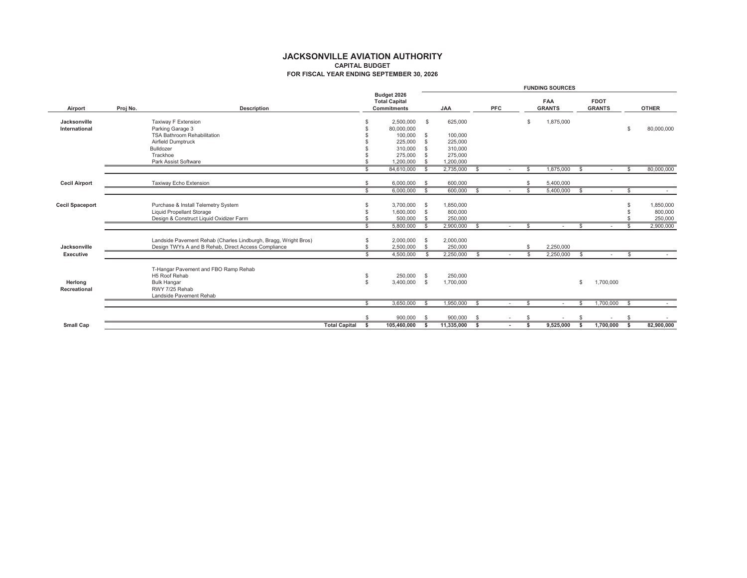|                               |          |                                                                                                                                                      |                                                 |                                                                                  |                                |                                                                  |     |         | FUNDING SOURCES          |    |                       |            |                                 |
|-------------------------------|----------|------------------------------------------------------------------------------------------------------------------------------------------------------|-------------------------------------------------|----------------------------------------------------------------------------------|--------------------------------|------------------------------------------------------------------|-----|---------|--------------------------|----|-----------------------|------------|---------------------------------|
| Airport                       | Proj No. | Description                                                                                                                                          |                                                 | Commitments<br>Budget 2026<br><b>Total Capital</b>                               |                                | <b>AA</b>                                                        | PFC |         | <b>GRANTS</b><br>FAA     |    | <b>GRANTS</b><br>FDOT |            | <b>OTHER</b>                    |
| Jacksonville<br>International |          | TSA Bathroom Rehabilitation<br>Park Assist Software<br>Taxiway F Extension<br>Airfield Dumptruck<br>Parking Garage 3<br>Trackhoe<br><b>Bulldozer</b> | $\theta$<br>$\Theta$<br>$\Theta$<br>↮<br>↔<br>ക | 100,000<br>225,000<br>310,000<br>275,000<br>2,500,000<br>80,000,000<br>1,200,000 | မာ<br>↮<br>$\Theta$<br>မာမာ    | 625,000<br>100,000<br>225,000<br>310,000<br>275,000<br>1,200,000 |     | ↮       | 1,875,000                |    |                       | ↮          | 80,000,000                      |
| Cecil Airport                 |          | Taxiway Echo Extension                                                                                                                               | ↮<br>↮                                          | 6,000,000<br>84,610,000                                                          | ↮<br>↮                         | မာ<br>600,000<br>2,735,000                                       |     | မာ<br>↮ | 1,875,000<br>5,400,000   | မာ |                       | မာ         | 80,000,000                      |
|                               |          |                                                                                                                                                      | $\Theta$                                        | 6,000,000                                                                        | ⊷                              | ↔<br>600,000                                                     |     | ↔       | 5,400,000                | ↔  |                       | ↮          |                                 |
| Cecil Spaceport               |          | Design & Construct Liquid Oxidizer Farm<br>Purchase & Install Telemetry System<br>Liquid Propellant Storage                                          | $\omega$<br>↮                                   | 3,700,000<br>1,600,000<br>500,000                                                | ↔<br>↮<br>$\Theta$             | 1,850,000<br>800,000<br>250,000                                  |     |         |                          |    |                       | မာ မာ<br>↔ | 800,000<br>250,000<br>1,850,000 |
|                               |          |                                                                                                                                                      | ↮                                               | 5,800,000                                                                        | $\boldsymbol{\varphi}$         | ↮<br>2,900,000                                                   |     | ↮       |                          | ↮  |                       | ↮          | 2,900,000                       |
| Jacksonville<br>Executive     |          | Landside Pavement Rehab (Charles Lindburgh, Bragg, Wright Bros)<br>Design TWYs A and B Rehab, Direct Access Compliance                               | မာမာ<br>↮                                       | 2,000,000<br>2,500,000<br>4,500,000                                              | $\boldsymbol{\varphi}$<br>မာမာ | ↮<br>2,000,000<br>2,250,000                                      |     | ↮<br>↮  | 2,250,000<br>2,250,000   | ↮  |                       | ↮          |                                 |
| Recreational<br>Herlong       |          | T-Hangar Pavement and FBO Ramp Rehal<br>andside Pavement Rehab<br>RWY 7/25 Rehab<br><b>H5 Roof Rehab</b><br>Bulk Hangar                              | မာ မာ                                           | 250,000<br>3,400,000                                                             | $\Theta$<br>↮                  | 250,000<br>1,700,000                                             |     |         |                          | ↮  | 1,700,000             |            |                                 |
|                               |          |                                                                                                                                                      | $\Theta$                                        | 3,650,000                                                                        | ↮                              | ↮<br>1,950,000                                                   |     | ↮       |                          | ₩  | 1,700,000             | ↮          |                                 |
|                               |          |                                                                                                                                                      | ↮                                               | 900,000                                                                          | ↮                              | ↮<br>900,000                                                     |     | ↮       | $\overline{\phantom{a}}$ | ↮  |                       | ↮          |                                 |
| Small Cap                     |          | <b>Total Capital</b>                                                                                                                                 | Ψŀ                                              | 105,460,000                                                                      | Ø                              | Ø<br>11,335,000                                                  |     | မာ      | 9,525,000                | Ø  | 1,700,000             | ΨĤ         | 82,900,000                      |
|                               |          |                                                                                                                                                      |                                                 |                                                                                  |                                |                                                                  |     |         |                          |    |                       |            |                                 |

**JACKSONVILLE AVIATION AUTHORITY<br>CAPITAL BUDGET<br>FOR FISCAL YEAR ENDING SEPTEMBER 30, 2026 JACKSONVILLE AVIATION AUTHORITY FOR FISCAL YEAR ENDING SEPTEMBER 30, 2026 CAPITAL BUDGET**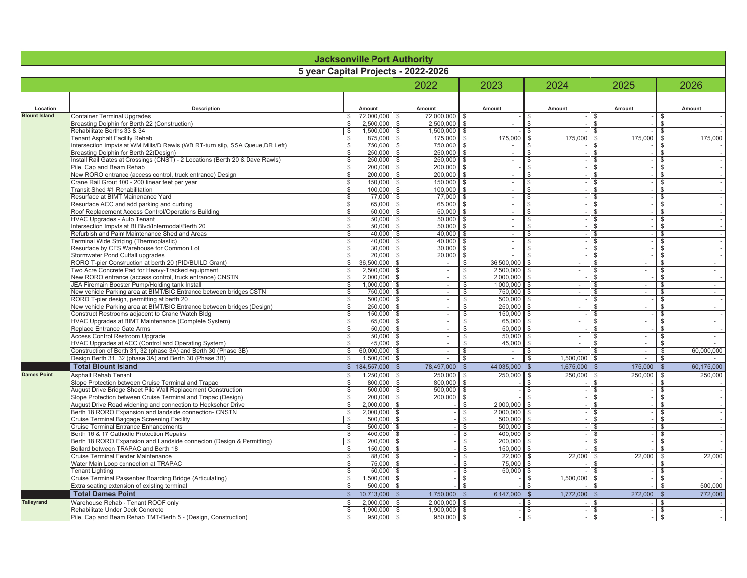|                      |                                                                                                                                    | <b>Jacksonville Port Authority</b>              |                                                     |                                                                                                                 |                                |                                              |                                 |
|----------------------|------------------------------------------------------------------------------------------------------------------------------------|-------------------------------------------------|-----------------------------------------------------|-----------------------------------------------------------------------------------------------------------------|--------------------------------|----------------------------------------------|---------------------------------|
|                      |                                                                                                                                    | year Capital Projects - 2022-2026               |                                                     |                                                                                                                 |                                |                                              |                                 |
|                      |                                                                                                                                    |                                                 | 2022                                                | 2023                                                                                                            | 2024                           | 2025                                         | 2026                            |
| Location             | Description                                                                                                                        | Amount                                          | Amount                                              | Amount                                                                                                          | Amount                         | Amount                                       | Amount                          |
| <b>Blount Island</b> | Container Terminal Upgrades                                                                                                        | မာမာ<br>72,000,000                              | 72,000,000                                          | မာမြာ                                                                                                           | မာမြာ                          | မာမြာ                                        |                                 |
|                      | (Construction)<br>Breasting Dolphin for Berth 22<br>Rehabilitate Berths 33 & 34                                                    | 1,500,000                                       | 1,500,000<br>2,500,000                              | ↮                                                                                                               |                                |                                              |                                 |
|                      | Tenant Asphalt Facility Rehab                                                                                                      | မာ မာ<br>875,000                                | 175,000                                             | 175,000                                                                                                         | 175,000                        | 175,000                                      | 175,000                         |
|                      | Intersection Impvts at WM Mills/D Rawls (WB RT-turn slip, SSA Queue, DR Left)                                                      | ↮<br>750,000                                    | 750,000                                             | ↮                                                                                                               | မှာ မှာ မှာ                    | မာမာမ                                        |                                 |
|                      | Breasting Dolphin for Berth 22(Design)                                                                                             | ↮<br>250,000                                    | 250,000                                             | $\blacksquare$<br>↮                                                                                             | ↮                              | $\Theta$                                     |                                 |
|                      | Install Rail Gates at Crossings (CNST) - 2 Locations (Berth 20 & Dave Rawls)                                                       | 250,000                                         | 250,000                                             |                                                                                                                 | ↮                              | မာမြာ                                        |                                 |
|                      | New RORO entrance (access control, truck entrance) Design<br>Pile, Cap and Beam Rehab                                              | ↮<br>200,000                                    | 200,000                                             | ↮                                                                                                               | ↮                              |                                              |                                 |
|                      | Crane Rail Grout 100 - 200 linear feet per year                                                                                    | ↮<br>↮<br>200,000<br>150,000                    | 200,000<br>150,000                                  | $\mathbf{I}$<br>$\mathbf{r}$<br>↮<br>ക                                                                          | ↮<br>↮                         |                                              |                                 |
|                      | Transit Shed #1 Rehabilitation                                                                                                     | ↮<br>100,000                                    | 100,000                                             | ↮                                                                                                               |                                |                                              |                                 |
|                      | Resurface at BIMT Mainenance Yard                                                                                                  | ↮<br>000<br>77                                  | 77.000                                              | $\overline{\phantom{a}}$<br>↮                                                                                   | မာမြာ                          |                                              |                                 |
|                      | Resurface ACC and add parking and curbing                                                                                          | ↮<br>65,000                                     | 65,000<br>50,000                                    | $\mathbf{I}$<br>↮                                                                                               | ↮                              |                                              |                                 |
|                      | Roof Replacement Access Control/Operations Building                                                                                | ↮<br>50,000                                     |                                                     | ٠<br>↮                                                                                                          | မာမြာ                          |                                              |                                 |
|                      | HVAC Upgrades - Auto Tenant                                                                                                        | မာ<br>50,000                                    | 50,000                                              | $\blacksquare$<br>မာ                                                                                            |                                |                                              |                                 |
|                      | Intersection Impvts at BI Blvd/Intermodal/Berth 20<br>Refurbish and Paint Maintenance Shed and Areas                               | မာမြာ<br>50,000                                 | 50,000<br>40,000                                    | $\mathbf{I}$<br>မာ မာ                                                                                           | မာမာ                           |                                              |                                 |
|                      | Terminal Wide Striping (Thermoplastic)                                                                                             | ↮<br>40,000                                     | 40,000                                              | ٠<br>$\mathbf{I}$<br>↮                                                                                          |                                |                                              |                                 |
|                      | Resurface by CFS Warehouse for Common Lot                                                                                          | 30,000                                          |                                                     |                                                                                                                 |                                |                                              |                                 |
|                      | Stomwater Pond Outfall upgrades                                                                                                    | မာမာ<br>20,000                                  | 30,000                                              | မာ မာ                                                                                                           | မာမာမာ                         |                                              |                                 |
|                      | RORO T-pier Construction at berth 20 (PID/BUILD Grant)                                                                             | ↮<br>500,000<br>36,                             |                                                     | 36,500,000<br>↮                                                                                                 | $\blacksquare$<br>$\Theta$     | $\mathbf{r}$                                 | $\blacksquare$                  |
|                      | Two Acre Concrete Pad for Heavy-Tracked equipment                                                                                  | ↮<br>500,000<br>2                               |                                                     | 2,500,000<br>မာမြာ                                                                                              | ↔                              |                                              |                                 |
|                      | New RORO entrance (access control, truck entrance) CNSTN                                                                           | $\Theta$<br>,000,000<br>$\overline{\mathsf{N}}$ |                                                     | 2,000,000                                                                                                       | ↮                              |                                              |                                 |
|                      | JEA Firemain Booster Pump/Holding tank Install                                                                                     | ↮<br>,000,000<br>$\dot{ }$                      |                                                     | 1,000,000<br>↮                                                                                                  | ↮                              | $\mathbf{I}$                                 |                                 |
|                      | New vehicle Parking area at BIMT/BIC Entrance between bridges CSTN<br>RORO T-pier design, permitting at berth 20                   | မာမြာ<br>500,000<br>750,000                     |                                                     | 750,000<br>500,000<br>မာမာ                                                                                      | ക                              |                                              |                                 |
|                      | New vehicle Parking area at BIMT/BIC Entrance between bridges (Design)                                                             | မာ<br>250,000                                   | $\,$                                                | 250,000<br>↮                                                                                                    | မာ                             | $\blacksquare$<br>မာမြာ                      | မာ မာ မာ                        |
|                      | Construct Restrooms adjacent to Crane Watch Bldg                                                                                   | 150,000                                         |                                                     |                                                                                                                 |                                |                                              |                                 |
|                      | HVAC Upgrades at BIMT Maintenance (Complete System)                                                                                | မာမာ<br>65,000<br>မာမာ                          |                                                     | $\begin{array}{ l}\n\hline\n150,000 \\ \hline\n65,000 \\ \hline\n50,000 \\ \hline\n90,000\n\end{array}$<br>မာမာ | မာ မာ                          | မာမာ                                         |                                 |
|                      | Replace Entrance Gate Arms                                                                                                         | 50,000                                          |                                                     |                                                                                                                 |                                |                                              |                                 |
|                      | မာ မာ မာ<br>Access Control Restroom Upgrade                                                                                        | မှ မှ မှ<br>50,000                              |                                                     |                                                                                                                 |                                |                                              |                                 |
|                      | HVAC Upgrades at ACC (Control and Operating System)                                                                                | 45,000                                          |                                                     | 45,000                                                                                                          |                                |                                              |                                 |
|                      | မာမြာ<br>Construction of Berth 31, 32 (phase 3A) and Berth 30 (Phase 3B)<br>Design Berth 31, 32 (phase 3A) and Berth 30 (Phase 3B) | မာမာ<br>,500,000<br>60,000,000                  |                                                     | မာမြာမြာမ                                                                                                       | 1,500,000<br>မှ မှ မှ မ        | မာ မာ မာ မာ                                  | 60,000,000<br>မျှမျှမျှမျှမျှမျ |
|                      | <b>Total Blount Island</b>                                                                                                         | 184,557,000                                     | 78,497,000                                          | 44,035,000<br>↮                                                                                                 | 1,675,000                      | 175,000                                      | 60,175,000                      |
| Dames Point          | Asphalt Rehab Tenant                                                                                                               | 1,250,000                                       |                                                     | 250,000<br> ↔                                                                                                   | 250,000                        | 250,000                                      | 250,000                         |
|                      | Slope Protection between Cruise Terminal and Trapac                                                                                | မာ မာ မာ<br>800,000                             | $\frac{250,000}{800,000}$ $\frac{500,000}{200,000}$ | $\Theta$                                                                                                        | <b>မှာ မြ</b> မြ မ             |                                              |                                 |
|                      | August Drive Bridge Sheet Pile Wall Replacement Construction                                                                       | မာမာ<br>500,000                                 |                                                     | မာမြာ                                                                                                           |                                |                                              |                                 |
|                      | Slope Protection between Cruise Terminal and Trapac (Design)                                                                       | 200,000                                         |                                                     |                                                                                                                 |                                |                                              |                                 |
|                      | August Drive Road widening and connection to Heckscher Drive                                                                       | $\Theta$<br>000,000<br>$\sim$                   |                                                     | 2,000,000<br>↮                                                                                                  | $\Theta$                       |                                              |                                 |
|                      | Berth 18 RORO Expansion and landside connection- CNSTN<br>Cruise Terminal Baggage Screening Facility                               | မာ<br>↮<br>000,000<br>500,000<br>$\sim$         |                                                     | 2,000,000<br>500,000                                                                                            | ↮<br>↮                         |                                              |                                 |
|                      | Cruise Terminal Entrance Enhancements                                                                                              | မာ<br>500,000                                   |                                                     | 500,000<br>မာ မာ မာ                                                                                             | ↮                              | <u>မ မြ မြ မြ မြ မြ မြ မြ မြ မြ မြ မြ မြ</u> | မှ မြ မျ မျ မျ မျ မျ မျ မျ မ    |
|                      | Berth 16 & 17 Cathodic Protection Repairs                                                                                          | ↮<br>400,000                                    |                                                     | 400,000<br>$\leftrightarrow$                                                                                    | ↮                              |                                              |                                 |
|                      | Berth 18 RORO Expansion and Landside connecion (Design & Permitting)                                                               | ↮<br>200,000                                    |                                                     | 200,000<br>↮                                                                                                    | ↮                              |                                              |                                 |
|                      | Bollard between TRAPAC and Berth 18                                                                                                | ↮<br>150.000                                    |                                                     | 150,000<br>↮                                                                                                    | ↮                              |                                              |                                 |
|                      | Cruise Terminal Fender Maintenance                                                                                                 | ↮<br>88,000                                     |                                                     | 22,000<br>မာမြာ                                                                                                 | 000<br>22<br>မာမာ              | ,000<br>22,                                  | 000<br>22,                      |
|                      | Water Main Loop connection at TRAPAC                                                                                               | ↮<br>50,000<br>75,000                           |                                                     | 50,000                                                                                                          |                                |                                              |                                 |
|                      | Cruise Terminal Passenber Boarding Bridge (Articulating)<br>Tenant Lighting                                                        | မာမြာ<br>500,000                                |                                                     | မာ မာ မာ                                                                                                        | 500,000<br>မာ မာ မာ            | မာမြာ                                        | မ မ မ မ မ                       |
|                      | Extra seating extension of existing terminal                                                                                       | ↮<br>500,000                                    |                                                     |                                                                                                                 |                                | ↮                                            | 500,000                         |
|                      | <b>Total Dames Point</b>                                                                                                           | ↮<br>10,713,000                                 | 1,750,000                                           | 6,147,000<br>$\Theta$                                                                                           | 1,772,000<br>$\leftrightarrow$ | 272,000<br>$\leftrightarrow$                 | 772,000                         |
| Talleyrand           | Warehouse Rehab - Tenant ROOF only                                                                                                 | မာမာ<br>2,000,000<br>1,900,000                  | 2,000,000                                           |                                                                                                                 | မာမြာ                          |                                              |                                 |
|                      | မာ မာ မာ<br>Rehabilitate Under Deck Concrete                                                                                       |                                                 |                                                     | မာ မာ မာ                                                                                                        |                                | မာ မာ                                        | မာ မာ မာ                        |
|                      | Pile, Cap and Beam Rehab TMT-Berth 5 - (Design, Construction)                                                                      | ↔<br>950,000                                    | 950,000                                             |                                                                                                                 | ↔                              |                                              |                                 |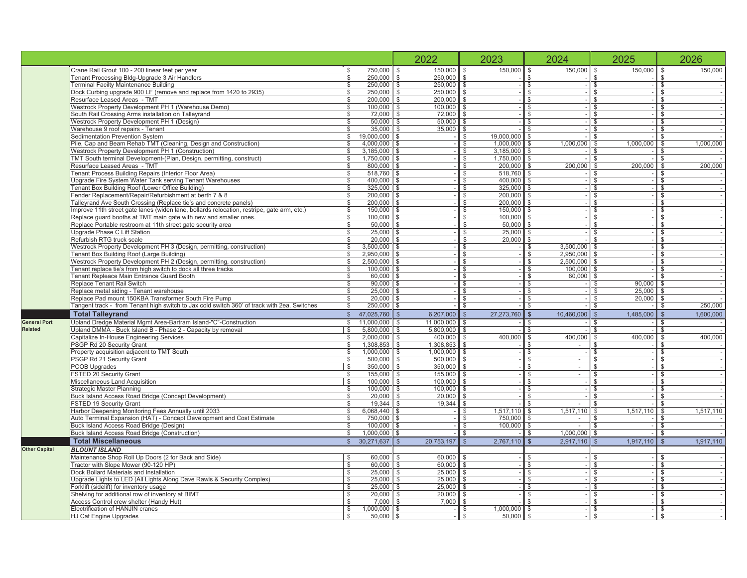|               |                                                                                                                                                       |                                                                     | 2022                                | 2023                | 2024                     | 2025                                | 2026                           |
|---------------|-------------------------------------------------------------------------------------------------------------------------------------------------------|---------------------------------------------------------------------|-------------------------------------|---------------------|--------------------------|-------------------------------------|--------------------------------|
|               | Crane Rail Grout 100 - 200 linear feet per year                                                                                                       | 750,000<br>မာမြာ                                                    | 150,000                             | 000<br>150,<br>↮    | 000<br>50,<br>$\Theta$   | 000<br>150<br>မာမြာ                 | 000<br>150,<br>↮               |
|               | Tenant Processing Bldg-Upgrade 3 Air Handlers                                                                                                         | 250,000                                                             | 250,000                             | ↮                   | ↮                        |                                     | ↮                              |
|               | Terminal Facilty Maintenance Building                                                                                                                 | 250,000<br>မာမြာ                                                    | 250,000                             |                     |                          | မှ မှ မှ                            | မာ မာ မာ                       |
|               | 2935)<br>Dock Curbing upgrade 900 LF (remove and replace from 1420 to                                                                                 |                                                                     |                                     |                     | မာ မာ မာ                 |                                     |                                |
|               | Resurface Leased Areas - TMT                                                                                                                          | 200,000<br>↔                                                        | 200,000                             | ↮                   |                          |                                     |                                |
|               | Westrock Property Development PH 1 (Warehouse Demo)                                                                                                   | 100,000<br>မာမြာ                                                    | 100,000                             |                     | မာမာ                     | မာ မာ                               | မာမြာ                          |
|               | South Rail Crossing Arms installation on Talleyrand                                                                                                   | 72,000                                                              | 72,000                              | ↮                   |                          |                                     |                                |
|               | Westrock Property Development PH 1 (Design)                                                                                                           | 50,000<br>↮                                                         | 50,000                              | s                   | ↮                        |                                     |                                |
|               | Warehouse 9 roof repairs - Tenan                                                                                                                      | 35,000<br>မာမြာ                                                     | 800<br>35,                          | ↮                   | မာမြာ                    | မာ မြ မျ မ                          | မှာ မှာ မှာ                    |
|               | Sedimentation Prevention System                                                                                                                       | 000,000<br>ഉ്                                                       | ↮                                   | 19,000,000<br>↮     |                          |                                     |                                |
|               | Pile, Cap and Beam Rehab TMT (Cleaning, Design and Construction)                                                                                      | 4,000,000<br>↮                                                      | မာ                                  | 1,000,000<br>↮      | 1,000,000<br>↮           | ,000,000<br>$\overline{ }$          | 1,000,000                      |
|               | Westrock Property Development PH 1 (Construction)                                                                                                     | 185,000<br>က<br>$\Theta$                                            |                                     | 185,000<br>ω.<br>↮  | ↮                        |                                     | ↮                              |
|               | TMT South terminal Development-(Plan, Design, permitting, construct)                                                                                  | 1,750,000<br>↮                                                      | ↮                                   | ,750,000<br>မာမြာ   | ക                        | မှ မှ မှ                            | \$                             |
|               | Resurface Leased Areas - TMT                                                                                                                          | 800,000<br>↮                                                        | $\leftrightarrow$                   | 200,000             | 200,000<br>↔             | 200.000                             | 200,000<br>↮                   |
|               | Tenant Process Building Repairs (Interior Floor Area)                                                                                                 | 518,760                                                             |                                     | 518,760<br>↮        |                          |                                     | $\theta$                       |
|               | Upgrade Fire System Water Tank serving Tenant Warehouses                                                                                              | 400,000<br>↮                                                        | ↮                                   | 400,000<br>မာမြာ    | ↮                        |                                     |                                |
|               | Tenant Box Building Roof (Lower Office Building)                                                                                                      | 325,000<br>↮                                                        | ↮                                   | 325,000             | မာ                       |                                     | ↮                              |
|               | Fender Replacement/Repair/Refurbishment at berth 7 & 8                                                                                                | 200,000<br>↮                                                        | ക                                   | 200,000             |                          |                                     | $\theta$                       |
|               | alleyrand Ave South Crossing (Replace tie's and concrete panels)                                                                                      | 200,000<br>↮                                                        | ↮                                   | 200,000<br>မာ မာ မာ |                          |                                     |                                |
|               | Improve 11th street gate lanes (widen lane, bollards relocation, restripe, gate arm, etc                                                              | 150,000<br>↮                                                        | ↮                                   | 150.000             | မာ                       |                                     | ↮                              |
|               | Replace guard booths at TMT main gate with new and smaller ones.                                                                                      | 100,000<br>မာ                                                       |                                     | 100,000<br>↮        |                          | မျှမျှမျှမျှမျှမျ                   | ↮                              |
|               | Replace Portable restroom at 11th street gate security area                                                                                           | 50,000<br>↮                                                         | မာ                                  | 50,000<br>↮         | မာ                       |                                     | ↮                              |
|               | Upgrade Phase C Lift Station                                                                                                                          | 25,000<br>မာမြာ                                                     |                                     | 25,000<br>မာ မာ     | ↮                        | မာ မာ မာ                            | မာမာ                           |
|               | Refurbish RTG truck scale                                                                                                                             |                                                                     | ↮                                   |                     | ↮                        |                                     |                                |
|               | Westrock Property Development PH 3 (Design, permitting, construction)                                                                                 | 500,000<br>ω,<br>↮                                                  | ↮                                   | ↮                   | 500,000<br>က<br>မာ       |                                     | $\boldsymbol{\varphi}$         |
|               | Tenant Box Building Roof (Large Building)                                                                                                             | 950,000<br>N<br>မာမြာ                                               |                                     | မာမာ                | ,950,000<br>Ñ<br>မာ မာ   | မာ မာ                               |                                |
|               | Westrock Property Development PH 2 (Design, permitting, construction)                                                                                 | 2,500,000                                                           | ↮                                   |                     | ,500,000<br>$\mathbf{N}$ |                                     | များများများများများ           |
|               | Tenant replace tie's from high switch to dock all three tracks                                                                                        | 100,000<br>↮                                                        | မာ                                  | ↮                   | 100,000                  |                                     |                                |
|               | Tenant Repleace Main Entrance Guard Booth                                                                                                             | 60,000<br>↮                                                         |                                     | မာမာ                | 60,000<br>မာ မာ မာ       |                                     |                                |
|               | Replace Tenant Rail Switch                                                                                                                            | 90,000<br>↮                                                         | ↮                                   |                     |                          | 90,000                              |                                |
|               | Replace metal siding - Tenant warehouse                                                                                                               | 25,000                                                              | မာ                                  | မာ                  |                          | 25,000                              |                                |
|               | tches<br>angent track - from Tenant high switch to Jax cold switch 360' of track with 2ea. Sw<br>Replace Pad mount 150KBA Transformer South Fire Pump | 20,000<br>250,000<br>မာ မာ မာ                                       | ↮                                   | မာမြာ               | မာ မာ မာ                 |                                     | 250,000                        |
|               |                                                                                                                                                       |                                                                     |                                     |                     |                          |                                     |                                |
|               | <b>Total Talleyrand</b>                                                                                                                               | 47,025,760<br>$\Theta$                                              | 6,207,000                           | ,273,760<br>27<br>↮ | 10,460,000<br>$\Theta$   | ,485,000<br>$\Leftrightarrow$       | 1,600,000<br>$\leftrightarrow$ |
| General Port  | Upland Dredge Material Mgmt Area-Bartram Island-"C"-Construction                                                                                      | 11,000,000<br>↮                                                     | 11,000,000<br>↮                     | မာ                  | $\leftrightarrow$        |                                     |                                |
| Related       | Upland DMMA - Buck Island B - Phase 2 - Capacity by removal                                                                                           | ,800,000<br>ທົ<br>$\Theta$                                          | 800,000<br>ທົ                       |                     | $\theta$                 |                                     |                                |
|               | Capitalize In-House Engineering Services                                                                                                              | ,000,000<br>Ñ<br>↮                                                  | 400,000                             | 000<br>400,<br>မာ   | 000<br>400,              | 000<br>400,                         | 000<br>400                     |
|               | South<br>PSGP Rd 20 Security Grant                                                                                                                    | 1,308,853<br>မာမာ                                                   | 1,308,853                           |                     | ↔                        |                                     |                                |
|               | Property acquisition adjacent to TMT<br>PSGP Rd 21 Security Grant                                                                                     | 500,000<br>000,000                                                  | 500,000<br>$\frac{8}{2}$<br>000,    |                     | $\Theta$                 |                                     |                                |
|               | PCOB Upgrades                                                                                                                                         | 350,000<br>မာ မာ မာ                                                 | 350,000                             | ⊷<br>မာ             | မာမြာ                    |                                     |                                |
|               | FSTED 20 Security Grant                                                                                                                               | 155,000                                                             | 155,000                             |                     | $\Theta$                 |                                     |                                |
|               | Miscellaneous Land Acquisition                                                                                                                        | 100,000                                                             | 100,000                             | မာ                  | ↔                        |                                     |                                |
|               | Strategic Master Planning                                                                                                                             | 100,000                                                             | 100,000                             | ക                   | ↮                        |                                     |                                |
|               | Buck Island Access Road Bridge (Concept Development)                                                                                                  | 20,000<br>မာမာ                                                      | $\frac{8}{2}$<br>20,                | ↮                   | ↮                        |                                     |                                |
|               | FSTED 19 Security Grant                                                                                                                               | 19,344<br>↔                                                         | 344<br><u>ය</u>                     | ↮                   | ↔                        |                                     | မျာမျာမျာမျာမျာမျာမျာမျာမျာ    |
|               | Harbor Deepening Monitoring Fees Annually until 2033                                                                                                  | 068,440<br>ဖ                                                        |                                     | 517,110             | 110<br>517               | 110<br>517,                         | 110<br>517,                    |
|               | Auto Terminal Expansion (HAT) - Concept Development and Cost Estimate                                                                                 | 750,000<br>မာမြာ                                                    |                                     | 750,000<br>မာ မာ    | မာမြာ                    | မြ မျ မျ မျ မျ မျ မျ မျ မျ မျ မျ မျ | မာမာမာ                         |
|               | Buck Island Access Road Bridge (Design)                                                                                                               | 100,000<br>ക                                                        |                                     | 100,000<br>↮        | ↮                        |                                     |                                |
|               | Buck Island Access Road Bridge (Construction)                                                                                                         | 000,000<br>↮                                                        | မာမြာ                               | ↮                   | ,000,000<br>↮            | မာမာ                                |                                |
|               | <b>Total Miscellaneous</b>                                                                                                                            | 30,271,637<br>$\Leftrightarrow$                                     | 20,753,197<br>↮                     | 2,767,110<br>↮      | .917,110<br>۵ĵ<br>↮      | 1,917,110<br>↮                      | 1,917,110<br>↮                 |
| Other Capital | BLOUNT ISLAND                                                                                                                                         |                                                                     |                                     |                     |                          |                                     |                                |
|               | Maintenance Shop Roll Up Doors (2 for Back and Side)                                                                                                  | 000<br>60,                                                          | 60,000<br>↮                         | ↮                   |                          |                                     |                                |
|               | Tractor with Slope Mower (90-120 HP)                                                                                                                  |                                                                     | မာမာ                                | $\Theta$            |                          |                                     |                                |
|               | Dock Bollard Materials and Installation                                                                                                               |                                                                     |                                     | ↮                   |                          |                                     |                                |
|               | Upgrade Lights to LED (All Lights Along Dave Rawls & Security Complex)                                                                                | $\begin{array}{r} 60,000 \\ 25,000 \\ 25,000 \\ 25,000 \end{array}$ | 60,000<br>25,000<br>25,000<br>မာ မာ | မာမာ                | မာမြာများများ            | များများများများများ                |                                |
|               | Forklift (sidelift) for inventory usage                                                                                                               |                                                                     |                                     |                     |                          |                                     |                                |
|               | Shelving for additional row of inventory at BIMT                                                                                                      | 20,000                                                              | 20,000                              | ↮                   |                          |                                     |                                |
|               | Access Control crew shelter (Handy Hut)                                                                                                               | 7,000                                                               | 000<br>Z                            | မာမြာ               | မာမာ                     |                                     |                                |
|               | Electrification of HANJIN cranes                                                                                                                      | ,000,000<br>မှ မျ မျ မျ မျ မျ မျ မျ                                 |                                     | ,000,000            |                          |                                     | မာမြာမြာမြာမြာမြာ              |
|               | HJ Cat Engine Upgrades                                                                                                                                | 50,000                                                              |                                     | 50,000<br>↮         | ↔                        |                                     |                                |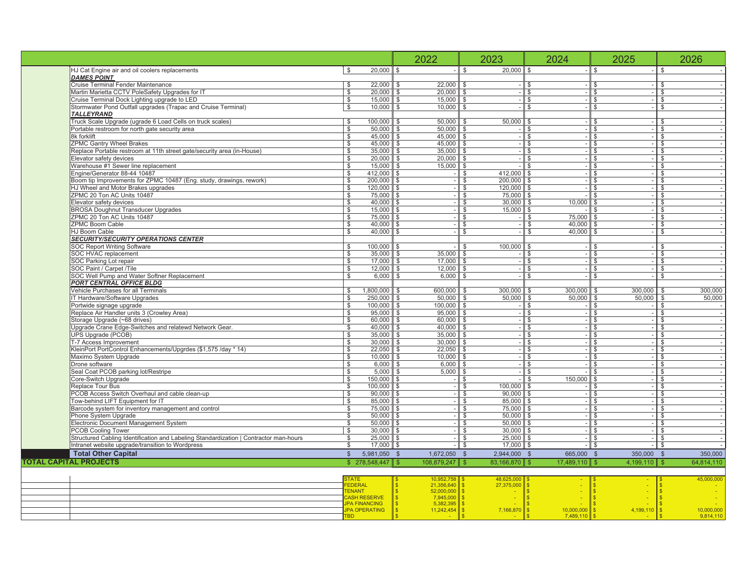|                                                                                    |                                                                                      |                                                | 2022                                                                                | 2023                                                                         | 2024                             | 2025                     |                         | 2026                           |
|------------------------------------------------------------------------------------|--------------------------------------------------------------------------------------|------------------------------------------------|-------------------------------------------------------------------------------------|------------------------------------------------------------------------------|----------------------------------|--------------------------|-------------------------|--------------------------------|
| HJ Cat Engine air and oil coolers replacements<br>DAMES POINT                      |                                                                                      | 000<br>20,<br>↮                                | ↔                                                                                   | 000<br>20,<br>↮                                                              | $\Theta$                         | ↮                        | ↮                       |                                |
| Cruise Teminal Fender Maintenance                                                  |                                                                                      |                                                |                                                                                     |                                                                              |                                  |                          |                         |                                |
| Martin Marietta CCTV PoleSafety Upgrades for IT                                    |                                                                                      | 22,000<br>20,000<br>15,000                     | 22,000<br>မာ မာ မာ                                                                  | မာမြာမြာ                                                                     |                                  | မာ မာ မာ မာ              |                         |                                |
| Cruise Terminal Dock Lighting upgrade to LED                                       |                                                                                      |                                                | 15,000                                                                              |                                                                              |                                  |                          |                         |                                |
|                                                                                    | Stomwater Pond Outfall upgrades (Trapac and Cruise Terminal)                         | 10,000<br>မာ မာ မာ                             | 10,000                                                                              |                                                                              | မာ မာ မာ                         |                          | မာ မာ မာ မာ             |                                |
| TALLEYRAND                                                                         |                                                                                      |                                                |                                                                                     |                                                                              |                                  |                          |                         |                                |
|                                                                                    | Truck Scale Upgrade (ugrade 6 Load Cells on truck scales)                            | 00,000                                         | 50,000<br>မာမြာ                                                                     | 50,000<br>မာမြာ                                                              | မာ မာ မာ မာ မာ                   | မာ မာ မာ<br>$\mathbf{r}$ | မာ မာ မာ                |                                |
| Portable restroom for north gate security area                                     |                                                                                      | 50,000                                         | 50,000                                                                              |                                                                              |                                  |                          |                         |                                |
| 8k forklif                                                                         |                                                                                      | 45,000                                         | 45,000<br>↔                                                                         | $\Theta$                                                                     |                                  |                          |                         |                                |
| ZPMC Gantry Wheel Brakes                                                           |                                                                                      | 45,000                                         | 45,000<br>↮                                                                         | ↮                                                                            |                                  | ↮<br>٠                   | $\leftrightarrow$       |                                |
|                                                                                    | Replace Portable restroom at 11th street gate/security area (in-House                | 35,000                                         | 35,000<br>ക                                                                         | ↔                                                                            |                                  | မာမာ                     | မာမြာ                   |                                |
| Elevator safety devices                                                            |                                                                                      |                                                | 20,000<br>ക                                                                         | $\Theta$                                                                     |                                  |                          |                         |                                |
| Warehouse #1 Sewer line replacement                                                |                                                                                      | 15,000                                         | 15.000<br>⊷                                                                         | ↮                                                                            | ↮                                | ↮<br>$\,$                | ↮                       | $\,$                           |
| Engine/Generator 88-44 10487                                                       |                                                                                      | 412,000                                        | ↮                                                                                   | 412,000<br>↮                                                                 | မာမာ                             | မာမာ                     |                         |                                |
|                                                                                    | Boom tip Improvements for ZPMC 10487 (Eng. study, drawings, rework)                  | 200,000                                        | \$                                                                                  | 200,000<br>$\leftrightarrow$                                                 |                                  |                          |                         |                                |
| HJ Wheel and Motor Brakes upgrades                                                 |                                                                                      | 120,000                                        | ↮                                                                                   | 120,000                                                                      | ↮                                |                          |                         |                                |
| ZPMC 20 Ton AC Units 10487<br>Elevator safety devices                              |                                                                                      | 75,000<br>40,000                               | မာမြာ                                                                               | 30,000<br>မာ မာ မာ                                                           | 000,<br>ļō,<br>မာမာ              | မာ မာ မာ                 |                         |                                |
| BROSA Doughnut Transducer Upgrades                                                 |                                                                                      | 15,000                                         | ↔                                                                                   | 15,000                                                                       |                                  | ↮                        |                         | $\blacksquare$                 |
|                                                                                    |                                                                                      | 75,000                                         |                                                                                     |                                                                              |                                  |                          |                         |                                |
| ZPMC 20 Ton AC Units 10487<br>ZPMC Boom Cable                                      |                                                                                      | 40,000                                         | မာမာ                                                                                |                                                                              | 75,000<br>40,000                 |                          |                         |                                |
| HJ Boom Cable                                                                      |                                                                                      | 40,000                                         | ↔                                                                                   | မာ မာ မာ                                                                     | 40,000<br>မှာမျာမျာ              | မာ မာ မာ                 | မျာများများများများများ | $\mathbf{r}$                   |
| SECURITY/SECURITY OPERATIONS CENTER                                                |                                                                                      |                                                |                                                                                     |                                                                              |                                  |                          |                         |                                |
| SOC Report Writing Software                                                        |                                                                                      | 100,000                                        | $\leftrightarrow$                                                                   | 100,000<br>$\boldsymbol{\varphi}$                                            |                                  |                          |                         |                                |
| SOC HVAC replacement                                                               |                                                                                      |                                                | 35,000                                                                              |                                                                              |                                  | $\mathbf{I}$             |                         | $\,$                           |
| SOC Parking Lot repair                                                             |                                                                                      | 35,000                                         | 000<br>17.<br>မာမာ                                                                  |                                                                              |                                  |                          |                         |                                |
| SOC Paint / Carpet /Tile                                                           |                                                                                      | 12,000<br>$\omega \omega \omega$               | 12,000<br>↮                                                                         | <u>မှ မျှမျှ မ</u>                                                           | မာမာမာ                           | မှာများမျာ               | မာ မာ မာ မာ             |                                |
| SOC Well Pump and Water Softner Replacement                                        |                                                                                      | 6,000                                          | 6,000<br>မာ                                                                         |                                                                              | $\Theta$                         | $\Theta$                 |                         |                                |
| PORT CENTRAL OFFICE BLDG                                                           |                                                                                      |                                                |                                                                                     |                                                                              |                                  |                          |                         |                                |
| Vehicle Purchases for all Terminals                                                |                                                                                      | 1,800,000                                      | 600,000<br>↮                                                                        | 300,000<br>↮                                                                 | 300,000                          | 300,000                  |                         | 300,000                        |
| IT Hardware/Software Upgrades                                                      |                                                                                      | 250,000                                        | 50,000<br>↮                                                                         | 50,000<br>↮                                                                  | 50,000                           | 50,000<br>မာ မာ          |                         | 50,000                         |
| Portwide signage upgrade                                                           |                                                                                      | 100,000                                        | 100,000                                                                             | ↮                                                                            | မ)မ)မ)မ)မ                        | ↮                        | မာ မာ မာ                |                                |
| Replace Air Handler units 3 (Crowley Area)                                         |                                                                                      | 95,000                                         | 95,000                                                                              | ↮                                                                            |                                  | ↮                        |                         |                                |
| Storage Upgrade (∼68 drives)                                                       |                                                                                      | 60,000                                         | 60,000<br>↮                                                                         | ↮                                                                            |                                  | ↮                        |                         |                                |
|                                                                                    | Jpgrade Crane Edge-Switches and relatewd Network Gear.                               | 40,000                                         | 40,000                                                                              | ↮                                                                            |                                  | ↮                        |                         |                                |
| UPS Upgrade (PCOB)                                                                 |                                                                                      |                                                | 35,000<br>↮                                                                         | ↮                                                                            |                                  | မာမြာ                    |                         | ٠                              |
| T-7 Access Improvement                                                             |                                                                                      | 30,000                                         | 30,000<br>↮                                                                         | ↔                                                                            |                                  |                          |                         | $\blacksquare$                 |
|                                                                                    | * 14)<br>KleinPort PortControl Enhancements/Upgrdes (\$1,575/day                     | 10,000<br>22,050                               | 10,000<br>22,050<br>$\Theta$                                                        | ↮                                                                            |                                  |                          |                         | $\mathbf{r}$                   |
| Maximo System Upgrade<br>Drone software                                            |                                                                                      | 6,000                                          | 6,000<br>↮<br>↮                                                                     | မာမြာ                                                                        | မျှ များများများများများများများ | မာ မာ မာ                 |                         | $\mathbf{r}$<br>$\cdot$        |
| Seal Coat PCOB parking lot/Restripe                                                |                                                                                      | 5,000                                          | 000<br>ທົ                                                                           |                                                                              |                                  |                          |                         |                                |
| Core-Switch Upgrade                                                                |                                                                                      | 50,000                                         | $\theta$                                                                            | မာမာ                                                                         | 150,000                          |                          |                         | $\mathbf{r}$<br>$\blacksquare$ |
| Replace Tour Bus                                                                   |                                                                                      | 100,000                                        | ↮                                                                                   | 100,000<br>$\Theta$                                                          |                                  | မာ မာ မာ                 |                         | $\,$                           |
|                                                                                    |                                                                                      |                                                | $\Theta$                                                                            |                                                                              |                                  | $\Theta$                 |                         | $\blacksquare$                 |
| PCOB Access Switch Overhaul and cable clean-up<br>Tow-behind LIFT Equipment for IT |                                                                                      | 90,000                                         | ↮                                                                                   | 90,000<br>85,000<br>75,000<br>မာ မာ မာ                                       |                                  |                          |                         |                                |
| Barcode system for inventory management and control                                |                                                                                      | 75,000                                         | ↮                                                                                   |                                                                              |                                  | မာမာ                     |                         |                                |
| Phone System Upgrade                                                               |                                                                                      | 50,000                                         | ↮                                                                                   | 50,000                                                                       | ↮                                |                          |                         |                                |
| Electronic Document Management System                                              |                                                                                      |                                                | ↮                                                                                   | 50,000                                                                       | ↮                                | မာ မာ မာ                 |                         |                                |
| PCOB Cooling Tower                                                                 |                                                                                      | 30,000                                         | ↮                                                                                   | 30,000                                                                       |                                  |                          |                         |                                |
|                                                                                    | Structured Cabling Identification and Labeling Standardization   Contractor man-hour | 25,000                                         | မာမြာ                                                                               | 25,000<br>မှ မှ မှ မ                                                         | မာ မာ မာ                         | $\Theta$                 |                         |                                |
| Intranet website upgrade/transition to Wordpress                                   |                                                                                      | 17,000                                         | 1,672,050                                                                           | 17,000                                                                       |                                  | 350,000<br>↮             |                         | 350,000                        |
| <b>Total Other Capital</b><br>TOTAL CAPITAL PROJECTS                               |                                                                                      | 5,981,050<br>278,548,447<br>$\Theta$           | 108,879,247<br>$\Theta$<br>$\Theta$                                                 | 2,944,000<br>83,166,870<br>$\pmb{\leftrightarrow}$<br>$\boldsymbol{\varphi}$ | 665,000<br>.110<br>$\Theta$<br>↮ | $\Theta$<br>↮            |                         | 64,814,110                     |
|                                                                                    |                                                                                      |                                                |                                                                                     |                                                                              | ,489,                            | 4,199,110                | ↮                       |                                |
|                                                                                    |                                                                                      |                                                |                                                                                     |                                                                              |                                  |                          |                         | $\frac{1}{2}$<br>45,000,       |
|                                                                                    |                                                                                      | STATE<br>FEDERAL<br>TENANT                     |                                                                                     | ,625,000<br>,375,000<br>$\frac{48}{27}$ .                                    |                                  |                          |                         |                                |
|                                                                                    |                                                                                      |                                                |                                                                                     |                                                                              |                                  |                          |                         |                                |
|                                                                                    |                                                                                      | CASH RESERVE<br>JPA FINANCING<br>JPA OPERATING | 10,952,758<br>21,356,640<br>52,000,000<br>7,945,000<br>5,382,395<br><b>BBBBBBBB</b> | <b>69 69 69 69 69 6</b>                                                      | <b>69 69 69 69 69 6</b>          | <b>DO OD OD OD OD OD</b> |                         |                                |
|                                                                                    |                                                                                      |                                                | 1,242,454                                                                           | 7,166,870                                                                    | 10,000,000                       | 4,199,110                |                         | 10,000,000<br>9,814,110        |
|                                                                                    |                                                                                      | <b>GB</b>                                      |                                                                                     |                                                                              |                                  |                          |                         |                                |
|                                                                                    |                                                                                      |                                                |                                                                                     |                                                                              |                                  |                          |                         |                                |

L - 1

> **Second Revised Exhibit 1 Page 17 of 32**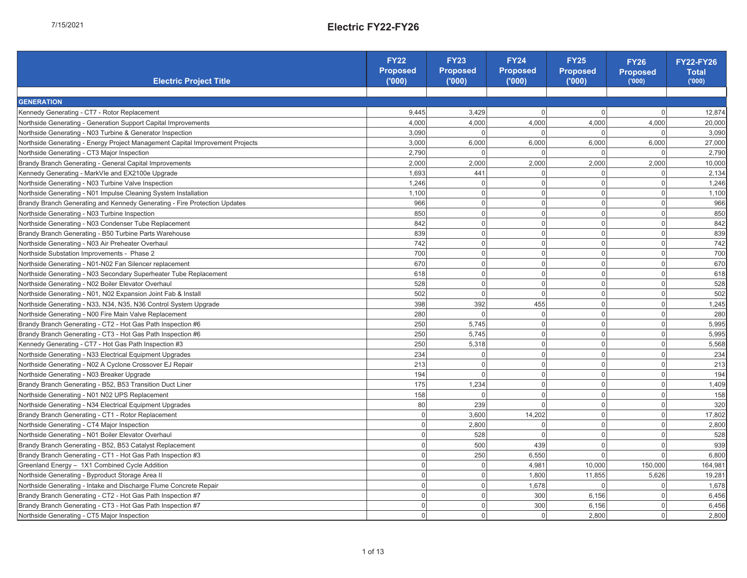| Electric Project Title                                                                                                                                                                                          | <b>FY22</b><br>Proposed<br>(000) | <b>FY23</b><br>Proposed<br>(000) | <b>FY24</b><br>Proposed<br>(000) | FY25<br>Proposed<br>('000) | FY26<br>Proposed<br><sub>('000)</sub> | FY22-FY26<br><b>Total</b><br>(000) |
|-----------------------------------------------------------------------------------------------------------------------------------------------------------------------------------------------------------------|----------------------------------|----------------------------------|----------------------------------|----------------------------|---------------------------------------|------------------------------------|
|                                                                                                                                                                                                                 |                                  |                                  |                                  |                            |                                       |                                    |
| <b>GENERATION</b>                                                                                                                                                                                               |                                  |                                  |                                  |                            |                                       |                                    |
| Kennedy Generating - CT7 - Rotor Replacement                                                                                                                                                                    | 9,445                            | 3,429                            | $\circ$                          | $\circ$                    | $\circ$                               | 12,874                             |
| Northside Generating - Generation Support Capital Improvements                                                                                                                                                  | 4,000                            | 4,000                            | 4,000                            | 4,000                      | 4,000                                 | 20,000                             |
| Northside Generating - N03 Turbine & Generator Inspection                                                                                                                                                       | 3,090                            | $\circ$                          |                                  |                            | $\circ$                               | 3,090                              |
| Northside Generating - Energy Project Management Capital Improvement Projects                                                                                                                                   | 3,000                            | 6,000                            | 6,000                            | 6,000                      | 6,000                                 | 27,000                             |
| Northside Generating - CT3 Major Inspection                                                                                                                                                                     | 2,790                            | $\circ$                          | $\circ$                          | $\circ$                    | $\circ$                               | 2,790                              |
| Brandy Branch Generating - General Capital Improvements                                                                                                                                                         | 2,000                            | 2,000                            | 2,000                            | 2,000                      | 2,000                                 | 10,000                             |
| Kennedy Generating - MarkVle and EX2100e Upgrade                                                                                                                                                                | 1,693                            | 441                              | $\circ$                          | $\circ$                    | $\circ$                               | 2,134                              |
| Northside Generating - N03 Turbine Valve Inspection                                                                                                                                                             | 1,246                            |                                  | $\circ$                          | $\circ$                    | $\circ$                               | 1,246                              |
| Northside Generating - N01 Impulse Cleaning System Installation                                                                                                                                                 | 1,100                            | $\circ$ $\circ$                  | $\circ$                          | $\circ$                    | $\circ$                               | 1,100                              |
| Brandy Branch Generating and Kennedy Generating - Fire Protection Updates                                                                                                                                       | 966                              |                                  | $\circ$                          | $\circ$                    | $\circ$                               | 966                                |
| Northside Generating - N03 Turbine Inspection                                                                                                                                                                   | 850                              |                                  | $\circ$                          | $\circ$                    | $\circ$                               | 850                                |
| Northside Generating - N03 Condenser Tube Replacement                                                                                                                                                           | 842                              | $\circ$ $\circ$ $\circ$          | $\circ$                          | $\circ$                    | $\circ$                               | 842                                |
| Brandy Branch Generating - B50 Turbine Parts Warehouse                                                                                                                                                          | 839                              | $\circ$                          | $\circ$                          | $\circ$                    | $\circ$                               | 839                                |
| Northside Generating - N03 Air Preheater Overhaul                                                                                                                                                               | 742                              |                                  | $\circ$                          |                            |                                       | 742                                |
| Northside Substation Improvements - Phase 2                                                                                                                                                                     | 700                              | $\circ$ $\circ$                  | $\circ$                          | $\circ$ $\circ$            | $\circ$ $\circ$                       | 700                                |
| Northside Generating - N01-N02 Fan Silencer replacement                                                                                                                                                         | 670                              | $\circ$                          | $\circ$                          | $\circ$                    | $\circ$                               | 670                                |
| Northside Generating - N03 Secondary Superheater Tube Replacement                                                                                                                                               | 618                              |                                  | $\circ$                          | $\circ$                    |                                       | 618                                |
| Northside Generating - N02 Boiler Elevator Overhaul                                                                                                                                                             | 528                              | $\circ$ $\circ$                  | $\circ$                          | $\circ$                    | $\circ$ $\circ$                       | 528                                |
| Northside Generating - N01, N02 Expansion Joint Fab & Install                                                                                                                                                   | 502                              | $\circ$                          | $\circ$                          | $\circ$                    |                                       | 502                                |
| Northside Generating - N33, N34, N35, N36 Control System Upgrade                                                                                                                                                | 398                              | 392                              | 455                              |                            | $\circ$ $\circ$ $\circ$               | 1,245                              |
| Northside Generating - N00 Fire Main Valve Replacement                                                                                                                                                          | 280                              | $\circ$                          | $\circ$                          | $\circ$ $\circ$            |                                       | 280                                |
| Brandy Branch Generating - CT2 - Hot Gas Path Inspection #6                                                                                                                                                     | 250                              | 5,745                            | $\circ$                          |                            | $\circ$                               | 5,995                              |
| Brandy Branch Generating - CT3 - Hot Gas Path Inspection #6                                                                                                                                                     | 250                              | 5,745                            | $\circ$                          | $\circ$ $\circ$            |                                       | 5,995                              |
| Kennedy Generating - CT7 - Hot Gas Path Inspection #3                                                                                                                                                           | 250                              | 5,318                            | $\circ$                          | $\circ$                    | $\circ$ $\circ$                       | 5,568                              |
| Northside Generating - N33 Electrical Equipment Upgrades                                                                                                                                                        | 234                              | $\circ$                          | $\circ$                          | $\circ$                    | $\circ$                               | 234                                |
| Northside Generating - N02 A Cyclone Crossover EJ Repair                                                                                                                                                        | 213                              | $\circ$                          | $\circ$                          | $\circ$                    | $\circ$                               | 213                                |
| Northside Generating - N03 Breaker Upgrade                                                                                                                                                                      | 194                              | $\circ$                          | $\circ$                          | $\circ$                    | $\circ$                               | 194                                |
| Brandy Branch Generating - B52, B53 Transition Duct Liner                                                                                                                                                       | 175                              | 1,234                            | $\circ$                          | $\circ$                    |                                       | 1,409                              |
| Northside Generating - N01 N02 UPS Replacement                                                                                                                                                                  | 158                              | $\circ$                          | $\circ$                          | $\circ$                    | $\circ$ $\circ$                       | 158                                |
| Northside Generating - N34 Electrical Equipment Upgrades                                                                                                                                                        | 80                               | 239                              | $\circ$                          | $\circ$                    | $\circ$                               | 320                                |
| Brandy Branch Generating - CT1 - Rotor Replacement                                                                                                                                                              | $\circ$                          | 3,600                            | 202<br>4                         | $\circ$                    |                                       | 17,802                             |
| Northside Generating - CT4 Major Inspection                                                                                                                                                                     | $\circ$                          | 2,800                            | $\circ$                          | $\circ$                    | $\circ$ $\circ$                       | 2,800                              |
| Northside Generating - N01 Boiler Elevator Overhaul                                                                                                                                                             | $\circ$                          | 528                              | $\circ$                          | $\circ$                    | $\circ$                               | 528                                |
| Brandy Branch Generating - B52, B53 Catalyst Replacement                                                                                                                                                        | $\circ$                          | 500                              | 439                              | $\circ$                    | $\circ$                               | 939                                |
| Brandy Branch Generating - CT1 - Hot Gas Path Inspection #3                                                                                                                                                     | $\circ$                          | 250                              | 6,550                            | $\circ$                    | $\circ$                               | 6,800                              |
|                                                                                                                                                                                                                 | $\circ$                          | $\circ$                          | 4,981                            | 10,000                     | 150,000                               | 164,98                             |
| <mark>d</mark> Greenland Energy – 1X1 Combined Cycle Addition<br>3 Northside Generating - Byproduct Storage Area II<br>2 Northside Generating - Intake and Discharge Flume                                      | $\circ$                          | $\circ$ $\circ$                  | 1,800                            | 11,855                     | 626<br>ທົ                             | 19,281                             |
| Northside Generating - Intake and Discharge Flume Concrete Repair                                                                                                                                               | $\circ$                          |                                  | 678                              | $\circ$                    | $\circ$                               | 1,678                              |
|                                                                                                                                                                                                                 | $\circ$                          | $\circ$                          | 300                              | 6,156                      | $\circ$                               | 6,456                              |
| <b><del>d</del>Brandy Branch Generating - CT2 - Hot Gas Path Inspection #7</b><br>รี่ Brandy Branch Generating - CT3 - Hot Gas Path Inspection #7<br><mark>8</mark> Northside Generating - CT5 Major Inspection | $\circ$ $\circ$                  | $\circ$ $\circ$                  | 300                              | 6,156                      | $\circ$ $\circ$                       | 6,456                              |
|                                                                                                                                                                                                                 |                                  |                                  | $\circ$                          | 2,800                      |                                       | 2,800                              |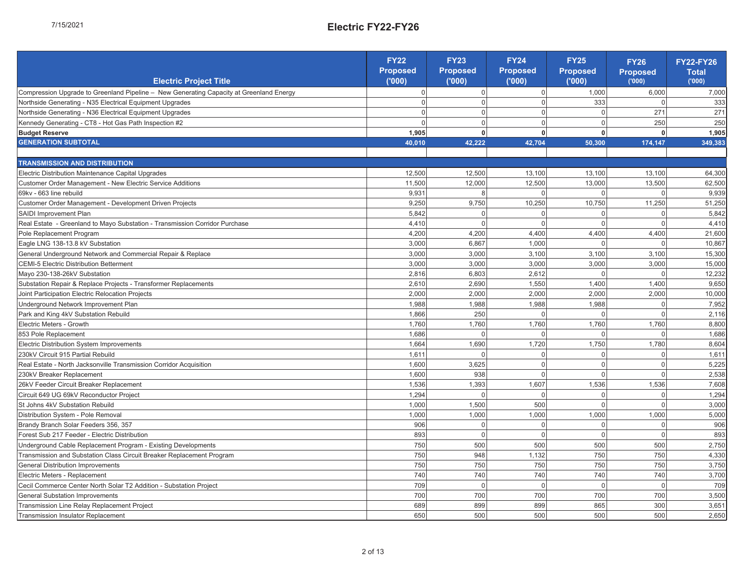| ŗ.     |
|--------|
| ı<br>i |
|        |
|        |

|                                                                                                                                | FY22               | FY23               | <b>FY24</b>        | Proposed<br><b>FY25</b> | Proposed<br><b>FY26</b> | FY22-FY26<br>Total |
|--------------------------------------------------------------------------------------------------------------------------------|--------------------|--------------------|--------------------|-------------------------|-------------------------|--------------------|
| Electric Project Title                                                                                                         | Proposed<br>("000) | Proposed<br>('000) | Proposed<br>("000) | (000)                   | (000)                   | (000)              |
| Compression Upgrade to Greenland Pipeline - New Generating Capacity at Greenland Energy                                        | $\circ$            | $\circ$            | $\circ$            | 1,000                   | 6,000                   | 7,000              |
| Northside Generating - N35 Electrical Equipment Upgrades                                                                       | $\circ$            |                    | $\circ$            | 333                     | $\circ$                 | 333                |
| Northside Generating - N36 Electrical Equipment Upgrades                                                                       | $\circ$            | $\circ$ $\circ$    | $\circ$            | $\circ$                 | 271                     | 271                |
| Kennedy Generating - CT8 - Hot Gas Path Inspection #2                                                                          | $\circ$            | $\circ$            | $\circ$            | $\circ$                 | 250                     | 250                |
| <b>Budget Reserve</b>                                                                                                          | 1,905              | $\bullet$          | ۰                  | $\bullet$               | 0                       | 1,905              |
| <b>GENERATION SUBTOTAL</b>                                                                                                     | 40,010             | 42.222             | 42,704             | 50,300                  | 174, 147                | 349,383            |
|                                                                                                                                |                    |                    |                    |                         |                         |                    |
| <b>TRANSMISSION AND DISTRIBUTION</b>                                                                                           |                    |                    |                    |                         |                         |                    |
| Electric Distribution Maintenance Capital Upgrades                                                                             | 12,500             | 12,500             | 13,100             | 13,100                  | 13,100                  | 64,300             |
| Customer Order Management - New Electric Service Additions                                                                     | 11,500             | 12,000             | 12,500             | 13,000                  | 13,500                  | 62,500             |
| 69kv - 663 line rebuild                                                                                                        | 9,931              |                    |                    |                         | 0                       | 9,939              |
| Customer Order Management - Development Driven Projects                                                                        | 9,250              | 9,750              | 10,250             | 10,750                  | 11,250                  | 51,250             |
| SAIDI Improvement Plan                                                                                                         | 5,842              | $\circ$            | $\circ$            | 0                       | $\circ$                 | 5,842              |
| Real Estate - Greenland to Mayo Substation - Transmission Corridor Purchase                                                    | 4,410              | $\circ$            | $\circ$            | $\circ$                 | $\circ$                 | 4,410              |
| Pole Replacement Program                                                                                                       | 4,200              | 4,200              | 4,400              | 4,400                   | 4,400                   | 21,600             |
| Eagle LNG 138-13.8 kV Substation                                                                                               | 3,000              | 6,867              | 1,000              | 0                       | $\circ$                 | 10,867             |
| General Underground Network and Commercial Repair & Replace                                                                    | 3,000              | 3,000              | 3,100              | 3,100                   | 3,100                   | 15,300             |
| CEMI-5 Electric Distribution Betterment                                                                                        | 3,000              | 3,000              | 3,000              | 3,000                   | 3,000                   | 15,000             |
| Mayo 230-138-26kV Substation                                                                                                   | 2,816              | 6,803              | 2,612              | $\circ$                 | $\circ$                 | 12,232             |
| Substation Repair & Replace Projects - Transformer Replacements                                                                | 2,610              | 2,690              | 1,550              | 1,400                   | 1,400                   | 9,650              |
| Joint Participation Electric Relocation Projects                                                                               | 2,000              | 2,000              | 2,000              | 2,000                   | 2,000                   | 10,000             |
| Underground Network Improvement Plan                                                                                           | 1,988              | 1,988              | 1,988              | 1,988                   | $\circ$                 | 7,952              |
| Park and King 4KV Substation Rebuild                                                                                           | 1,866              | 250                | $\circ$            | $\circ$                 | $\circ$                 | 2,116              |
| Electric Meters - Growth                                                                                                       | 1,760              | 1,760              | 1,760              | 1,760                   | 1,760                   | 8,800              |
| 853 Pole Replacement                                                                                                           | 1,686              | $\circ$            | 0                  | $\circ$                 | 0                       | 1,686              |
| Electric Distribution System Improvements                                                                                      | 1,664              | 1,690              | 1,720              | 1,750                   | 1,780                   | 8,604              |
| 230kV Circuit 915 Partial Rebuild                                                                                              | 1,611              | $\circ$            | $\circ$            | $\circ$                 | $\circ$                 | 1,611              |
| Real Estate - North Jacksonville Transmission Corridor Acquisition                                                             | 1,600              | 3,625              | $\circ$            | $\circ$                 | $\circ$                 | 5,225              |
| 230kV Breaker Replacement                                                                                                      | 1,600              | 938                | $\circ$            | $\circ$                 | $\circ$                 | 2,538              |
| 26kV Feeder Circuit Breaker Replacement                                                                                        | 1,536              | 1,393              | 1,607              | ,536                    | 1,536                   | 7,608              |
| Circuit 649 UG 69kV Reconductor Project                                                                                        | 1,294              | $\circ$            | $\circ$            | $\circ$                 | $\circ$                 | 1,294              |
| St Johns 4kV Substation Rebuild                                                                                                | 1,000              | 1,500              | 500                | $\circ$                 | $\circ$                 | 3,000              |
| Distribution System - Pole Removal                                                                                             | 1,000              | 1,000              | 1,000              | 000                     | 1,000                   | 5,000              |
| Brandy Branch Solar Feeders 356, 357                                                                                           | 906                | $\circ$            | $\circ$            | $\circ$                 | $\circ$                 | 906                |
| Forest Sub 217 Feeder - Electric Distribution                                                                                  | 893                | $\circ$            | $\circ$            | $\circ$                 | $\circ$                 | 893                |
| Underground Cable Replacement Program - Existing Developments                                                                  | 750                | 500                | 500                | 500                     | 500                     | 2,750              |
| Transmission and Substation Class Circuit Breaker Replacement Program                                                          | 750                | 948                | 1,132              | 750                     | 750                     | 4,330              |
| <b>g</b> General Distribution Improvements<br>8 Electric Meters - Replacement<br><b>2</b> Cecil Commerce Center North Solar    | 750                | 750                | 750                | 750                     | 750                     | 3,750              |
|                                                                                                                                | 740                | 740                | 740                | 740                     | 740                     | 3,700              |
| Cecil Commerce Center North Solar T2 Addition - Substation Project                                                             | 709                | $\circ$            | $\circ$            | $\circ$                 | $\circ$                 | 709                |
| <del>g</del> General Substation Improvements<br>4. Transmission Line Relay Replacemen<br>8. Transmission Insulator Replacement | 700                | 700                | 700                | 700                     | 700                     | 3,500              |
| Transmission Line Relay Replacement Project                                                                                    | 689                | 899                | 899                | 865                     | 300                     | 3,651              |
|                                                                                                                                | 650                | 500                | 500                | 500                     | 500                     | 2,650              |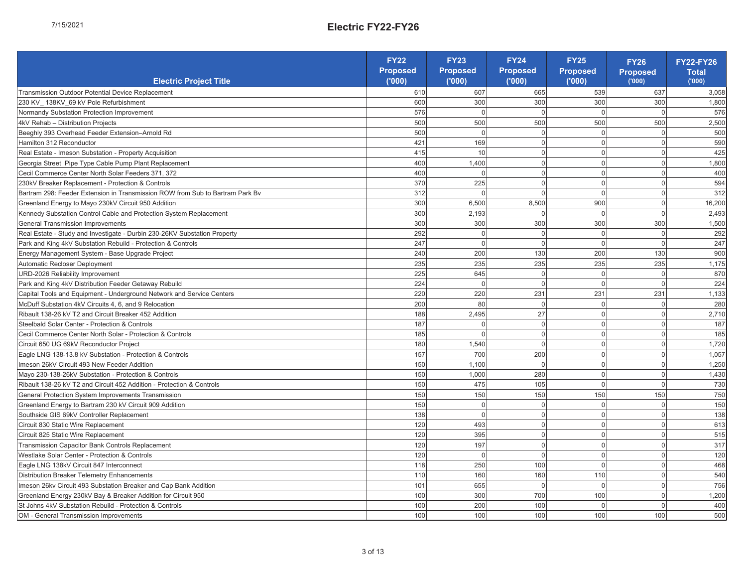| ŗ.     |
|--------|
| ı<br>i |
|        |
|        |

|                                                                                                                                                                                                                                                 | FY22<br>Proposed<br>('000) | FY23<br>Proposed<br>('000) | $\frac{FY24}{P}$<br>Proposed | FY25<br>Proposed<br>('000) |                                       | FY22-FY26             |
|-------------------------------------------------------------------------------------------------------------------------------------------------------------------------------------------------------------------------------------------------|----------------------------|----------------------------|------------------------------|----------------------------|---------------------------------------|-----------------------|
| Electric Project Title                                                                                                                                                                                                                          |                            |                            |                              |                            | FY26<br>Proposed<br><sub>('000)</sub> | <b>Total</b><br>(000) |
| Transmission Outdoor Potential Device Replacement                                                                                                                                                                                               | 610                        | 607                        | 665                          | 539                        | 637                                   | 3,058                 |
| 230 KV_138KV_69 kV Pole Refurbishment                                                                                                                                                                                                           | 600                        | 300                        | 300                          | 300                        | 300                                   | 1,800                 |
| Normandy Substation Protection Improvement                                                                                                                                                                                                      | 576                        |                            | $\circ$                      | $\circ$                    |                                       | 576                   |
| 4kV Rehab - Distribution Projects                                                                                                                                                                                                               | 500                        | 500                        | 500                          | 500                        | 500                                   | 2,500                 |
| Beeghly 393 Overhead Feeder Extension-Arnold Rd                                                                                                                                                                                                 | 500                        |                            | $\circ$                      | $\circ$                    | $\circ$                               | 500                   |
| Hamilton 312 Reconductor                                                                                                                                                                                                                        | 421                        | 169                        | $\circ$                      | $\circ$                    | $\circ$                               | 590                   |
| Real Estate - Imeson Substation - Property Acquisition                                                                                                                                                                                          | 415                        | $\frac{0}{1}$              | $\circ$                      | $\circ$                    | $\circ$                               | 425                   |
| Georgia Street Pipe Type Cable Pump Plant Replacement                                                                                                                                                                                           | 400                        | 1,400                      | $\circ$                      | $\circ$                    | $\circ$                               | 1,800                 |
| Cecil Commerce Center North Solar Feeders 371, 372                                                                                                                                                                                              | 400                        | $\circ$                    | $\circ$                      | $\circ$                    | $\circ$                               | 400                   |
| 230kV Breaker Replacement - Protection & Controls                                                                                                                                                                                               | 370                        | 225                        | $\circ$                      | $\circ$                    | $\circ$                               | 594                   |
| Bartram 298: Feeder Extension in Transmission ROW from Sub to Bartram Park By                                                                                                                                                                   | 312                        | $\circ$                    | $\circ$                      | $\circ$                    | $\circ$                               | 312                   |
| Greenland Energy to Mayo 230kV Circuit 950 Addition                                                                                                                                                                                             | 300                        | 6,500                      | 8,500                        | 900                        | $\circ$                               | 16,200                |
| Kennedy Substation Control Cable and Protection System Replacement                                                                                                                                                                              | 300                        | 2,193                      | $\circ$                      | $\circ$                    | $\circ$                               | 2,493                 |
| General Transmission Improvements                                                                                                                                                                                                               | 300                        | 300                        | 300                          | 300                        | 300                                   | 1,500                 |
| Real Estate - Study and Investigate - Durbin 230-26KV Substation Property                                                                                                                                                                       | 292                        | $\circ$                    | $\circ$                      | $\circ$                    | $\circ$                               | 292                   |
| Park and King 4kV Substation Rebuild - Protection & Controls                                                                                                                                                                                    | 247                        | $\circ$                    | $\circ$                      | $\circ$                    | $\circ$                               | 247                   |
| Energy Management System - Base Upgrade Project                                                                                                                                                                                                 | 240                        | 200                        | 130                          | 200                        | 130                                   | 000                   |
| Automatic Recloser Deployment                                                                                                                                                                                                                   | 235                        | 235                        | 235                          | 235                        | 235                                   | 1,175                 |
| URD-2026 Reliability Improvement                                                                                                                                                                                                                | 225                        | 645                        | $\circ$                      | $\circ$                    | $\circ$                               | 870                   |
| Park and King 4kV Distribution Feeder Getaway Rebuild                                                                                                                                                                                           | 224                        | $\circ$                    | $\circ$                      | $\circ$                    | $\circ$                               | 224                   |
| Capital Tools and Equipment - Underground Network and Service Centers                                                                                                                                                                           | 220                        | 220                        | 231                          | 231                        | 231                                   | 1,133                 |
| McDuff Substation 4kV Circuits 4, 6, and 9 Relocation                                                                                                                                                                                           | 200                        | 80                         | $\circ$                      | $\circ$                    | $\circ$                               | 280                   |
| Ribault 138-26 kV T2 and Circuit Breaker 452 Addition                                                                                                                                                                                           | 188                        | 2,495                      | 27                           | $\circ$                    | $\circ$                               | 2,710                 |
| Steelbald Solar Center - Protection & Controls                                                                                                                                                                                                  | 187                        | $\circ$                    | $\circ$                      | $\circ$                    | $\circ$                               | 187                   |
| Cecil Commerce Center North Solar - Protection & Controls                                                                                                                                                                                       | 185                        | $\circ$                    | $\circ$                      | $\circ$                    | $\circ$                               | 185                   |
| Circuit 650 UG 69kV Reconductor Project                                                                                                                                                                                                         | 180                        | 1,540                      | $\circ$                      | $\circ$                    | $\circ$                               | 1,720                 |
| Eagle LNG 138-13.8 kV Substation - Protection & Controls                                                                                                                                                                                        | 157                        | 700                        | 200                          | $\circ$                    | $\circ$                               | 1,057                 |
| Imeson 26kV Circuit 493 New Feeder Addition                                                                                                                                                                                                     | 150                        | 1,100                      | $\circ$                      | $\circ$                    | $\circ$                               | 1,250                 |
| Mayo 230-138-26kV Substation - Protection & Controls                                                                                                                                                                                            | 150                        | 1,000                      | 280                          | $\circ$                    | $\circ$                               | 1,430                 |
| Ribault 138-26 KV T2 and Circuit 452 Addition - Protection & Controls                                                                                                                                                                           | 150                        | 475                        | 105                          | $\circ$                    | $\circ$                               | 730                   |
| General Protection System Improvements Transmission                                                                                                                                                                                             | 150                        | 150                        | 150                          | 150                        | 150                                   | 750                   |
| Greenland Energy to Bartram 230 kV Circuit 909 Addition                                                                                                                                                                                         | 150                        | $\circ$                    | $\circ$                      | $\circ$                    | $\circ$                               | 150                   |
| Southside GIS 69kV Controller Replacement                                                                                                                                                                                                       | 138                        | $\circ$                    | $\circ$                      | $\circ$                    | $\circ$                               | 138                   |
| Circuit 830 Static Wire Replacement                                                                                                                                                                                                             | 120                        | 493                        | $\circ$                      | $\circ$                    | $\circ$                               | 613                   |
| Circuit 825 Static Wire Replacement                                                                                                                                                                                                             | 120                        | 395                        | $\circ$                      | $\circ$                    | $\circ$                               | 515                   |
| Transmission Capacitor Bank Controls Replacement                                                                                                                                                                                                | 120                        | 197                        | $\circ$                      | $\circ$                    | $\circ$                               | 317                   |
| Westlake Solar Center - Protection & Controls                                                                                                                                                                                                   | 120                        |                            | $\circ$                      | $\circ$                    | $\circ$                               | 120                   |
|                                                                                                                                                                                                                                                 | 118                        | 250                        | 100                          | $\circ$                    | $\circ$                               | 468                   |
|                                                                                                                                                                                                                                                 | 110                        | 160                        | 160                          | 110                        | $\circ$                               | 540                   |
| Imeson 26kv Circuit 493 Substation Breaker and Cap Bank Addition                                                                                                                                                                                | 101                        | 655                        | $\circ$                      | $\circ$                    | $\circ$                               | 756                   |
|                                                                                                                                                                                                                                                 | 100                        | 300                        | 700                          | 100                        | $\circ$                               | 1,200                 |
| <b>g</b> Eagle LNG 138KV Circuit 847 Interconnect<br>8 Distribution Breaker Telemetry Enhancements<br>2 Inneson 26kv Circuit 493 Substation Breaker and Cap Bank Addit<br>5 Circenland Energy 230KV Bay & Breaker Addition for Circuit 950<br>4 | 100                        | 200                        | 100                          | $\circ$                    | $\circ$                               | 400                   |
|                                                                                                                                                                                                                                                 | 100                        | 100                        | 100                          | 100                        | 100                                   | 500                   |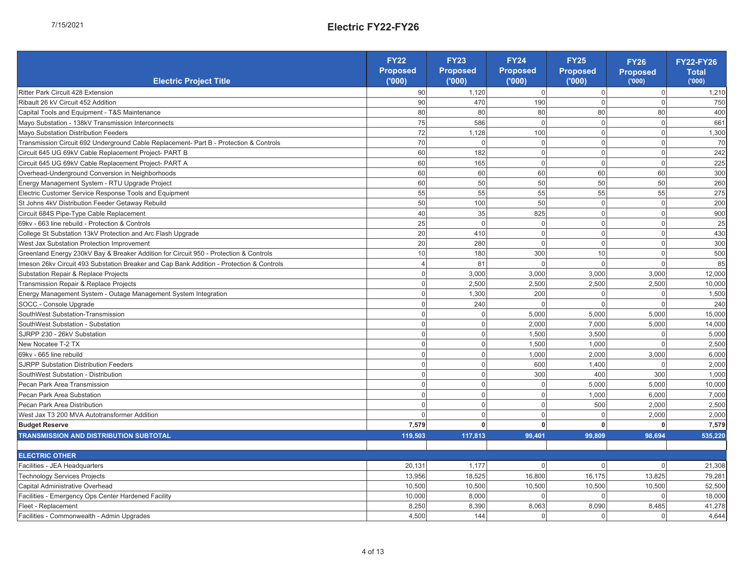| ٠ |
|---|
|   |
|   |

|                                                                                          | FY22<br>Proposed |                            |                                   |                            |                                       | <b>FY22-FY26</b>      |
|------------------------------------------------------------------------------------------|------------------|----------------------------|-----------------------------------|----------------------------|---------------------------------------|-----------------------|
| Electric Project Title                                                                   | (000)            | FY23<br>Proposed<br>('000) | <b>FY24</b><br>Proposed<br>('000) | FY25<br>Proposed<br>('000) | FY26<br>Proposed<br><sub>('000)</sub> | <b>Total</b><br>(000) |
| Ritter Park Circuit 428 Extension                                                        | 90               | 1,120                      | $\circ$                           | $\circ$                    | $\circ$                               | 1,210                 |
| Ribault 26 kV Circuit 452 Addition                                                       | 8                | 470                        | 190                               | $\circ$                    | $\circ$                               | 750                   |
| Capital Tools and Equipment - T&S Maintenance                                            | 80               | 80                         | 80                                | 80                         | $\rm 80$                              | 400                   |
| Mayo Substation - 138kV Transmission Interconnects                                       | 75               | 586                        | $\circ$                           | $\circ$                    | $\circ$                               | 661                   |
| Mayo Substation Distribution Feeders                                                     | 72               | 1,128                      | 100                               | $\circ$                    | $\circ$                               | 1,300                 |
| Transmission Circuit 692 Underground Cable Replacement-Part B - Protection & Controls    | $\overline{70}$  | $\circ$                    | $\circ$                           | $\circ$                    | $\circ$                               | 2                     |
| Circuit 645 UG 69kV Cable Replacement Project-PART B                                     | 60               | 182                        | $\circ$                           | $\circ$                    | $\circ$                               | 242                   |
| Circuit 645 UG 69kV Cable Replacement Project-PART A                                     | 60               | 165                        | $\circ$                           | $\circ$                    | $\circ$                               | 225                   |
| Overhead-Underground Conversion in Neighborhoods                                         | 60               | GO                         | $\mbox{6}$                        | 80                         | $\mbox{6}$                            | 300                   |
| Energy Management System - RTU Upgrade Project                                           | 60               | 50                         | 50                                | 50                         | 50                                    | 260                   |
| Electric Customer Service Response Tools and Equipment                                   | 55               | 55                         | 55                                | 55                         | 55                                    | 275                   |
| St Johns 4kV Distribution Feeder Getaway Rebuild                                         | 50               | 100                        | 50                                | $\circ$                    | $\circ$                               | 200                   |
| Circuit 684S Pipe-Type Cable Replacement                                                 | 40               | 35                         | 825                               | $\circ$                    | $\circ$                               | 900                   |
| 69kv - 663 line rebuild - Protection & Controls                                          | 25               | $\circ$                    | $\circ$                           | $\circ$                    | $\circ$                               | 25                    |
| College St Substation 13kV Protection and Arc Flash Upgrade                              | 20               | 410                        | $\circ$                           | $\circ$                    | $\circ$                               | 430                   |
| West Jax Substation Protection Improvement                                               | 20               | 280                        | $\circ$                           | $\circ$                    | $\circ$                               | 300                   |
| Greenland Energy 230kV Bay & Breaker Addition for Circuit 950 - Protection & Controls    | $\overline{10}$  | 180                        | 300                               | $\frac{0}{1}$              | $\circ$                               | 500                   |
| Imeson 26kv Circuit 493 Substation Breaker and Cap Bank Addition - Protection & Controls | 4                | $\overline{8}$             | $\circ$                           | $\circ$                    | $\circ$                               | 85                    |
| Substation Repair & Replace Projects                                                     | $\circ$          | 3,000                      | 3,000                             | 3,000                      | 3,000                                 | 12,000                |
| Transmission Repair & Replace Projects                                                   | $\circ$          | 2,500                      | 2,500                             | 2,500                      | 2,500                                 | 10,000                |
| Energy Management System - Outage Management System Integration                          | $\circ$          | 1,300                      | 200                               | $\circ$                    | $\circ$                               | 1,500                 |
| SOCC - Console Upgrade                                                                   | $\circ$          | 240                        | $\circ$                           | $\circ$                    | $\circ$                               | 240                   |
| SouthWest Substation-Transmission                                                        | $\circ$          | $\circ$                    | 5,000                             | 5,000                      | 5,000                                 | 15,000                |
| SouthWest Substation - Substation                                                        | $\circ$          |                            | 2,000                             | 7,000                      | 5,000                                 | 14,000                |
| SJRPP 230 - 26kV Substation                                                              | $\circ$          | $\circ$ $\circ$            | 1,500                             | 3,500                      | $\circ$                               | 5,000                 |
| New Nocatee T-2 TX                                                                       | $\circ$          |                            | 1,500                             | 1,000                      | $\circ$                               | 2,500                 |
| 69kv - 665 line rebuild                                                                  | $\circ$          | $\circ$ $\circ$            | 1,000                             | 2,000                      | 3,000                                 | 6,000                 |
| SJRPP Substation Distribution Feeders                                                    | $\circ$          | $\circ$                    | 600                               | 1,400                      | $\circ$                               | 2,000                 |
| SouthWest Substation - Distribution                                                      | $\circ$          | $\circ$                    | 300                               | 400                        | 300                                   | 1,000                 |
| Pecan Park Area Transmission                                                             | $\circ$          | $\circ$                    | $\circ$                           | 5,000                      | 5,000                                 | 10,000                |
| Pecan Park Area Substation                                                               | $\circ$          |                            | $\circ$                           | 1,000                      | 6,000                                 | 7,000                 |
| Pecan Park Area Distribution                                                             | $\circ$          | $\circ$ $\circ$            | $\circ$                           | 500                        | 2,000                                 | 2,500                 |
| West Jax T3 200 MVA Autotransformer Addition                                             |                  | $\circ$                    | $\circ$                           | $\circ$                    | 2,000                                 | 2,000                 |
| <b>Budget Reserve</b>                                                                    | 7,579            | $\bullet$                  | $\bullet$                         | 0                          | $\bullet$                             | 7,579                 |
| TRANSMISSION AND DISTRIBUTION SUBTOTAL                                                   | 119,503          | 117,813                    | 99,401                            | 99,809                     | 98,694                                | 535,220               |
| ELECTRIC OTHER                                                                           |                  |                            |                                   |                            |                                       |                       |
| Facilities - JEA Headquarters                                                            | 20,131           | 1,177                      | $\circ$                           | $\circ$                    | $\circ$                               | 21,308                |
| Technology Services Projects                                                             | 13,956           | 18,525                     | 16,800                            | 16,175                     | 13,825                                | 79,281                |
| Capital Administrative Overhead                                                          | 10,500           | 10,500                     | 10,500                            | 10,500                     | 10,500                                | 52,500                |
| Facilities - Emergency Ops Center Hardened Facility                                      | 10,000           | 8,000                      | $\circ$                           | 0                          | $\circ$                               | 18,000                |
| Fleet - Replacement                                                                      | 8,250            | 8,390                      | 8,063                             | 8,090                      | 8,485                                 | 41,278                |
| Facilities - Commonwealth - Admin Upgrades                                               | 4,500            | 144                        | $\circ$                           | $\circ$                    | $\circ$                               | 4.644                 |

4 of 13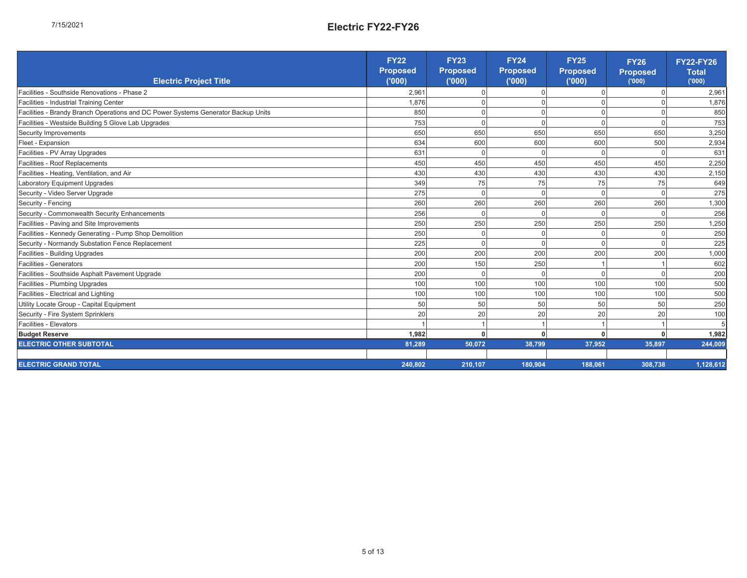|                                                                                   | <b>FY22</b>       | FY <sub>23</sub>  | FY24<br>Proposed | Proposed<br><b>FY25</b> |                                       | FY22-FY26       |
|-----------------------------------------------------------------------------------|-------------------|-------------------|------------------|-------------------------|---------------------------------------|-----------------|
| Electric Project Title                                                            | Proposed<br>(000) | Proposed<br>(000) | (000)            | (000)                   | FY26<br>Proposed<br><sub>('000)</sub> | Total<br>('000) |
| Facilities - Southside Renovations - Phase 2                                      | 2,961             | $\circ$           | $\circ$          | $\circ$                 | $\circ$                               | 2,961           |
| Facilities - Industrial Training Center                                           | 1,876             | $\circ$           | $\circ$          | $\circ$                 | $\circ$                               | 1,876           |
| Facilities - Brandy Branch Operations and DC Power Systems Generator Backup Units | 850               | $\circ$           | $\circ$          | $\circ$                 | $\circ$                               | 850             |
| Facilities - Westside Building 5 Glove Lab Upgrades                               | 753               | $\circ$           | $\circ$          | $\circ$                 | $\circ$                               | 753             |
| Security Improvements                                                             | 650               | 650               | 650              | 650                     | 650                                   | 3,250           |
| Fleet - Expansion                                                                 | 634               | 600               | 600              | 600                     | 500                                   | 2,934           |
| Facilities - PV Array Upgrades                                                    | 631               | $\circ$           | $\circ$          | $\circ$                 | $\circ$                               | 631             |
| Facilities - Roof Replacements                                                    | 450               | 450               | 450              | 450                     | 450                                   | 2,250           |
| Facilities - Heating, Ventilation, and Air                                        | 430               | 430               | 430              | 430                     | 430                                   | 2,150           |
| Laboratory Equipment Upgrades                                                     | 349               | 75                | 75               | 75                      | 75                                    | 649             |
| Security - Video Server Upgrade                                                   | 275               | $\circ$           | $\circ$          | $\circ$                 | $\circ$                               | 275             |
| Security - Fencing                                                                | 260               | 260               | 260              | 260                     | 260                                   | 1,300           |
| Security - Commonwealth Security Enhancements                                     | 256               | $\circ$           | $\circ$          | $\circ$                 | $\circ$                               | 256             |
| Facilities - Paving and Site Improvements                                         | 250               | 250               | 250              | 250                     | 250                                   | 1,250           |
| Facilities - Kennedy Generating - Pump Shop Demolition                            | 250               | $\circ$           | $\circ$          | $\circ$                 | $\circ$                               | 250             |
| Security - Normandy Substation Fence Replacement                                  | 225               | $\circ$           | $\circ$          | $\circ$                 | $\circ$                               | 225             |
| Facilities - Building Upgrades                                                    | 200               | 200               | 200              | 200                     | 200                                   | 000             |
| Facilities - Generators                                                           | 200               | 150               | 250              |                         |                                       | 602             |
| Facilities - Southside Asphalt Pavement Upgrade                                   | 200               | $\circ$           | $\circ$          | $\circ$                 | $\circ$                               | 200             |
| Facilities - Plumbing Upgrades                                                    | 100               | 100               | $\overline{00}$  | 100                     | 100                                   | 500             |
| Facilities - Electrical and Lighting                                              | 100               | 100               | 100              | 100                     | 100                                   | 500             |
| Utility Locate Group - Capital Equipment                                          | SO                | 50                | SO               | SO                      | 50                                    | 250             |
| Security - Fire System Sprinklers                                                 | 20                | 20                | 20               | 20                      | 20                                    | 100             |
| Facilities - Elevators                                                            |                   |                   |                  |                         |                                       | Ю               |
| <b>Budget Reserve</b>                                                             | 1,982             | 0                 | $\bullet$        | 0                       | $\bullet$                             | 1,982           |
| ELECTRIC OTHER SUBTOTAL                                                           | 81,289            | 50,072            | 38,799           | 37,952                  | 35,897                                | 244,009         |
|                                                                                   |                   |                   |                  |                         |                                       |                 |
| ELECTRIC GRAND TOTAL                                                              | 240,802           | 210,107           | 180,904          | 188,061                 | 308,738                               | 1,128,612       |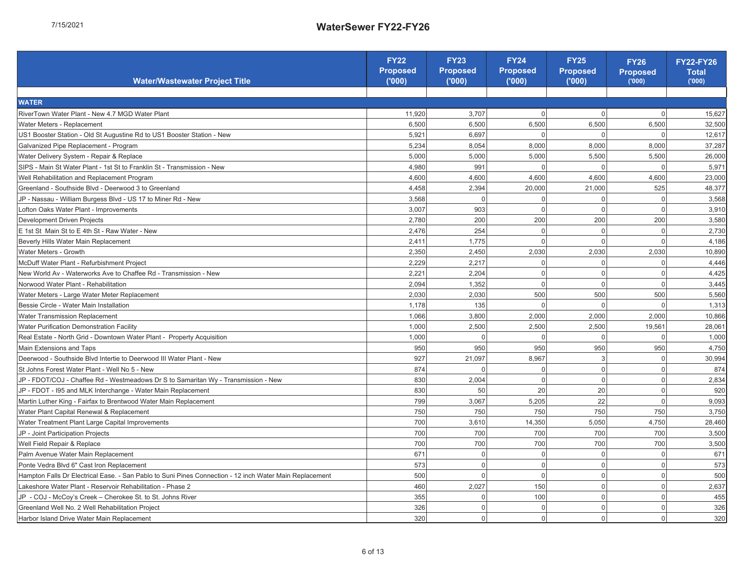| ı |
|---|
|   |
|   |

| Water/Wastewater Project Title                                                                          | FY22<br>Proposed<br>(000) | FY23<br>Proposed<br>(000) | FY24<br>Proposed<br>(000) | Proposed<br><b>FY25</b><br>(000) | FY26<br>Proposed<br>(000) | FY22-FY26<br>Total<br>(000) |
|---------------------------------------------------------------------------------------------------------|---------------------------|---------------------------|---------------------------|----------------------------------|---------------------------|-----------------------------|
|                                                                                                         |                           |                           |                           |                                  |                           |                             |
| WATER                                                                                                   |                           |                           |                           |                                  |                           |                             |
| RiverTown Water Plant - New 4.7 MGD Water Plant                                                         | 11,920                    | 3,707                     | $\circ$                   | $\circ$                          | $\circ$                   | 15,627                      |
| Water Meters - Replacement                                                                              | 6,500                     | 6,500                     | 6,500                     | 6,500                            | 6,500                     | 32,500                      |
| US1 Booster Station - Old St Augustine Rd to US1 Booster Station - New                                  | 5,921                     | 6,697                     | 0                         | $\circ$                          | $\circ$                   | 12,617                      |
| Galvanized Pipe Replacement - Program                                                                   | 5,234                     | 8,054                     | 8,000                     | 8,000                            | 8,000                     | 37,287                      |
| Water Delivery System - Repair & Replace                                                                | 5,000                     | 5,000                     | 5,000                     | 5,500                            | 5,500                     | 26,000                      |
| SIPS - Main St Water Plant - 1st St to Franklin St - Transmission - New                                 | 4,980                     | 991                       |                           | $\circ$                          | $\circ$                   | 5,971                       |
| Well Rehabilitation and Replacement Program                                                             | 4,600                     | 4,600                     | 4,600                     | 4,600                            | 4,600                     | 23,000                      |
| Greenland - Southside Blvd - Deerwood 3 to Greenland                                                    | 4,458                     | 2,394                     | 20,000                    | 21,000                           | 525                       | 48,377                      |
| JP - Nassau - William Burgess Blvd - US 17 to Miner Rd - New                                            | 3,568                     | 0                         | $\circ$                   | $\circ$                          | $\circ$                   | 3,568                       |
| Lofton Oaks Water Plant - Improvements                                                                  | 3,007                     | 903                       | $\circ$                   | $\circ$                          | $\circ$                   | 3,910                       |
| Development Driven Projects                                                                             | 2,780                     | 200                       | 200                       | 200                              | 200                       | 3,580                       |
| E 1st St Main St to E 4th St - Raw Water - New                                                          | 2,476                     | 254                       | $\circ$                   | $\circ$                          | $\circ$                   | 2,730                       |
| Beverly Hills Water Main Replacement                                                                    | 2,411                     | 1,775                     | $\circ$                   | $\circ$                          | $\circ$                   | 4,186                       |
| Water Meters - Growth                                                                                   | 2,350                     | 2,450                     | 2,030                     | 2,030                            | 2,030                     | 10,890                      |
| McDuff Water Plant - Refurbishment Project                                                              | 2,229                     | 2,217                     | $\circ$                   | $\circ$                          | $\circ$                   | 4,446                       |
| New World Av - Waterworks Ave to Chaffee Rd - Transmission - New                                        | 2,221                     | 2,204                     | $\circ$                   | $\circ$                          | $\circ$                   | 4,425                       |
| Norwood Water Plant - Rehabilitation                                                                    | 2,094                     | 1,352                     | $\circ$                   | $\circ$                          | $\circ$                   | 3,445                       |
| Water Meters - Large Water Meter Replacement                                                            | 2,030                     | 2,030                     | 500                       | 500                              | 500                       | 5,560                       |
| Bessie Circle - Water Main Installation                                                                 | 1,178                     | 135                       | $\circ$                   | $\circ$                          | $\circ$                   | 1,313                       |
| Water Transmission Replacement                                                                          | 1,066                     | 3,800                     | 2,000                     | 2,000                            | 2,000                     | 10,866                      |
| Water Purification Demonstration Facility                                                               | 1,000                     | 2,500                     | 2,500                     | 2,500                            | 19,561                    | 28,061                      |
| Real Estate - North Grid - Downtown Water Plant - Property Acquisition                                  | 1,000                     | $\circ$                   | 0                         | $\circ$                          | $\circ$                   | 1,000                       |
| Main Extensions and Taps                                                                                | 950                       | 950                       | 950                       | 950                              | 950                       | 4,750                       |
| Deerwood - Southside Blvd Intertie to Deerwood III Water Plant - New                                    | 927                       | 21,097                    | 8,967                     | S                                | $\circ$                   | 30,994                      |
| St Johns Forest Water Plant - Well No 5 - New                                                           | 874                       | 0                         | 0                         | $\circ$                          | $\circ$                   | 874                         |
| JP - FDOT/COJ - Chaffee Rd - Westmeadows Dr S to Samaritan Wy - Transmission - New                      | 830                       | 2,004                     | $\circ$                   | $\circ$                          | $\circ$                   | 2,834                       |
| JP - FDOT - 195 and MLK Interchange - Water Main Replacement                                            | 830                       | 50                        | 20                        | 20                               | $\circ$                   | 920                         |
| Martin Luther King - Fairfax to Brentwood Water Main Replacement                                        | 799                       | 3,067                     | 5,205                     | 22                               | $\circ$                   | 9,093                       |
| Water Plant Capital Renewal & Replacement                                                               | 750                       | 750                       | 750                       | 750                              | 750                       | 3,750                       |
| Water Treatment Plant Large Capital Improvements                                                        | 700                       | 3,610                     | 14,350                    | 5,050                            | 4,750                     | 28,460                      |
| JP - Joint Participation Projects                                                                       | 700                       | 700                       | 700                       | 700                              | 700                       | 3,500                       |
| Well Field Repair & Replace                                                                             | 700                       | 700                       | 700                       | 700                              | 700                       | 3,500                       |
| Palm Avenue Water Main Replacement                                                                      | 671                       | $\circ$                   | $\circ$                   | $\circ$                          | $\circ$                   | 671                         |
| Ponte Vedra Blvd 6" Cast Iron Replacement                                                               | 573                       | $\circ$                   | $\circ$                   | $\circ$                          | $\circ$                   | 573                         |
| Hampton Falls Dr Electrical Ease. - San Pablo to Suni Pines Connection - 12 inch Water Main Replacement | 500                       | $\circ$                   | $\circ$                   | $\circ$                          | $\circ$                   | 500                         |
| Lakeshore Water Plant - Reservoir Rehabilitation - Phase 2                                              | 460                       | 2,027                     | 150                       | $\circ$                          | $\circ$                   | 2,637                       |
| JP - COJ - McCoy's Creek - Cherokee St. to St. Johns River                                              | 355                       | $\circ$                   | 100                       | $\circ$                          | $\circ$                   | 455                         |
| Greenland Well No. 2 Well Rehabilitation Project                                                        | 326                       | $\circ$                   | $\circ$                   | $\circ$                          | $\circ$                   | 326                         |
| Harbor Island Drive Water Main Replacement                                                              | 320                       | $\overline{\circ}$        | $\circ$                   | $\circ$                          | $\circ$                   | 320                         |

6 of 13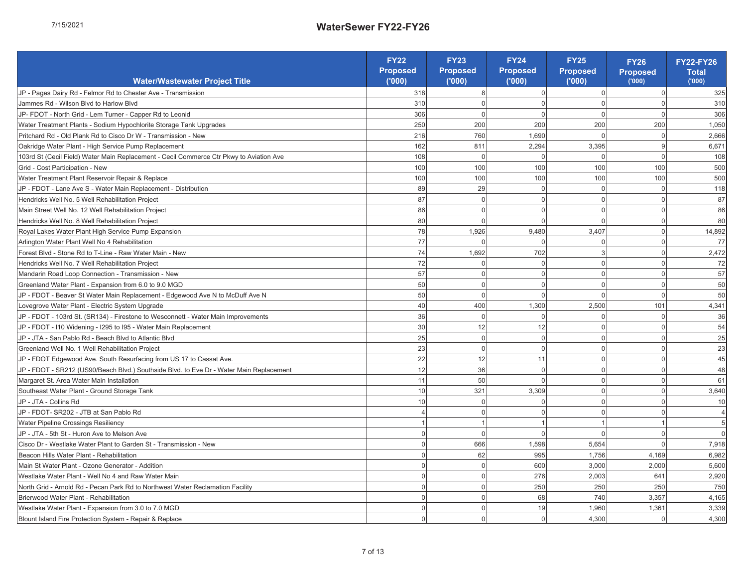| ۲<br>J |
|--------|
|        |
| j      |
| f<br>۰ |
| -<br>、 |
|        |

|                                                                                                                                                                                                                                            | Proposed<br>FY22         | Proposed<br>FY <sub>23</sub> | Proposed<br>FY24                | Proposed<br><b>FY25</b>  | Proposed<br><b>FY26</b>  | <b>FY22-FY26</b><br>Total |
|--------------------------------------------------------------------------------------------------------------------------------------------------------------------------------------------------------------------------------------------|--------------------------|------------------------------|---------------------------------|--------------------------|--------------------------|---------------------------|
| Water/Wastewater Project Title                                                                                                                                                                                                             | (000)                    | (000)                        | (000)                           | (000)                    | (000)                    | (000)                     |
| JP - Pages Dairy Rd - Felmor Rd to Chester Ave - Transmission                                                                                                                                                                              | 318                      | $\infty$                     | $\circ$                         | $\circ$                  | $\circ$                  | 325                       |
| Jammes Rd - Wilson Blvd to Harlow Blvd                                                                                                                                                                                                     | 310                      | $\circ$                      | $\circ$                         | $\circ$                  | $\circ$                  | 310                       |
| JP-FDOT - North Grid - Lem Turner - Capper Rd to Leonid                                                                                                                                                                                    | 306                      | $\circ$                      | $\circ$                         | $\circ$                  | $\circ$                  | 306                       |
| Water Treatment Plants - Sodium Hypochlorite Storage Tank Upgrades                                                                                                                                                                         | 250                      | 200                          | 200                             | 200                      | 200                      | 1,050                     |
| Pritchard Rd - Old Plank Rd to Cisco Dr W - Transmission - New                                                                                                                                                                             | 216                      | 760                          | 1,690                           | $\circ$                  | $\circ$                  | 2,666                     |
| Oakridge Water Plant - High Service Pump Replacement                                                                                                                                                                                       | 162                      | 811                          | 2,294                           | 3,395                    | 6                        | 6,671                     |
| 103rd St (Cecil Field) Water Main Replacement - Cecil Commerce Ctr Pkwy to Aviation Ave                                                                                                                                                    | 108                      | $\circ$                      | $\circ$                         | $\circ$                  | $\circ$                  | 108                       |
| Grid - Cost Participation - New                                                                                                                                                                                                            | $\overline{00}$          | 100                          | 100                             | 100                      | 100                      | 500                       |
| Water Treatment Plant Reservoir Repair & Replace                                                                                                                                                                                           | 100                      | 100                          | 100                             | 100                      | 100                      | 500                       |
| JP - FDOT - Lane Ave S - Water Main Replacement - Distribution                                                                                                                                                                             | 89                       | 29                           | $\circ$                         | $\circ$                  | $\circ$                  | 118                       |
| Hendricks Well No. 5 Well Rehabilitation Project                                                                                                                                                                                           | $\sqrt{8}$               | $\circ$                      | $\circ$                         | $\circ$                  | $\circ$                  | 5                         |
| Main Street Well No. 12 Well Rehabilitation Project                                                                                                                                                                                        | 86                       | $\circ$                      | $\circ$                         | $\circ$                  | $\circ$                  | 86                        |
| Hendricks Well No. 8 Well Rehabilitation Project                                                                                                                                                                                           | 80                       | $\circ$                      | $\circ$                         | $\circ$                  | $\circ$                  | 80                        |
| Royal Lakes Water Plant High Service Pump Expansion                                                                                                                                                                                        | 78                       | 1,926                        | ,480<br>σ                       | 407<br>S                 | $\circ$                  | 14,892                    |
| Arlington Water Plant Well No 4 Rehabilitation                                                                                                                                                                                             | $\overline{7}$           | $\circ$                      | $\circ$                         | $\circ$                  | $\circ$                  | F                         |
| Forest Blvd - Stone Rd to T-Line - Raw Water Main - New                                                                                                                                                                                    | $\overline{7}$           | 1,692                        | 702                             | $\infty$                 | $\circ$                  | 2,472                     |
| Hendricks Well No. 7 Well Rehabilitation Project                                                                                                                                                                                           | 72                       | $\circ$                      | $\circ$                         | $\circ$                  | $\circ$                  | 2                         |
| Mandarin Road Loop Connection - Transmission - New                                                                                                                                                                                         | 57                       | $\circ$                      | $\circ$                         | $\circ$                  | $\circ$                  | 57                        |
| Greenland Water Plant - Expansion from 6.0 to 9.0 MGD                                                                                                                                                                                      | 50                       | $\circ$                      | $\circ$                         | $\circ$                  | $\circ$                  | 50                        |
| JP - FDOT - Beaver St Water Main Replacement - Edgewood Ave N to McDuff Ave N                                                                                                                                                              | 50                       | $\circ$                      | $\circ$                         | $\circ$                  | $\circ$                  | 50                        |
| Lovegrove Water Plant - Electric System Upgrade                                                                                                                                                                                            | 40                       | 400                          | <b>300</b><br>$\overline{ }$    | 2,500                    | 101                      | 4,341                     |
| JP - FDOT - 103rd St. (SR134) - Firestone to Wesconnett - Water Main Improvements                                                                                                                                                          | 36                       | $\circ$                      | $\circ$                         | $\circ$                  | $\circ$                  | 96                        |
| JP - FDOT - I10 Widening - I295 to I95 - Water Main Replacement                                                                                                                                                                            | $30\overline{)}$         | 12                           | $\overline{\omega}$             | $\circ$                  | $\circ$                  | R2                        |
| JP - JTA - San Pablo Rd - Beach Blvd to Atlantic Blvd                                                                                                                                                                                      | 25                       | $\circ$                      | $\circ$                         | $\circ$                  | $\circ$                  | 25                        |
| Greenland Well No. 1 Well Rehabilitation Project                                                                                                                                                                                           | 23                       | $\circ$                      | $\circ$                         | $\circ$                  | $\circ$                  | 23                        |
| JP - FDOT Edgewood Ave. South Resurfacing from US 17 to Cassat Ave.                                                                                                                                                                        | 22                       | $\overline{12}$              | $\overleftarrow{\phantom{a}}$   | $\circ$                  | $\circ$                  | 45                        |
| JP - FDOT - SR212 (US90/Beach Blvd.) Southside Blvd. to Eve Dr - Water Main Replacement                                                                                                                                                    | 12                       | 36                           | $\circ$                         | $\circ$                  | $\circ$                  | 48                        |
| Margaret St. Area Water Main Installation                                                                                                                                                                                                  | $\tilde{t}$              | 50                           | $\circ$                         | $\circ$                  | $\circ$                  | 6                         |
| Southeast Water Plant - Ground Storage Tank                                                                                                                                                                                                | S                        | 321                          | 309<br>က                        | $\circ$                  | $\circ$                  | 3,640                     |
| JP-JTA-Collins Rd                                                                                                                                                                                                                          | $\tilde{0}$              | $\circ$                      | $\circ$                         | $\circ$                  | $\circ$                  | S                         |
| JP - FDOT- SR202 - JTB at San Pablo Rd                                                                                                                                                                                                     | 4                        | $\circ$                      | $\circ$                         | $\circ$                  | $\circ$                  | 4                         |
| Water Pipeline Crossings Resiliency                                                                                                                                                                                                        | $\overline{\phantom{0}}$ | $\overline{\phantom{0}}$     | $\overline{\phantom{0}}$        | $\overline{\phantom{0}}$ | $\overline{\phantom{0}}$ | 5                         |
| JP - JTA - 5th St - Huron Ave to Melson Ave                                                                                                                                                                                                | $\circ$                  | $\circ$                      | $\circ$                         | $\circ$                  | $\circ$                  | $\circ$                   |
| Cisco Dr - Westlake Water Plant to Garden St - Transmission - New                                                                                                                                                                          | $\circ$                  | 666                          | 598<br>$\overline{\phantom{0}}$ | 5,654                    | $\circ$                  | 7,918                     |
| Beacon Hills Water Plant - Rehabilitation                                                                                                                                                                                                  | $\circ$                  | 62                           | 995                             | 1,756                    | 4,169                    | 6,982                     |
|                                                                                                                                                                                                                                            | $\circ$                  | $\circ$                      | 600                             | 3,000                    | 2,000                    | 5,600                     |
| <b>g</b> Main St Water Plant - Ozone Generator - Addition<br>8 Westlake Water Plant - Well No 4 and Raw Water Main<br>A North Grid - Arnold Rd - Pecan Park Rd to Northwest Water Reclamation Facility                                     | $\circ$                  | $\circ$                      | 276                             | 2,003                    | 641                      | 2,920                     |
|                                                                                                                                                                                                                                            | $\circ$                  | $\circ$                      | 250                             | 250                      | 250                      | 750                       |
|                                                                                                                                                                                                                                            | $\circ$                  | $\circ$                      | 89                              | 740                      | 3,357                    | 4,165                     |
|                                                                                                                                                                                                                                            | $\circ$                  | $\circ$                      | $\overline{6}$                  | 1,960                    | 1,361                    | 3,339                     |
|                                                                                                                                                                                                                                            | $\circ$                  | $\circ$                      | $\circ$                         | 4,300                    | $\circ$                  | 4,300                     |
| Matienwood Water Plant - Rehabilitation<br>A Mosstlake Water Plant - Expansion from 3.0 to 7.0 MGD<br>A Mosstlake Water Plant - Expansion from 3.0 to 7.0 MGD<br>A Blount Island Fire Protection System - Repair & Replace<br>Repair & Rep | 7 of 13                  |                              |                                 |                          |                          |                           |
|                                                                                                                                                                                                                                            |                          |                              |                                 |                          |                          |                           |
|                                                                                                                                                                                                                                            |                          |                              |                                 |                          |                          |                           |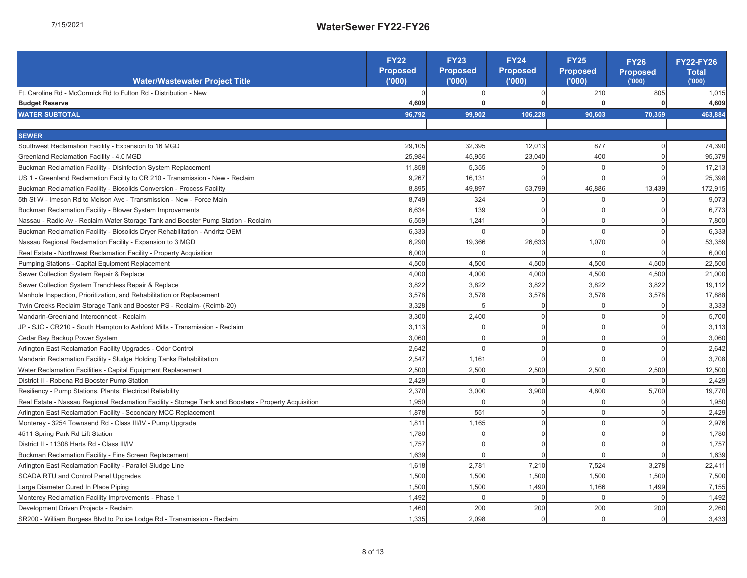| Water/Wastewater Project Title                                                                                                                                                                                                         | Proposed<br><b>FY22</b><br>(000) | FY23<br>Proposed<br>("000) | FY24<br>Proposed<br>('000) | FY25<br>Proposed<br>('000) | FY26<br>Proposed<br><sub>('000)</sub> | <b>FY22-FY26</b><br><b>Total</b><br>(000) |
|----------------------------------------------------------------------------------------------------------------------------------------------------------------------------------------------------------------------------------------|----------------------------------|----------------------------|----------------------------|----------------------------|---------------------------------------|-------------------------------------------|
| Ft. Caroline Rd - McCormick Rd to Fulton Rd - Distribution - New                                                                                                                                                                       | $\circ$                          |                            | $\circ$                    | 210                        | 805                                   | 1,015                                     |
| <b>Budget Reserve</b>                                                                                                                                                                                                                  | 4,609                            | $\circ$ $\circ$            | $\circ$                    |                            | 0                                     | 4,609                                     |
| <b>WATER SUBTOTAL</b>                                                                                                                                                                                                                  | 96,792                           | 99,902                     | 106,228                    | 90,603                     | 70,359                                | 463,884                                   |
|                                                                                                                                                                                                                                        |                                  |                            |                            |                            |                                       |                                           |
| <b>SEWER</b>                                                                                                                                                                                                                           |                                  |                            |                            |                            |                                       |                                           |
| Southwest Reclamation Facility - Expansion to 16 MGD                                                                                                                                                                                   | 29,105                           | 32,395                     | 12,013                     | 877                        | $\circ$                               | 74,390                                    |
| Greenland Reclamation Facility - 4.0 MGD                                                                                                                                                                                               | 25,984                           | 45,955                     | 23,040                     | 400                        | $\circ$                               | 95,379                                    |
| Buckman Reclamation Facility - Disinfection System Replacement                                                                                                                                                                         | 11,858                           | 5,355                      | $\circ$                    | $\circ$                    | $\circ$                               | 17,213                                    |
| US 1 - Greenland Reclamation Facility to CR 210 - Transmission - New - Reclaim                                                                                                                                                         | 9,267                            | 16,131                     | $\circ$                    | $\circ$                    | $\circ$                               | 25,398                                    |
| Buckman Reclamation Facility - Biosolids Conversion - Process Facility                                                                                                                                                                 | 8,895                            | 49,897                     | 53,799                     | 46,886                     | 13,439                                | 172,915                                   |
| 5th St W - Imeson Rd to Melson Ave - Transmission - New - Force Main                                                                                                                                                                   | 8,749                            | 324                        | 0                          | 0                          | $\circ$                               | 9,073                                     |
| Buckman Reclamation Facility - Blower System Improvements                                                                                                                                                                              | 6,634                            | 139                        | $\circ$                    | $\circ$                    | $\circ$                               | 6,773                                     |
| Nassau - Radio Av - Reclaim Water Storage Tank and Booster Pump Station - Reclaim                                                                                                                                                      | 6,559                            | 1.241                      | $\circ$                    | $\circ$                    | $\circ$                               | 7,800                                     |
| Buckman Reclamation Facility - Biosolids Dryer Rehabilitation - Andritz OEM                                                                                                                                                            | 6,333                            | $\circ$                    | $\circ$                    | $\circ$                    | $\circ$                               | 6,333                                     |
| Nassau Regional Reclamation Facility - Expansion to 3 MGD                                                                                                                                                                              | 6,290                            | 19,366                     | 26,633                     | 1,070                      | $\circ$                               | 53,359                                    |
| Real Estate - Northwest Reclamation Facility - Property Acquisition                                                                                                                                                                    | 6,000                            | $\circ$                    | 0                          | $\circ$                    | $\circ$                               | 6,000                                     |
| Pumping Stations - Capital Equipment Replacement                                                                                                                                                                                       | 4,500                            | 4,500                      | 4,500                      | 4,500                      | 4,500                                 | 22,500                                    |
| Sewer Collection System Repair & Replace                                                                                                                                                                                               | 4,000                            | 4,000                      | 4,000                      | 4,500                      | 4,500                                 | 21,000                                    |
| Sewer Collection System Trenchless Repair & Replace                                                                                                                                                                                    | 3,822                            | 3,822                      | 3,822                      | 3,822                      | 3,822                                 | 19,112                                    |
| Manhole Inspection, Prioritization, and Rehabilitation or Replacement                                                                                                                                                                  | 3,578                            | 3,578                      | 3,578                      | 3,578                      | 3,578                                 | 17,888                                    |
| Twin Creeks Reclaim Storage Tank and Booster PS - Reclaim- (Reimb-20)                                                                                                                                                                  | 3,328                            | Б                          | $\circ$                    | 0                          | $\circ$                               | 3,333                                     |
| Mandarin-Greenland Interconnect - Reclaim                                                                                                                                                                                              | 3,300                            | 2,400                      | $\circ$                    | $\circ$                    | $\circ$                               | 5,700                                     |
| JP - SJC - CR210 - South Hampton to Ashford Mills - Transmission - Reclaim                                                                                                                                                             | 3,113                            | $\circ$                    | $\circ$                    | $\circ$                    | $\circ$                               | 3,113                                     |
| Cedar Bay Backup Power System                                                                                                                                                                                                          | 3,060                            | $\circ$                    | $\circ$                    | $\circ$                    | $\circ$                               | 3,060                                     |
| Arlington East Reclamation Facility Upgrades - Odor Control                                                                                                                                                                            | 2,642                            | $\circ$                    | $\circ$                    | $\circ$                    | $\circ$                               | 2,642                                     |
| Mandarin Reclamation Facility - Sludge Holding Tanks Rehabilitation                                                                                                                                                                    | 2,547                            | 1,161                      | $\circ$                    | $\circ$                    | $\circ$                               | 3,708                                     |
| Water Reclamation Facilities - Capital Equipment Replacement                                                                                                                                                                           | 2,500                            | 2,500                      | 2,500                      | 2,500                      | 2,500                                 | 12,500                                    |
| District II - Robena Rd Booster Pump Station                                                                                                                                                                                           | 2,429                            | $\circ$                    | $\circ$                    | 0                          | $\circ$                               | 2,429                                     |
| Resiliency - Pump Stations, Plants, Electrical Reliability                                                                                                                                                                             | 2,370                            | 3,000                      | 900<br>က်                  | 800<br>4                   | 5,700                                 | 19,770                                    |
| Real Estate - Nassau Regional Reclamation Facility - Storage Tank and Boosters - Property Acquisition                                                                                                                                  | 1,950                            | $\circ$                    | $\circ$                    | $\circ$                    | $\circ$                               | 1,950                                     |
| Arlington East Reclamation Facility - Secondary MCC Replacement                                                                                                                                                                        | 1,878                            | 551                        | $\circ$                    | $\circ$                    | $\circ$                               | 2,429                                     |
| Monterey - 3254 Townsend Rd - Class III/IV - Pump Upgrade                                                                                                                                                                              | 1,811                            | 1,165                      | $\circ$                    | $\circ$                    | $\circ$                               | 2,976                                     |
| 4511 Spring Park Rd Lift Station                                                                                                                                                                                                       | 1,780                            | $\circ$                    | $\circ$                    | $\circ$                    | $\circ$                               | 1,780                                     |
| District II - 11308 Harts Rd - Class III/IV                                                                                                                                                                                            | 1,757                            | $\circ$                    | $\circ$                    | $\circ$                    | $\circ$                               | 1,757                                     |
| Buckman Reclamation Facility - Fine Screen Replacement                                                                                                                                                                                 | 1,639                            | $\circ$                    | $\circ$                    | $\circ$                    | $\circ$                               | 1,639                                     |
|                                                                                                                                                                                                                                        | 618                              | 2,781                      | 7,210                      | 7,524                      | 3,278                                 | 22,411                                    |
| <mark>g</mark> Arlington East Reclamation Facility - Parallel Sludge Line<br>3 SCADA RTU and Control Panel Upgrades<br>4 Large Diameter Cured In Place Piping                                                                          | 1,500                            | 1,500                      | 1,500                      | 1,500                      | 1,500                                 | 7,500                                     |
|                                                                                                                                                                                                                                        | 1,500                            | 1,500                      | 1,490                      | 1,166                      | 1,499                                 | 7,155                                     |
|                                                                                                                                                                                                                                        | 1,492                            | $\circ$                    | $\circ$                    | 0                          | $\circ$                               | 1,492                                     |
| <mark>a</mark> Monterey Reclamation Facility Improvements - Phase 1<br>1 Development Driven Projects - Reclaim<br>8 SR200 - William Burgess Blvd to Police Lodge Rd - Tran<br>8 SR200 - William Burgess Blvd to Police Lodge Rd - Tran | 1,460                            | 200                        | 200                        | 200                        | 200                                   | 2,260                                     |
| SR200 - William Burgess Blvd to Police Lodge Rd - Transmission - Reclaim                                                                                                                                                               | 1,335                            | 2,098                      | $\circ$                    | $\circ$                    | $\circ$                               | 3,433                                     |

8 of 13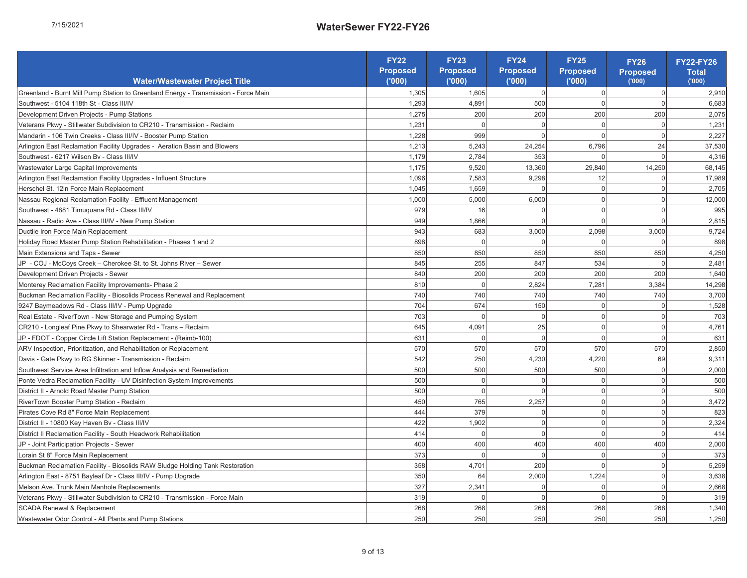| Í      |
|--------|
|        |
|        |
| L      |
|        |
| ï<br>╮ |
|        |

|                                                                                                                                                                                                       | <b>FY22</b>       | <b>FY23</b>       | FY24              | <b>FY25</b>       | <b>FY26</b>     | <b>FY22-FY26</b>      |
|-------------------------------------------------------------------------------------------------------------------------------------------------------------------------------------------------------|-------------------|-------------------|-------------------|-------------------|-----------------|-----------------------|
| Water/Wastewater Project Title                                                                                                                                                                        | Proposed<br>(000) | Proposed<br>(000) | Proposed<br>(000) | Proposed<br>(000) | Proposed        | <b>Total</b><br>(000) |
| Greenland - Burnt Mill Pump Station to Greenland Energy - Transmission - Force Main                                                                                                                   | 1,305             | 1,605             | $\circ$           | $\circ$           | $\circ$         | 2,910                 |
| Southwest - 5104 118th St - Class III/IV                                                                                                                                                              | 1,293             | 4,891             | 500               | $\circ$           | $\circ$         | 6,683                 |
| Development Driven Projects - Pump Stations                                                                                                                                                           | 1,275             | 200               | 200               | 200               | 200             | 2,075                 |
| Veterans PKwy - Stillwater Subdivision to CR210 - Transmission - Reclaim                                                                                                                              | 1,231             | $\circ$           | $\circ$           | $\circ$           | $\circ$         | 1,231                 |
| Mandarin - 106 Twin Creeks - Class III/IV - Booster Pump Station                                                                                                                                      | 1,228             | 999               | $\circ$           | $\circ$           | $\circ$         | 2,227                 |
| Arlington East Reclamation Facility Upgrades - Aeration Basin and Blowers                                                                                                                             | 1,213             | 5,243             | 24,254            | 6,796             | $\overline{24}$ | 37,530                |
| Southwest - 6217 Wilson Bv - Class III/IV                                                                                                                                                             | 1,179             | 2,784             | 353               | $\circ$           | $\circ$         | 4,316                 |
| Wastewater Large Capital Improvements                                                                                                                                                                 | 1,175             | 9,520             | 13,360            | 29,840            | 14,250          | 68,145                |
| Arlington East Reclamation Facility Upgrades - Influent Structure                                                                                                                                     | 1,096             | 7,583             | 9,298             | 12                | $\circ$         | 17,989                |
| Herschel St. 12in Force Main Replacement                                                                                                                                                              | 1,045             | 1,659             | $\circ$           | $\circ$           | $\circ$         | 2,705                 |
| Nassau Regional Reclamation Facility - Effluent Management                                                                                                                                            | 1,000             | 5,000             | 6,000             | $\circ$           | $\circ$         | 12,000                |
| Southwest - 4881 Timuquana Rd - Class III/IV                                                                                                                                                          | 979               | $\frac{6}{5}$     | $\circ$           | $\circ$           | $\circ$         | 995                   |
| Nassau - Radio Ave - Class III/IV - New Pump Station                                                                                                                                                  | 949               | 1,866             | $\circ$           | $\circ$           | $\circ$         | 2,815                 |
| Ductile Iron Force Main Replacement                                                                                                                                                                   | 943               | 683               | 3,000             | 2,098             | 3,000           | 9,724                 |
| Holiday Road Master Pump Station Rehabilitation - Phases 1 and 2                                                                                                                                      | 898               | $\circ$           | $\circ$           | $\circ$           | $\circ$         | 898                   |
| Main Extensions and Taps - Sewer                                                                                                                                                                      | 850               | 850               | 850               | 850               | 850             | 4,250                 |
| JP - COJ - McCoys Creek - Cherokee St. to St. Johns River - Sewer                                                                                                                                     | 845               | 255               | 847               | 534               | $\circ$         | 2,481                 |
| Development Driven Projects - Sewer                                                                                                                                                                   | 840               | 200               | 200               | 200               | 200             | 1,640                 |
| Monterey Reclamation Facility Improvements- Phase 2                                                                                                                                                   | 810               | $\circ$           | 2,824             | 7,281             | 3,384           | 14,298                |
| Buckman Reclamation Facility - Biosolids Process Renewal and Replacement                                                                                                                              | 740               | 740               | 740               | 740               | 740             | 3,700                 |
| 9247 Baymeadows Rd - Class III/IV - Pump Upgrade                                                                                                                                                      | <b>Z04</b>        | 674               | 150               | $\circ$           | $\circ$         | 1,528                 |
| Real Estate - RiverTown - New Storage and Pumping System                                                                                                                                              | 703               | $\circ$           | $\circ$           | $\circ$           | $\circ$         | 703                   |
| CR210 - Longleaf Pine Pkwy to Shearwater Rd - Trans - Reclaim                                                                                                                                         | 645               | 4,091             | 25                | $\circ$           | $\circ$         | 4,761                 |
| JP - FDOT - Copper Circle Lift Station Replacement - (Reimb-100)                                                                                                                                      | 631               | $\circ$           | $\circ$           | $\circ$           | $\circ$         | 631                   |
| ARV Inspection, Prioritization, and Rehabilitation or Replacement                                                                                                                                     | 570               | 570               | 570               | 570               | 570             | 2,850                 |
| Davis - Gate Pkwy to RG Skinner - Transmission - Reclaim                                                                                                                                              | 542               | 250               | 4,230             | 4,220             | 89              | 9,311                 |
| Southwest Service Area Infiltration and Inflow Analysis and Remediation                                                                                                                               | 500               | 500               | 500               | 500               | $\circ$         | 2,000                 |
| Ponte Vedra Reclamation Facility - UV Disinfection System Improvements                                                                                                                                | 500               | $\circ$           | $\circ$           | $\circ$           | $\circ$         | 500                   |
| District II - Arnold Road Master Pump Station                                                                                                                                                         | 500               | $\circ$           | $\circ$           | $\circ$           | $\circ$         | 500                   |
| RiverTown Booster Pump Station - Reclaim                                                                                                                                                              | 450               | 765               | 2,257             | $\circ$           | $\circ$         | 3,472                 |
| Pirates Cove Rd 8" Force Main Replacement                                                                                                                                                             | 444               | 379               | $\circ$           |                   | $\circ$         | 823                   |
| District II - 10800 Key Haven Bv - Class III/IV                                                                                                                                                       | 422               | 902               | $\circ$           | $\circ$ $\circ$   | $\circ$         | 2,324                 |
| District II Reclamation Facility - South Headwork Rehabilitation                                                                                                                                      | 414               | $\circ$           | $\circ$           | $\circ$           | $\circ$         | 414                   |
| JP - Joint Participation Projects - Sewer                                                                                                                                                             | 400               | 400               | 400               | 400               | 400             | 2,000                 |
| Lorain St 8" Force Main Replacement                                                                                                                                                                   | 373               | $\circ$           | $\circ$           | $\circ$           | $\circ$         | 373                   |
| Buckman Reclamation Facility - Biosolids RAW Sludge Holding Tank Restoration                                                                                                                          | 358               | 4,701             | 200               | $\circ$           | $\circ$         | 5,259                 |
| Arlington East - 8751 Bayleaf Dr - Class III/IV - Pump Upgrade<br>Second                                                                                                                              | 350               | 64                | 2,000             | 1,224             | $\circ$         | 3,638                 |
| Melson Ave. Trunk Main Manhole Replacements                                                                                                                                                           | 327               | 2,341             | $\circ$           | $\circ$           | $\circ$         | 2,668                 |
| <mark>a</mark> Veterans Pkwy - Stillwater Subdivision to CR210 - Transmission - Force Main<br>4.SCADA Renewal & Replacement<br><mark>8.</mark> Wastewater Odor Control - All Plants and Pump Stations | 319               | $\circ$           | $\circ$           | $\circ$           | $\circ$         | 319                   |
|                                                                                                                                                                                                       | 268               | 268               | 268               | 268               | 268             | 1,340                 |
|                                                                                                                                                                                                       | 250               | 250               | 250               | 250               | 250             | 1,250                 |
| Exhibit 1                                                                                                                                                                                             | 9 of 13           |                   |                   |                   |                 |                       |
|                                                                                                                                                                                                       |                   |                   |                   |                   |                 |                       |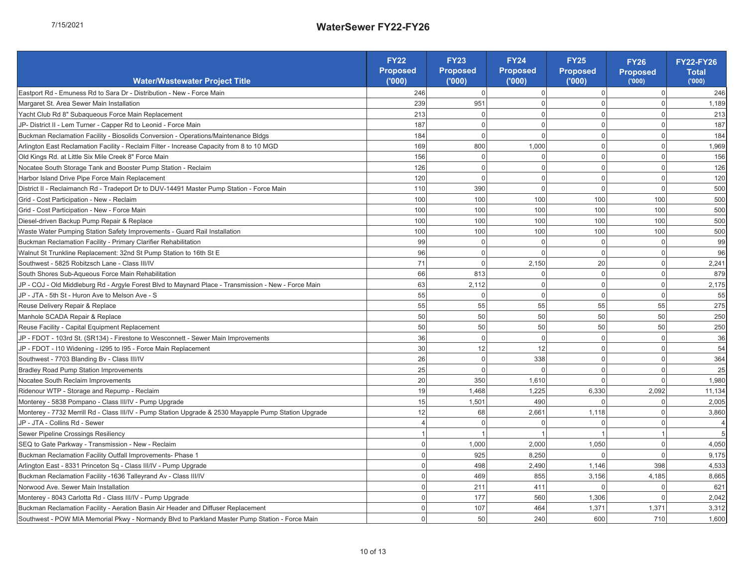| ۲ |
|---|
|   |
|   |
|   |
|   |
|   |
| ı |
|   |

|                                                                                                                                                                                                                                         | FY22              | FY23              | Proposed<br>FY24                | <b>FY25</b>       | <b>FY26</b>              | FY22-FY26      |
|-----------------------------------------------------------------------------------------------------------------------------------------------------------------------------------------------------------------------------------------|-------------------|-------------------|---------------------------------|-------------------|--------------------------|----------------|
| Water/Wastewater Project Title                                                                                                                                                                                                          | Proposed<br>(000) | Proposed<br>(000) | (000)                           | Proposed<br>(000) | Proposed<br>(000)        | Total<br>(000) |
| Eastport Rd - Emuness Rd to Sara Dr - Distribution - New - Force Main                                                                                                                                                                   | 246               | $\circ$           | $\circ$                         | $\circ$           | $\circ$                  | 246            |
| Margaret St. Area Sewer Main Installation                                                                                                                                                                                               | 239               | 951               | $\circ$                         | $\circ$           | $\circ$                  | 1,189          |
| Yacht Club Rd 8" Subaqueous Force Main Replacement                                                                                                                                                                                      | 213               | $\circ$           | $\circ$                         | $\circ$           | $\circ$                  | 213            |
| JP-District II - Lem Turner - Capper Rd to Leonid - Force Main                                                                                                                                                                          | 187               | $\circ$           | $\circ$                         | $\circ$           | $\circ$                  | 187            |
| Buckman Reclamation Facility - Biosolids Conversion - Operations/Maintenance Bldgs                                                                                                                                                      | 184               | $\circ$           | $\circ$                         | $\circ$           | $\circ$                  | 184            |
| Arlington East Reclamation Facility - Reclaim Filter - Increase Capacity from 8 to 10 MGD                                                                                                                                               | 169               | 800               | 1,000                           | $\circ$           | $\circ$                  | 1,969          |
| Old Kings Rd. at Little Six Mile Creek 8" Force Main                                                                                                                                                                                    | 156               |                   | $\circ$                         | $\circ$           |                          | 156            |
| Nocatee South Storage Tank and Booster Pump Station - Reclaim                                                                                                                                                                           | 126               | $\circ$ $\circ$   | $\circ$                         | $\circ$           | $\circ$ $\circ$          | 126            |
| Harbor Island Drive Pipe Force Main Replacement                                                                                                                                                                                         | 120               | $\circ$           | $\circ$                         | $\circ$           | $\circ$                  | 120            |
| District II - Reclaimanch Rd - Tradeport Dr to DUV-14491 Master Pump Station - Force Main                                                                                                                                               | 110               | 390               | $\circ$                         | $\circ$           | $\circ$                  | 500            |
| Grid - Cost Participation - New - Reclaim                                                                                                                                                                                               | 100               | 100               | 100                             | 100               | 001                      | 500            |
| Grid - Cost Participation - New - Force Main                                                                                                                                                                                            | 100               | 100               | 100                             | 100               | 100                      | 500            |
| Diesel-driven Backup Pump Repair & Replace                                                                                                                                                                                              | 100               | 100               | 100                             | 100               | 100                      | 500            |
| Waste Water Pumping Station Safety Improvements - Guard Rail Installation                                                                                                                                                               | 100               | 100               | 100                             | 100               | 100                      | 500            |
| Buckman Reclamation Facility - Primary Clarifier Rehabilitation                                                                                                                                                                         | 99                | $\circ$           | $\circ$                         | $\circ$           | $\circ$                  | 8              |
| Walnut St Trunkline Replacement: 32nd St Pump Station to 16th St E                                                                                                                                                                      | 96                | $\circ$           | $\circ$                         | $\circ$           | $\circ$                  | 96             |
| Southwest - 5825 Robitzsch Lane - Class III/IV                                                                                                                                                                                          | $\overline{7}$    | $\circ$           | 150<br>$\overline{\mathcal{N}}$ | $_{20}$           | $\circ$                  | 2,241          |
| South Shores Sub-Aqueous Force Main Rehabilitation                                                                                                                                                                                      | 86                | 813               | $\circ$                         | $\circ$           | $\circ$                  | 879            |
| Main<br>JP - COJ - Old Middleburg Rd - Argyle Forest Blvd to Maynard Place - Transmission - New - Force                                                                                                                                 | 63                | 2,112             | $\circ$                         | $\circ$           |                          | 2,175          |
| JP - JTA - 5th St - Huron Ave to Melson Ave - S                                                                                                                                                                                         | 55                | $\circ$           | $\circ$                         | $\circ$           | $\circ$ $\circ$          | 55             |
| Reuse Delivery Repair & Replace                                                                                                                                                                                                         | 55                | 55                | 55                              | 55                | 55                       | 275            |
| Manhole SCADA Repair & Replace                                                                                                                                                                                                          | 50                | 50                | 50                              | 50                | 50                       | 250            |
| Reuse Facility - Capital Equipment Replacement                                                                                                                                                                                          | 50                | 50                | 50                              | SO                | 50                       | 250            |
| JP - FDOT - 103rd St. (SR134) - Firestone to Wesconnett - Sewer Main Improvements                                                                                                                                                       | 36                | $\circ$           | $\circ$                         | $\circ$           | $\circ$                  | 36             |
| JP - FDOT - I10 Widening - I295 to I95 - Force Main Replacement                                                                                                                                                                         | $30\overline{)}$  | 12                | $\tilde{c}$                     | $\circ$           | $\circ$                  | 54             |
| Southwest - 7703 Blanding Bv - Class III/IV                                                                                                                                                                                             | 26                |                   | 338                             | $\circ$           |                          | 364            |
| Bradley Road Pump Station Improvements                                                                                                                                                                                                  | 25                | $\circ$ $\circ$   | $\circ$                         | $\circ$           | $\circ$ $\circ$          | 25             |
| Nocatee South Reclaim Improvements                                                                                                                                                                                                      | 20                | 350               | 1,610                           | $\circ$           | $\circ$                  | 1,980          |
| Ridenour WTP - Storage and Repump - Reclaim                                                                                                                                                                                             | $\overline{9}$    | 1,468             | 1,225                           | 330<br>6.         | 2,092                    | 11,134         |
| Monterey - 5838 Pompano - Class III/IV - Pump Upgrade                                                                                                                                                                                   | 15                | 1,501             | 490                             | $\circ$           | $\circ$                  | 2,005          |
| pgrade<br>Monterey - 7732 Merrill Rd - Class III/IV - Pump Station Upgrade & 2530 Mayapple Pump Station L                                                                                                                               | 12                | 68                | ,661<br>$\sim$                  | 1,118             | $\circ$                  | 3,860          |
| JP-JTA-Collins Rd-Sewer                                                                                                                                                                                                                 | 4                 | $\circ$           | $\circ$                         | $\circ$           | $\circ$                  | 4              |
| Sewer Pipeline Crossings Resiliency                                                                                                                                                                                                     | $\overline{ }$    | $\overline{ }$    |                                 | $\overline{ }$    | $\overline{\phantom{m}}$ | 5              |
| SEQ to Gate Parkway - Transmission - New - Reclaim                                                                                                                                                                                      | $\circ$           | 1,000             | 2,000                           | 1,050             | $\circ$                  | 4,050          |
| Buckman Reclamation Facility Outfall Improvements- Phase 1                                                                                                                                                                              | $\circ$           | 925               | 8,250                           | 0                 | $\circ$                  | 9,175          |
|                                                                                                                                                                                                                                         | $\circ$           | 498               | 2,490                           | 1,146             | 398                      | 4,533          |
|                                                                                                                                                                                                                                         | $\circ$           | 469               | 855                             | 3,156             | 4,185                    | 8,665          |
|                                                                                                                                                                                                                                         | $\circ$           | 211               | 411                             | $\circ$           | $\circ$                  | 621            |
|                                                                                                                                                                                                                                         | $\circ$           | 177               | 560                             | 1,306             | $\circ$                  | 2,042          |
|                                                                                                                                                                                                                                         | $\circ$           | 107               | 464                             | 1,371             | 1,371                    | 3,312          |
|                                                                                                                                                                                                                                         | $\circ$           | 50                | 240                             | 600               | 710                      | 1,600          |
| MArlington East - 8331 Princeton Sq - Class III/IV - Pump Upgrade<br>Buckman Reclamation Facility -1636 Talleyrand Av - Class III/IV<br>Alvonvood Ave. Sewer Main Installation<br>Monterey - 8043 Carlotta Rd - Class III/IV - Pump Upg |                   |                   |                                 |                   |                          |                |
|                                                                                                                                                                                                                                         | $10$ of $13$      |                   |                                 |                   |                          |                |
|                                                                                                                                                                                                                                         |                   |                   |                                 |                   |                          |                |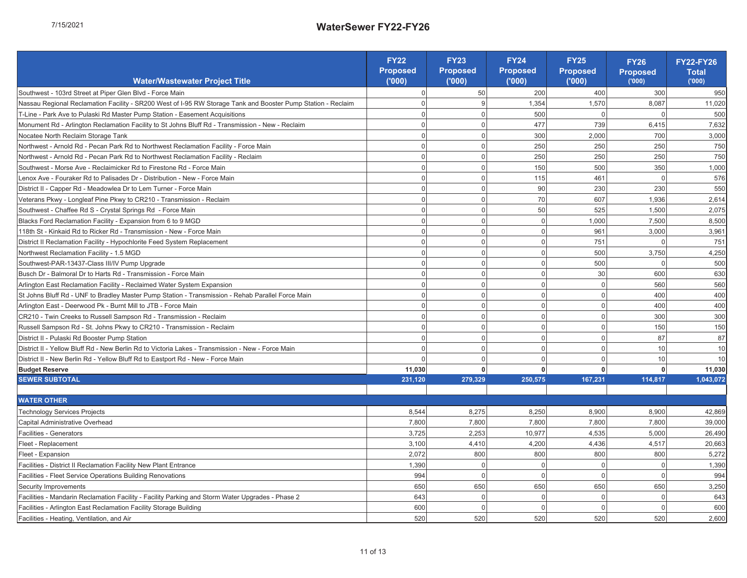| כ      |
|--------|
| Í      |
| ĩ<br>٦ |
| ٠      |
| ∼      |
|        |

|                                                                                                                                                                                                                                      | <b>FY22</b>       | FY <sub>23</sub>  | FY24<br>Proposed | FY25<br>Proposed |                           | FY22-FY26<br>Total |
|--------------------------------------------------------------------------------------------------------------------------------------------------------------------------------------------------------------------------------------|-------------------|-------------------|------------------|------------------|---------------------------|--------------------|
| Water/Wastewater Project Title                                                                                                                                                                                                       | Proposed<br>(000) | Proposed<br>(000) | 000              | $\overline{000}$ | FY26<br>Proposed<br>(000) | (000)              |
| Southwest - 103rd Street at Piper Glen Blvd - Force Main                                                                                                                                                                             | $\circ$           | 50                | 200              | 400              | 300                       | 950                |
| Station - Reclaim<br>Nassau Regional Reclamation Facility - SR200 West of I-95 RW Storage Tank and Booster Pump                                                                                                                      | $\circ$           | Θ                 | 1,354            | 570              | 8,087                     | 11,020             |
| T-Line - Park Ave to Pulaski Rd Master Pump Station - Easement Acquisitions                                                                                                                                                          | $\circ$           | $\circ$           | 500              | 0                | $\circ$                   | 500                |
| Monument Rd - Arlington Reclamation Facility to St Johns Bluff Rd - Transmission - New - Reclaim                                                                                                                                     | $\circ$           | $\circ$           | 477              | 739              | 6,415                     | 7,632              |
| Nocatee North Reclaim Storage Tank                                                                                                                                                                                                   | $\circ$           | $\circ$           | 300              | 2,000            | 700                       | 3,000              |
| Northwest - Arnold Rd - Pecan Park Rd to Northwest Reclamation Facility - Force Main                                                                                                                                                 | $\circ$           | $\circ$           | 250              | 250              | 250                       | 750                |
| Northwest - Arnold Rd - Pecan Park Rd to Northwest Reclamation Facility - Reclaim                                                                                                                                                    | $\circ$           | $\circ$           | 250              | 250              | 250                       | 750                |
| Southwest - Morse Ave - Reclaimicker Rd to Firestone Rd - Force Main                                                                                                                                                                 | $\circ$           | $\circ$           | 150              | 500              | 350                       | 1,000              |
| Lenox Ave - Fouraker Rd to Palisades Dr - Distribution - New - Force Main                                                                                                                                                            | $\circ$           | $\circ$           | 115              | 461              | $\circ$                   | 576                |
| District II - Capper Rd - Meadowlea Dr to Lem Turner - Force Main                                                                                                                                                                    | $\circ$           | $\circ$           | 8                | 230              | 230                       | 550                |
| Veterans Pkwy - Longleaf Pine Pkwy to CR210 - Transmission - Reclaim                                                                                                                                                                 | $\circ$           | $\circ$           | $\overline{70}$  | 607              | 1,936                     | 2,614              |
| Southwest - Chaffee Rd S - Crystal Springs Rd - Force Main                                                                                                                                                                           | $\circ$           | $\circ$           | 50               | 525              | 1,500                     | 2,075              |
| Blacks Ford Reclamation Facility - Expansion from 6 to 9 MGD                                                                                                                                                                         | $\circ$           |                   | $\circ$          | 1,000            | 7,500                     | 8,500              |
| 118th St - Kinkaid Rd to Ricker Rd - Transmission - New - Force Main                                                                                                                                                                 | $\circ$           | $\circ$ $\circ$   | $\circ$          | 961              | 3,000                     | 3,961              |
| District II Reclamation Facility - Hypochlorite Feed System Replacement                                                                                                                                                              | $\circ$           | $\circ$           | $\circ$          | 751              | $\circ$                   | 751                |
| Northwest Reclamation Facility - 1.5 MGD                                                                                                                                                                                             | $\circ$           | $\circ$           | $\circ$          | 500              | 3,750                     | 4,250              |
| Southwest-PAR-13437-Class III/IV Pump Upgrade                                                                                                                                                                                        | $\circ$           | $\circ$           | $\circ$          | 500              | $\circ$                   | 500                |
| Busch Dr - Balmoral Dr to Harts Rd - Transmission - Force Main                                                                                                                                                                       | $\circ$           | $\circ$           | $\circ$          | 30               | 600                       | 630                |
| Arlington East Reclamation Facility - Reclaimed Water System Expansion                                                                                                                                                               | $\circ$           | $\circ$           | $\circ$          | $\circ$          | 560                       | 560                |
| St Johns Bluff Rd - UNF to Bradley Master Pump Station - Transmission - Rehab Parallel Force Main                                                                                                                                    | $\circ$           | $\circ$           | $\circ$          | $\circ$          | 400                       | 400                |
| Arlington East - Deerwood Pk - Burnt Mill to JTB - Force Main                                                                                                                                                                        | $\circ$           | $\circ$           | $\circ$          | $\circ$          | 400                       | 400                |
| CR210 - Twin Creeks to Russell Sampson Rd - Transmission - Reclaim                                                                                                                                                                   | $\circ$           | $\circ$           | $\circ$          | $\circ$          | 300                       | 300                |
| Russell Sampson Rd - St. Johns Pkwy to CR210 - Transmission - Reclaim                                                                                                                                                                | $\circ$           | $\circ$           | $\circ$          | $\circ$          | 150                       | 150                |
| District II - Pulaski Rd Booster Pump Station                                                                                                                                                                                        | $\circ$           | $\circ$           | $\circ$          | $\circ$          | 87                        | 2                  |
| District II - Yellow Bluff Rd - New Berlin Rd to Victoria Lakes - Transmission - New - Force Main                                                                                                                                    | $\circ$           | $\circ$           | $\circ$          | $\circ$          | $\tilde{=}$               | $\tilde{0}$        |
| District II - New Berlin Rd - Yellow Bluff Rd to Eastport Rd - New - Force Main                                                                                                                                                      | $\circ$           | $\circ$           | $\circ$          | $\circ$          | $\overline{C}$            | $\tilde{=}$        |
| <b>Budget Reserve</b>                                                                                                                                                                                                                | 11,030            | $\bullet$         | $\bullet$        | $\circ$          | $\circ$                   | 11,030             |
| SEWER SUBTOTAL                                                                                                                                                                                                                       | 231,120           | 279,329           | 250,575          | 167,231          | 114,817                   | 1,043,072          |
|                                                                                                                                                                                                                                      |                   |                   |                  |                  |                           |                    |
| <b>WATER OTHER</b>                                                                                                                                                                                                                   |                   |                   |                  |                  |                           |                    |
| Technology Services Projects                                                                                                                                                                                                         | 8,544             | 8,275             | 8,250            | 8,900            | 8,900                     | 42,869             |
| Capital Administrative Overhead                                                                                                                                                                                                      | 7,800             | 7,800             | 7,800            | 7,800            | 7,800                     | 39,000             |
| Facilities - Generators                                                                                                                                                                                                              | 3,725             | 2,253             | 10.977           | 4,535            | 5,000                     | 26,490             |
| Fleet - Replacement                                                                                                                                                                                                                  | 3,100             | 4,410             | 4,200            | 4,436            | 4,517                     | 20,663             |
| Fleet - Expansion                                                                                                                                                                                                                    | 2,072             | 800               | 800              | 800              | 800                       | 5,272              |
| <b>gl</b> Facilities - District II Reclamation Facility New Plant Entrance<br><mark>8</mark> Facilities - Fleet Service Operations Building Renovations<br><b>A</b> Security Improvements                                            | 1,390             | $\circ$           | $\circ$          | $\circ$          | $\circ$                   | 1,390              |
|                                                                                                                                                                                                                                      | 994               | $\circ$           | $\circ$          | $\circ$          | $\circ$                   | 994                |
|                                                                                                                                                                                                                                      | 650               | 650               | 650              | 650              | 650                       | 3,250              |
| $\sim$                                                                                                                                                                                                                               | 643               | $\circ$           | $\circ$          | $\circ$          | $\circ$                   | 643                |
| <mark>a</mark> Facilities - Mandarin Reclamation Facility - Facility Parking and Storm Water Upgrades - Phase<br>L'Facilities - Arlington East Reclamation Facility Storage Building<br>@ Facilities - Heating, Ventilation, and Air | 600               | $\circ$           | $\circ$          | $\circ$          | $\circ$                   | 600                |
|                                                                                                                                                                                                                                      | 520               | 520               | 520              | 520              | 520                       | 2,600              |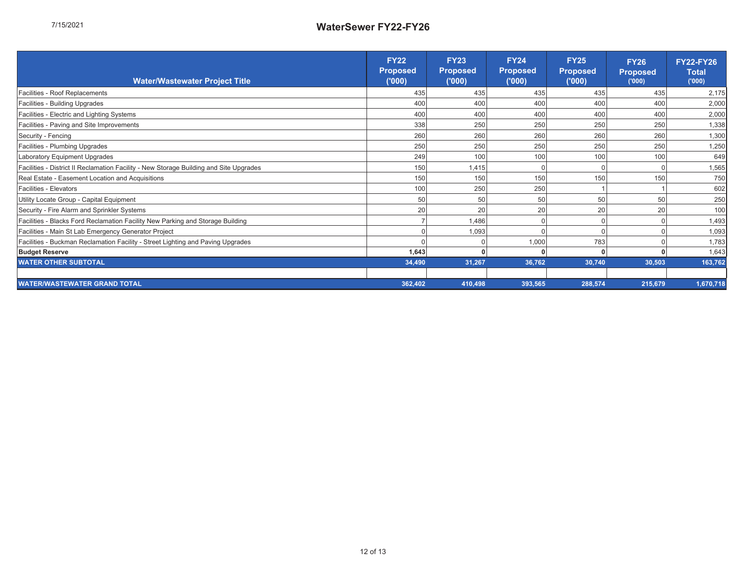|                                                                                        | Proposed<br>("000)<br><b>FY22</b> | Proposed<br>('000)<br>FY23 | Proposed<br>('000)<br>FY24 | Proposed<br>('000)<br><b>FY25</b> | FY26<br>Proposed<br><sup>('000)</sup> | <b>FY22-FY26</b><br>Total<br>('000) |
|----------------------------------------------------------------------------------------|-----------------------------------|----------------------------|----------------------------|-----------------------------------|---------------------------------------|-------------------------------------|
| Water/Wastewater Project Title                                                         |                                   |                            |                            |                                   |                                       |                                     |
| Facilities - Roof Replacements                                                         | 435                               | 435                        | 435                        | 435                               | 435                                   | 2,175                               |
| Facilities - Building Upgrades                                                         | 400                               | 400                        | 400                        | 400                               | 400                                   | 2,000                               |
| Facilities - Electric and Lighting Systems                                             | 400                               | 400                        | 400                        | 400                               | 400                                   | 2,000                               |
| Facilities - Paving and Site Improvements                                              | 338                               | 250                        | 250                        | 250                               | 250                                   | 1,338                               |
| Security - Fencing                                                                     | 260                               | 260                        | 260                        | 260                               | 260                                   | 1,300                               |
| Facilities - Plumbing Upgrades                                                         | 250                               | 250                        | 250                        | 250                               | 250                                   | 1,250                               |
| Laboratory Equipment Upgrades                                                          | 249                               | 100                        | 100                        | 100                               | 100                                   | 649                                 |
| Facilities - District II Reclamation Facility - New Storage Building and Site Upgrades | 150                               | 1,415                      | $\circ$                    | $\circ$                           | $\circ$                               | 1,565                               |
| Real Estate - Easement Location and Acquisitions                                       | 150                               | 150                        | 150                        | 150                               | 150                                   | 750                                 |
| Facilities - Elevators                                                                 | 100                               | 250                        | 250                        |                                   |                                       | 602                                 |
| Utility Locate Group - Capital Equipment                                               | 50                                | 50                         | 50                         | 50                                | SO                                    | 250                                 |
| Security - Fire Alarm and Sprinkler Systems                                            | 20                                | 20                         | 20                         | 20                                | 20                                    | 100                                 |
| Facilities - Blacks Ford Reclamation Facility New Parking and Storage Building         | r                                 | 1,486                      | $\circ$                    | $\circ$                           | $\circ$                               | 1,493                               |
| Facilities - Main St Lab Emergency Generator Project                                   | $\circ$                           | 1,093                      | $\circ$                    | $\circ$                           | $\circ$                               | 1,093                               |
| Facilities - Buckman Reclamation Facility - Street Lighting and Paving Upgrades        | $\circ$                           | $\circ$                    | 1,000                      | 783                               |                                       | 1,783                               |
| <b>Budget Reserve</b>                                                                  | 1,643                             | 0                          | $\circ$                    | ō                                 |                                       | 1,643                               |
| <b><i>NATER OTHER SUBTOTAL</i></b>                                                     | 34,490                            | 31,267                     | 36,762                     | 30,740                            | 30,503                                | 163,762                             |
|                                                                                        |                                   |                            |                            |                                   |                                       |                                     |
| <b><i>NATERWASTEWATER GRAND TOTAL</i></b>                                              | 362,402                           | 410,498                    | 393,565                    | 288,574                           | 215,679                               | 1,670,718                           |
|                                                                                        |                                   |                            |                            |                                   |                                       |                                     |

 $\overline{a}$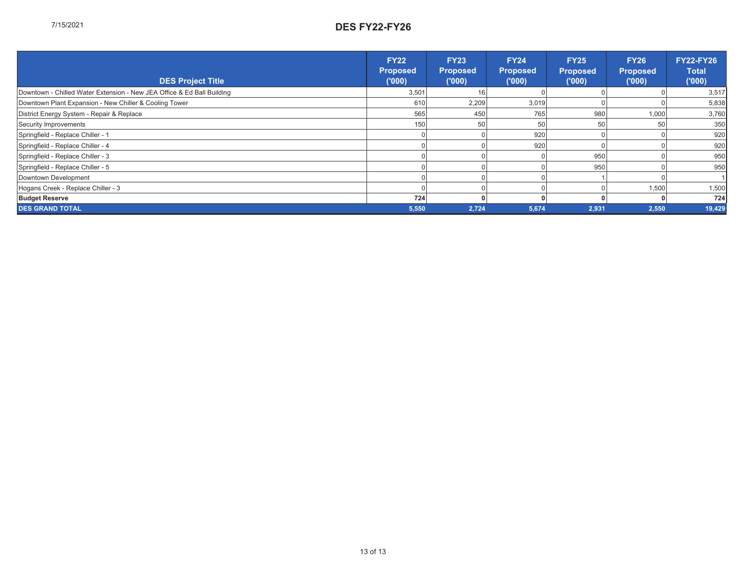| <b>DES Project Title</b>                                               | FY22<br>Proposed<br>('000) | FY23<br>Proposed<br>('000) | FY24<br>Proposed<br>('000) | FY25<br>Proposed<br>('000) | Proposed<br>('000)<br>FY26 | Y22-FY26<br>Total<br>('000) |
|------------------------------------------------------------------------|----------------------------|----------------------------|----------------------------|----------------------------|----------------------------|-----------------------------|
| Downtown - Chilled Water Extension - New JEA Office & Ed Ball Building | 3,501                      | $\frac{6}{5}$              | $\circ$                    | $\circ$                    | $\circ$                    | 3,517                       |
| Downtown Plant Expansion - New Chiller & Cooling Tower                 | 610                        | 2,209                      | 3,019                      | $\circ$                    | $\circ$                    | 5,838                       |
| District Energy System - Repair & Replace                              | 565                        | 450                        | 765                        | 980                        | 000.                       | 3,760                       |
| Security Improvements                                                  | SO                         | 50                         | 50                         | 50                         | 50                         | 350                         |
| Springfield - Replace Chiller - 1                                      | 0                          |                            | 920                        | 0                          | 0                          | 920                         |
| Springfield - Replace Chiller - 4                                      | 0                          | 0                          | 920                        | $\circ$                    | 0                          | 920                         |
| Springfield - Replace Chiller - 3                                      | $\circ$                    |                            | $\circ$                    | 950                        | $\circ$                    | 950                         |
| Springfield - Replace Chiller - 5                                      | ○                          |                            |                            | 950                        | $\circ$                    | 950                         |
| Downtown Development                                                   |                            |                            |                            |                            | $\circ$                    |                             |
| Hogans Creek - Replace Chiller - 3                                     | O                          |                            |                            | O                          | 1,500                      | 1,500                       |
| <b>Budget Reserve</b>                                                  | 724                        |                            | 0                          |                            | 0                          | 724                         |
| DES GRAND TOTAL                                                        | 5,550                      | 2,724                      | 5,674                      | 2,931                      | 2,550                      | 9.429                       |